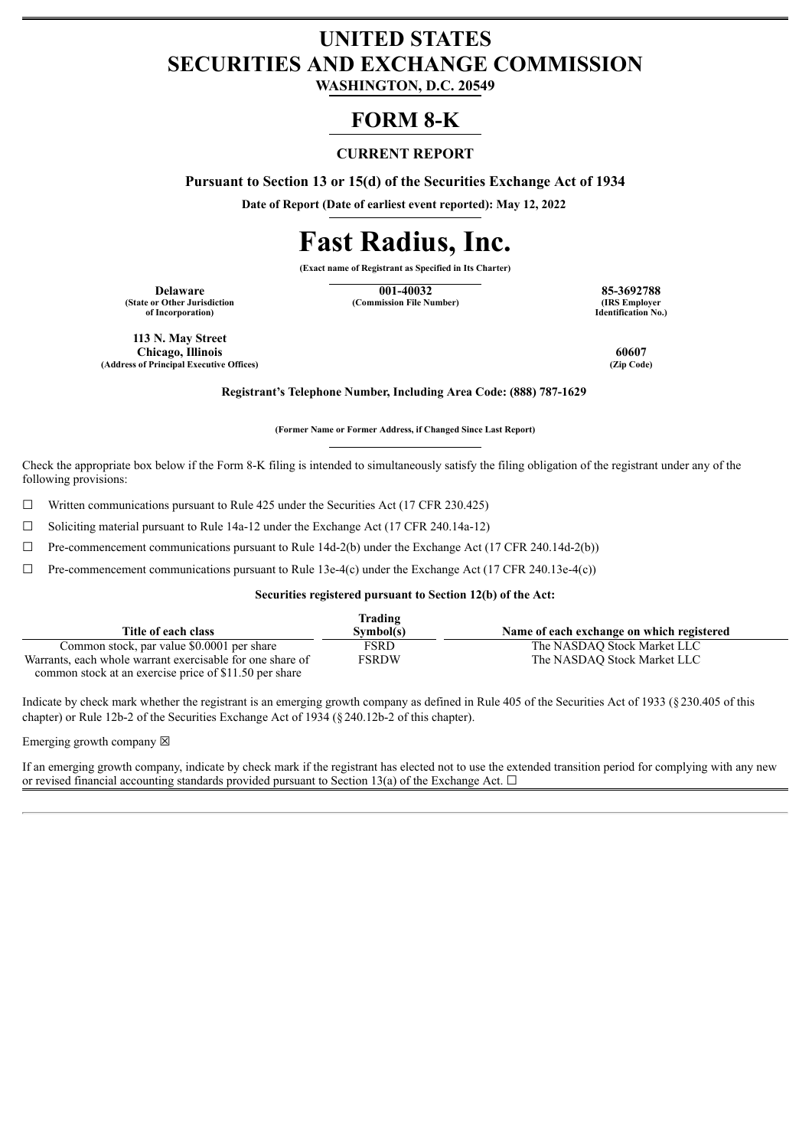## **UNITED STATES SECURITIES AND EXCHANGE COMMISSION**

**WASHINGTON, D.C. 20549**

## **FORM 8-K**

## **CURRENT REPORT**

**Pursuant to Section 13 or 15(d) of the Securities Exchange Act of 1934**

**Date of Report (Date of earliest event reported): May 12, 2022**

# **Fast Radius, Inc.**

**(Exact name of Registrant as Specified in Its Charter)**

**(State or Other Jurisdiction of Incorporation)**

**Delaware 001-40032 85-3692788 (Commission File Number)** 

**Identification No.)**

**113 N. May Street Chicago, Illinois 60607 (Address of Principal Executive Offices)** 

**Registrant's Telephone Number, Including Area Code: (888) 787-1629**

**(Former Name or Former Address, if Changed Since Last Report)**

Check the appropriate box below if the Form 8-K filing is intended to simultaneously satisfy the filing obligation of the registrant under any of the following provisions:

 $\Box$  Written communications pursuant to Rule 425 under the Securities Act (17 CFR 230.425)

☐ Soliciting material pursuant to Rule 14a-12 under the Exchange Act (17 CFR 240.14a-12)

 $\Box$  Pre-commencement communications pursuant to Rule 14d-2(b) under the Exchange Act (17 CFR 240.14d-2(b))

 $\Box$  Pre-commencement communications pursuant to Rule 13e-4(c) under the Exchange Act (17 CFR 240.13e-4(c))

### **Securities registered pursuant to Section 12(b) of the Act:**

|                                                           | Trading   |                                           |
|-----------------------------------------------------------|-----------|-------------------------------------------|
| Title of each class                                       | Symbol(s) | Name of each exchange on which registered |
| Common stock, par value \$0,0001 per share                | FSRD      | The NASDAO Stock Market LLC               |
| Warrants, each whole warrant exercisable for one share of | FSRDW     | The NASDAO Stock Market LLC               |
| common stock at an exercise price of \$11.50 per share    |           |                                           |

Indicate by check mark whether the registrant is an emerging growth company as defined in Rule 405 of the Securities Act of 1933 (§230.405 of this chapter) or Rule 12b-2 of the Securities Exchange Act of 1934 (§240.12b-2 of this chapter).

Emerging growth company  $\boxtimes$ 

If an emerging growth company, indicate by check mark if the registrant has elected not to use the extended transition period for complying with any new or revised financial accounting standards provided pursuant to Section 13(a) of the Exchange Act.  $\Box$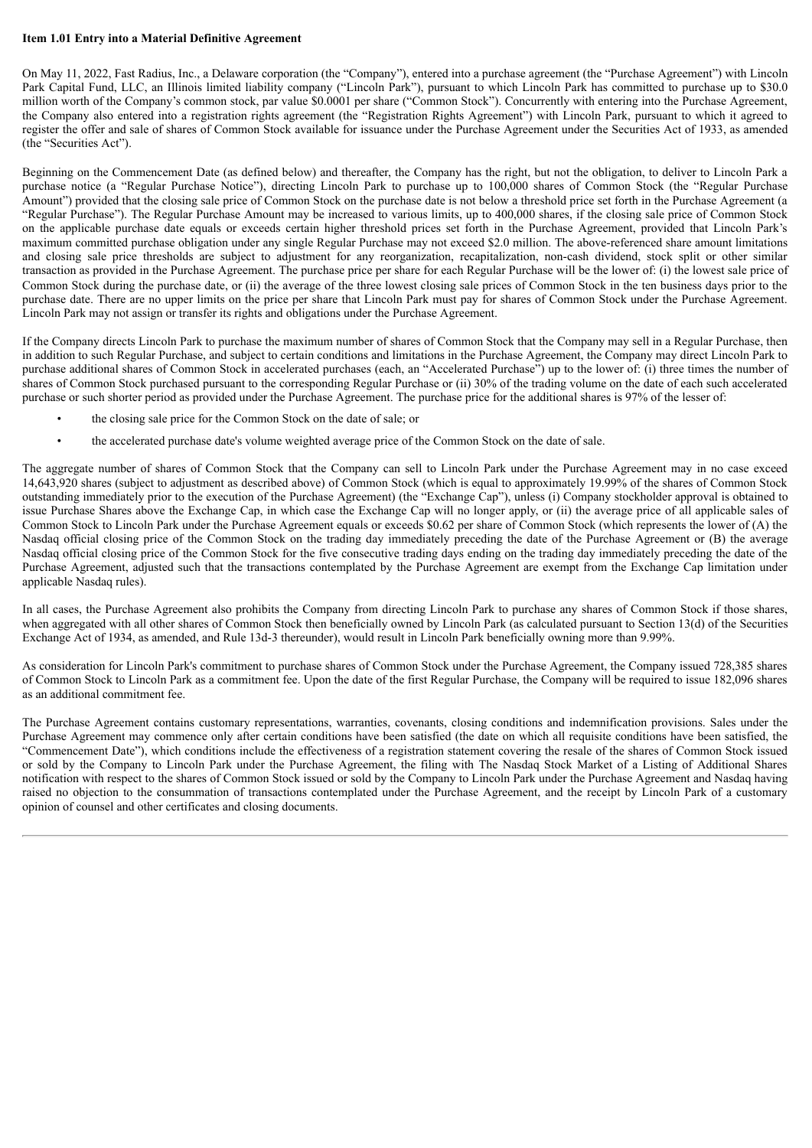#### **Item 1.01 Entry into a Material Definitive Agreement**

On May 11, 2022, Fast Radius, Inc., a Delaware corporation (the "Company"), entered into a purchase agreement (the "Purchase Agreement") with Lincoln Park Capital Fund, LLC, an Illinois limited liability company ("Lincoln Park"), pursuant to which Lincoln Park has committed to purchase up to \$30.0 million worth of the Company's common stock, par value \$0.0001 per share ("Common Stock"). Concurrently with entering into the Purchase Agreement, the Company also entered into a registration rights agreement (the "Registration Rights Agreement") with Lincoln Park, pursuant to which it agreed to register the offer and sale of shares of Common Stock available for issuance under the Purchase Agreement under the Securities Act of 1933, as amended (the "Securities Act").

Beginning on the Commencement Date (as defined below) and thereafter, the Company has the right, but not the obligation, to deliver to Lincoln Park a purchase notice (a "Regular Purchase Notice"), directing Lincoln Park to purchase up to 100,000 shares of Common Stock (the "Regular Purchase Amount") provided that the closing sale price of Common Stock on the purchase date is not below a threshold price set forth in the Purchase Agreement (a "Regular Purchase"). The Regular Purchase Amount may be increased to various limits, up to 400,000 shares, if the closing sale price of Common Stock on the applicable purchase date equals or exceeds certain higher threshold prices set forth in the Purchase Agreement, provided that Lincoln Park's maximum committed purchase obligation under any single Regular Purchase may not exceed \$2.0 million. The above-referenced share amount limitations and closing sale price thresholds are subject to adjustment for any reorganization, recapitalization, non-cash dividend, stock split or other similar transaction as provided in the Purchase Agreement. The purchase price per share for each Regular Purchase will be the lower of: (i) the lowest sale price of Common Stock during the purchase date, or (ii) the average of the three lowest closing sale prices of Common Stock in the ten business days prior to the purchase date. There are no upper limits on the price per share that Lincoln Park must pay for shares of Common Stock under the Purchase Agreement. Lincoln Park may not assign or transfer its rights and obligations under the Purchase Agreement.

If the Company directs Lincoln Park to purchase the maximum number of shares of Common Stock that the Company may sell in a Regular Purchase, then in addition to such Regular Purchase, and subject to certain conditions and limitations in the Purchase Agreement, the Company may direct Lincoln Park to purchase additional shares of Common Stock in accelerated purchases (each, an "Accelerated Purchase") up to the lower of: (i) three times the number of shares of Common Stock purchased pursuant to the corresponding Regular Purchase or (ii) 30% of the trading volume on the date of each such accelerated purchase or such shorter period as provided under the Purchase Agreement. The purchase price for the additional shares is 97% of the lesser of:

- the closing sale price for the Common Stock on the date of sale; or
- the accelerated purchase date's volume weighted average price of the Common Stock on the date of sale.

The aggregate number of shares of Common Stock that the Company can sell to Lincoln Park under the Purchase Agreement may in no case exceed 14,643,920 shares (subject to adjustment as described above) of Common Stock (which is equal to approximately 19.99% of the shares of Common Stock outstanding immediately prior to the execution of the Purchase Agreement) (the "Exchange Cap"), unless (i) Company stockholder approval is obtained to issue Purchase Shares above the Exchange Cap, in which case the Exchange Cap will no longer apply, or (ii) the average price of all applicable sales of Common Stock to Lincoln Park under the Purchase Agreement equals or exceeds \$0.62 per share of Common Stock (which represents the lower of (A) the Nasdaq official closing price of the Common Stock on the trading day immediately preceding the date of the Purchase Agreement or (B) the average Nasdaq official closing price of the Common Stock for the five consecutive trading days ending on the trading day immediately preceding the date of the Purchase Agreement, adjusted such that the transactions contemplated by the Purchase Agreement are exempt from the Exchange Cap limitation under applicable Nasdaq rules).

In all cases, the Purchase Agreement also prohibits the Company from directing Lincoln Park to purchase any shares of Common Stock if those shares, when aggregated with all other shares of Common Stock then beneficially owned by Lincoln Park (as calculated pursuant to Section 13(d) of the Securities Exchange Act of 1934, as amended, and Rule 13d-3 thereunder), would result in Lincoln Park beneficially owning more than 9.99%.

As consideration for Lincoln Park's commitment to purchase shares of Common Stock under the Purchase Agreement, the Company issued 728,385 shares of Common Stock to Lincoln Park as a commitment fee. Upon the date of the first Regular Purchase, the Company will be required to issue 182,096 shares as an additional commitment fee.

The Purchase Agreement contains customary representations, warranties, covenants, closing conditions and indemnification provisions. Sales under the Purchase Agreement may commence only after certain conditions have been satisfied (the date on which all requisite conditions have been satisfied, the "Commencement Date"), which conditions include the effectiveness of a registration statement covering the resale of the shares of Common Stock issued or sold by the Company to Lincoln Park under the Purchase Agreement, the filing with The Nasdaq Stock Market of a Listing of Additional Shares notification with respect to the shares of Common Stock issued or sold by the Company to Lincoln Park under the Purchase Agreement and Nasdaq having raised no objection to the consummation of transactions contemplated under the Purchase Agreement, and the receipt by Lincoln Park of a customary opinion of counsel and other certificates and closing documents.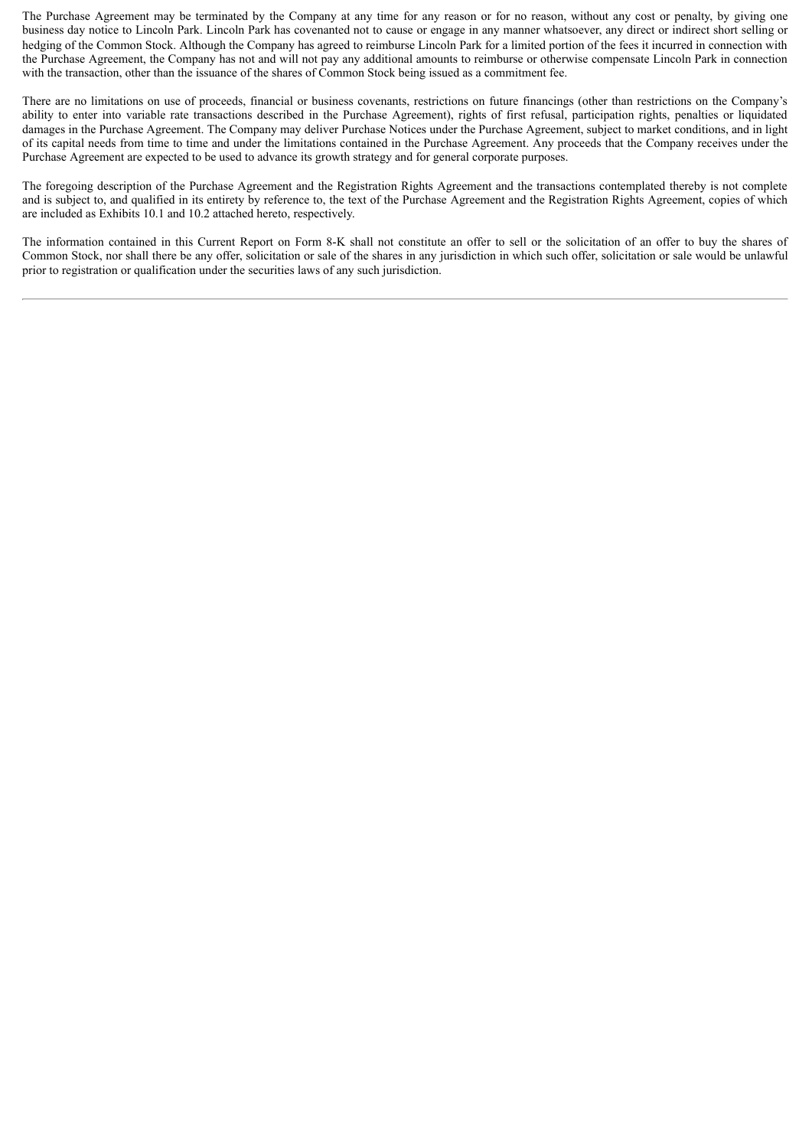The Purchase Agreement may be terminated by the Company at any time for any reason or for no reason, without any cost or penalty, by giving one business day notice to Lincoln Park. Lincoln Park has covenanted not to cause or engage in any manner whatsoever, any direct or indirect short selling or hedging of the Common Stock. Although the Company has agreed to reimburse Lincoln Park for a limited portion of the fees it incurred in connection with the Purchase Agreement, the Company has not and will not pay any additional amounts to reimburse or otherwise compensate Lincoln Park in connection with the transaction, other than the issuance of the shares of Common Stock being issued as a commitment fee.

There are no limitations on use of proceeds, financial or business covenants, restrictions on future financings (other than restrictions on the Company's ability to enter into variable rate transactions described in the Purchase Agreement), rights of first refusal, participation rights, penalties or liquidated damages in the Purchase Agreement. The Company may deliver Purchase Notices under the Purchase Agreement, subject to market conditions, and in light of its capital needs from time to time and under the limitations contained in the Purchase Agreement. Any proceeds that the Company receives under the Purchase Agreement are expected to be used to advance its growth strategy and for general corporate purposes.

The foregoing description of the Purchase Agreement and the Registration Rights Agreement and the transactions contemplated thereby is not complete and is subject to, and qualified in its entirety by reference to, the text of the Purchase Agreement and the Registration Rights Agreement, copies of which are included as Exhibits 10.1 and 10.2 attached hereto, respectively.

The information contained in this Current Report on Form 8-K shall not constitute an offer to sell or the solicitation of an offer to buy the shares of Common Stock, nor shall there be any offer, solicitation or sale of the shares in any jurisdiction in which such offer, solicitation or sale would be unlawful prior to registration or qualification under the securities laws of any such jurisdiction.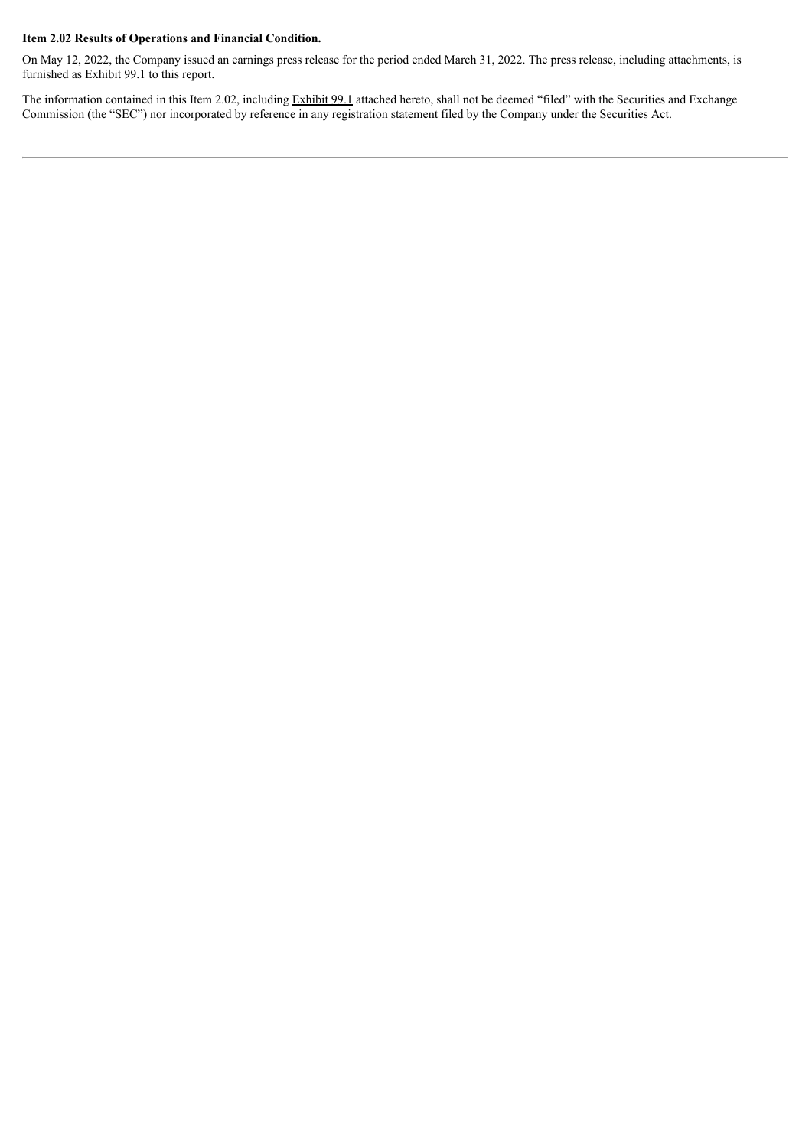#### **Item 2.02 Results of Operations and Financial Condition.**

On May 12, 2022, the Company issued an earnings press release for the period ended March 31, 2022. The press release, including attachments, is furnished as Exhibit 99.1 to this report.

The information contained in this Item 2.02, including Exhibit 99.1 attached hereto, shall not be deemed "filed" with the Securities and Exchange Commission (the "SEC") nor incorporated by reference in any registration statement filed by the Company under the Securities Act.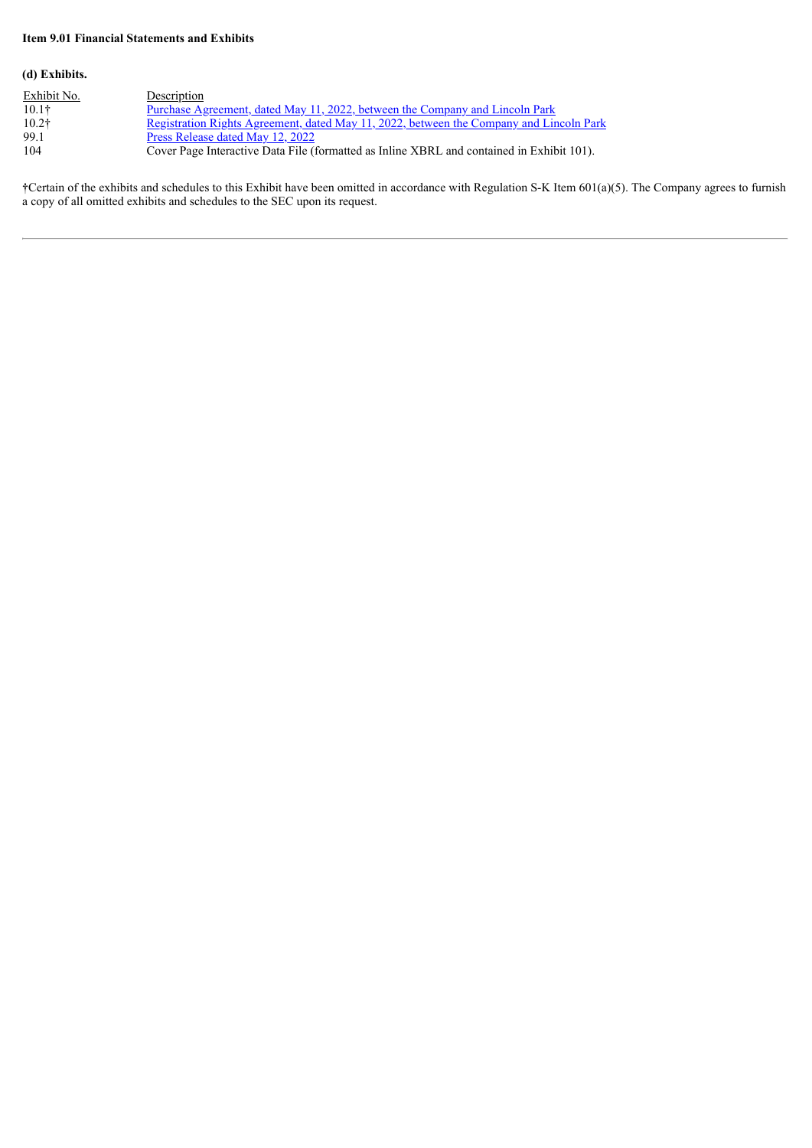## **Item 9.01 Financial Statements and Exhibits**

## **(d) Exhibits.**

| Exhibit No.       | Description                                                                               |
|-------------------|-------------------------------------------------------------------------------------------|
| 10.1 <sup>†</sup> | Purchase Agreement, dated May 11, 2022, between the Company and Lincoln Park              |
| 10.2 <sup>†</sup> | Registration Rights Agreement, dated May 11, 2022, between the Company and Lincoln Park   |
| 99.1              | Press Release dated May 12, 2022                                                          |
| 104               | Cover Page Interactive Data File (formatted as Inline XBRL and contained in Exhibit 101). |

**†**Certain of the exhibits and schedules to this Exhibit have been omitted in accordance with Regulation S-K Item 601(a)(5). The Company agrees to furnish a copy of all omitted exhibits and schedules to the SEC upon its request.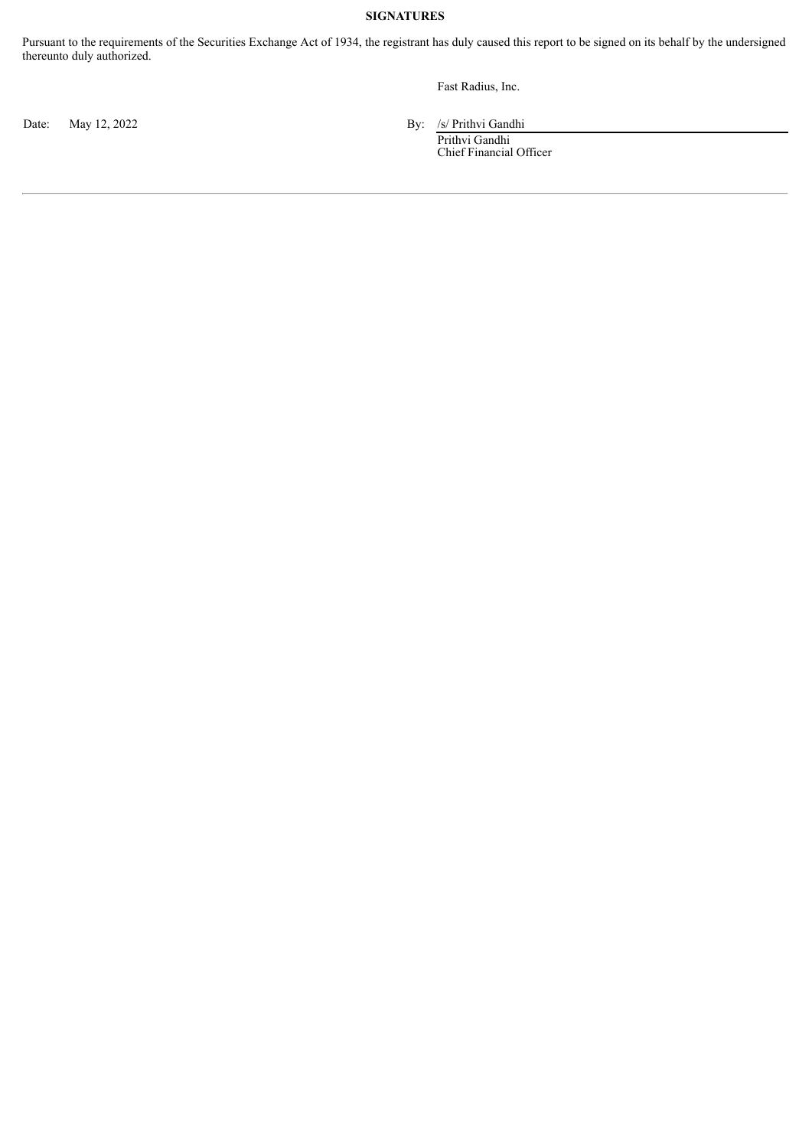## **SIGNATURES**

Pursuant to the requirements of the Securities Exchange Act of 1934, the registrant has duly caused this report to be signed on its behalf by the undersigned thereunto duly authorized.

Fast Radius, Inc.

Date: May 12, 2022 By: /s/ Prithvi Gandhi

Prithvi Gandhi Chief Financial Officer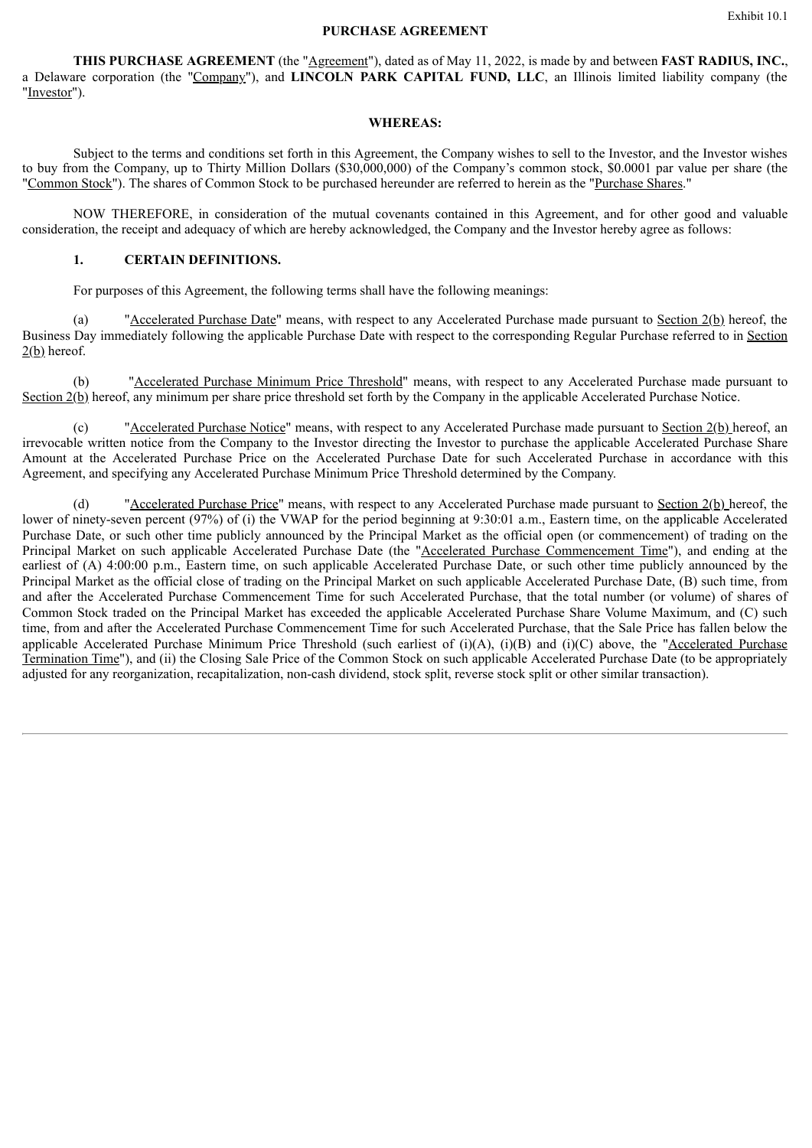#### **PURCHASE AGREEMENT**

<span id="page-6-0"></span>**THIS PURCHASE AGREEMENT** (the "Agreement"), dated as of May 11, 2022, is made by and between **FAST RADIUS, INC.**, a Delaware corporation (the "Company"), and **LINCOLN PARK CAPITAL FUND, LLC**, an Illinois limited liability company (the "Investor").

#### **WHEREAS:**

Subject to the terms and conditions set forth in this Agreement, the Company wishes to sell to the Investor, and the Investor wishes to buy from the Company, up to Thirty Million Dollars (\$30,000,000) of the Company's common stock, \$0.0001 par value per share (the "Common Stock"). The shares of Common Stock to be purchased hereunder are referred to herein as the "Purchase Shares."

NOW THEREFORE, in consideration of the mutual covenants contained in this Agreement, and for other good and valuable consideration, the receipt and adequacy of which are hereby acknowledged, the Company and the Investor hereby agree as follows:

#### **1. CERTAIN DEFINITIONS.**

For purposes of this Agreement, the following terms shall have the following meanings:

(a) "Accelerated Purchase Date" means, with respect to any Accelerated Purchase made pursuant to Section 2(b) hereof, the Business Day immediately following the applicable Purchase Date with respect to the corresponding Regular Purchase referred to in Section  $2(b)$  hereof.

(b) "Accelerated Purchase Minimum Price Threshold" means, with respect to any Accelerated Purchase made pursuant to Section 2(b) hereof, any minimum per share price threshold set forth by the Company in the applicable Accelerated Purchase Notice.

(c) "Accelerated Purchase Notice" means, with respect to any Accelerated Purchase made pursuant to Section 2(b) hereof, an irrevocable written notice from the Company to the Investor directing the Investor to purchase the applicable Accelerated Purchase Share Amount at the Accelerated Purchase Price on the Accelerated Purchase Date for such Accelerated Purchase in accordance with this Agreement, and specifying any Accelerated Purchase Minimum Price Threshold determined by the Company.

(d) "Accelerated Purchase Price" means, with respect to any Accelerated Purchase made pursuant to Section 2(b) hereof, the lower of ninety-seven percent (97%) of (i) the VWAP for the period beginning at 9:30:01 a.m., Eastern time, on the applicable Accelerated Purchase Date, or such other time publicly announced by the Principal Market as the official open (or commencement) of trading on the Principal Market on such applicable Accelerated Purchase Date (the "Accelerated Purchase Commencement Time"), and ending at the earliest of (A) 4:00:00 p.m., Eastern time, on such applicable Accelerated Purchase Date, or such other time publicly announced by the Principal Market as the official close of trading on the Principal Market on such applicable Accelerated Purchase Date, (B) such time, from and after the Accelerated Purchase Commencement Time for such Accelerated Purchase, that the total number (or volume) of shares of Common Stock traded on the Principal Market has exceeded the applicable Accelerated Purchase Share Volume Maximum, and (C) such time, from and after the Accelerated Purchase Commencement Time for such Accelerated Purchase, that the Sale Price has fallen below the applicable Accelerated Purchase Minimum Price Threshold (such earliest of (i)(A), (i)(B) and (i)(C) above, the "Accelerated Purchase Termination Time"), and (ii) the Closing Sale Price of the Common Stock on such applicable Accelerated Purchase Date (to be appropriately adjusted for any reorganization, recapitalization, non-cash dividend, stock split, reverse stock split or other similar transaction).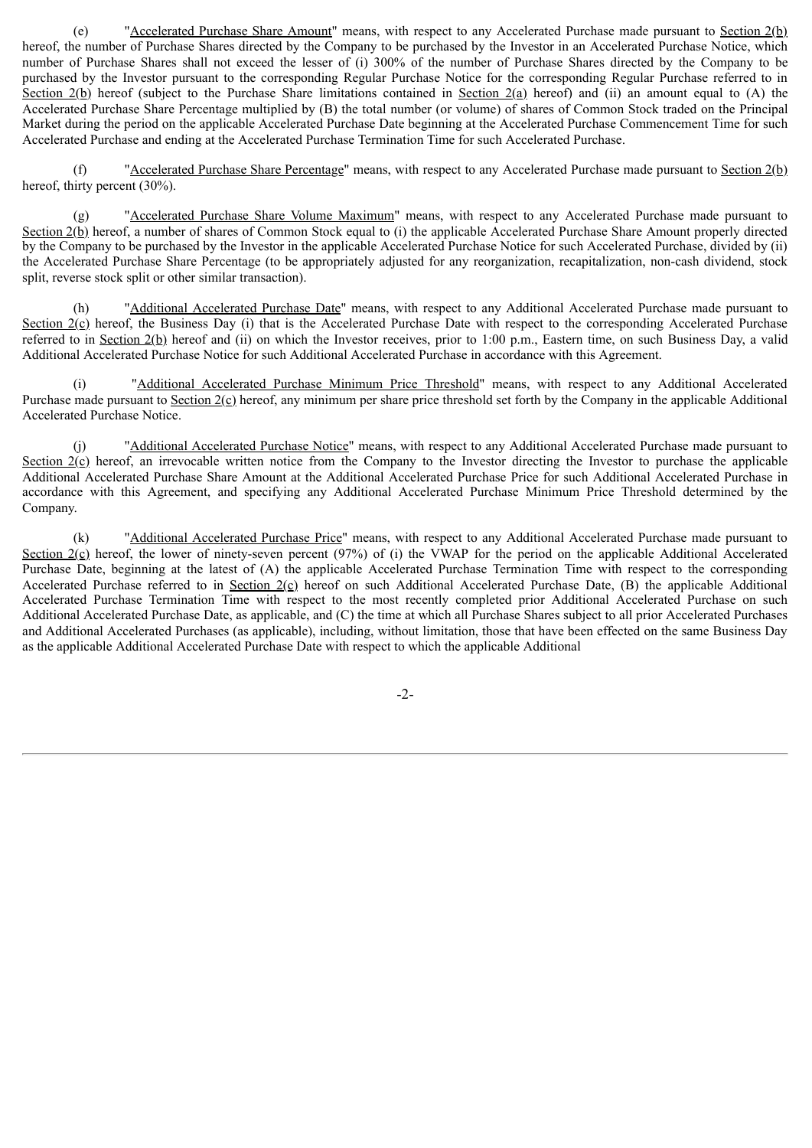(e) "Accelerated Purchase Share Amount" means, with respect to any Accelerated Purchase made pursuant to Section  $2(b)$ hereof, the number of Purchase Shares directed by the Company to be purchased by the Investor in an Accelerated Purchase Notice, which number of Purchase Shares shall not exceed the lesser of (i) 300% of the number of Purchase Shares directed by the Company to be purchased by the Investor pursuant to the corresponding Regular Purchase Notice for the corresponding Regular Purchase referred to in Section  $2(b)$  hereof (subject to the Purchase Share limitations contained in Section  $2(a)$  hereof) and (ii) an amount equal to (A) the Accelerated Purchase Share Percentage multiplied by (B) the total number (or volume) of shares of Common Stock traded on the Principal Market during the period on the applicable Accelerated Purchase Date beginning at the Accelerated Purchase Commencement Time for such Accelerated Purchase and ending at the Accelerated Purchase Termination Time for such Accelerated Purchase.

(f) "Accelerated Purchase Share Percentage" means, with respect to any Accelerated Purchase made pursuant to Section  $2(b)$ hereof, thirty percent (30%).

(g) "Accelerated Purchase Share Volume Maximum" means, with respect to any Accelerated Purchase made pursuant to Section 2(b) hereof, a number of shares of Common Stock equal to (i) the applicable Accelerated Purchase Share Amount properly directed by the Company to be purchased by the Investor in the applicable Accelerated Purchase Notice for such Accelerated Purchase, divided by (ii) the Accelerated Purchase Share Percentage (to be appropriately adjusted for any reorganization, recapitalization, non-cash dividend, stock split, reverse stock split or other similar transaction).

(h) "Additional Accelerated Purchase Date" means, with respect to any Additional Accelerated Purchase made pursuant to Section 2(c) hereof, the Business Day (i) that is the Accelerated Purchase Date with respect to the corresponding Accelerated Purchase referred to in Section  $2(b)$  hereof and (ii) on which the Investor receives, prior to 1:00 p.m., Eastern time, on such Business Day, a valid Additional Accelerated Purchase Notice for such Additional Accelerated Purchase in accordance with this Agreement.

(i) "Additional Accelerated Purchase Minimum Price Threshold" means, with respect to any Additional Accelerated Purchase made pursuant to Section 2(c) hereof, any minimum per share price threshold set forth by the Company in the applicable Additional Accelerated Purchase Notice.

(j) "Additional Accelerated Purchase Notice" means, with respect to any Additional Accelerated Purchase made pursuant to Section 2(c) hereof, an irrevocable written notice from the Company to the Investor directing the Investor to purchase the applicable Additional Accelerated Purchase Share Amount at the Additional Accelerated Purchase Price for such Additional Accelerated Purchase in accordance with this Agreement, and specifying any Additional Accelerated Purchase Minimum Price Threshold determined by the Company.

(k) "Additional Accelerated Purchase Price" means, with respect to any Additional Accelerated Purchase made pursuant to Section  $2(c)$  hereof, the lower of ninety-seven percent (97%) of (i) the VWAP for the period on the applicable Additional Accelerated Purchase Date, beginning at the latest of (A) the applicable Accelerated Purchase Termination Time with respect to the corresponding Accelerated Purchase referred to in Section  $2(\epsilon)$  hereof on such Additional Accelerated Purchase Date, (B) the applicable Additional Accelerated Purchase Termination Time with respect to the most recently completed prior Additional Accelerated Purchase on such Additional Accelerated Purchase Date, as applicable, and (C) the time at which all Purchase Shares subject to all prior Accelerated Purchases and Additional Accelerated Purchases (as applicable), including, without limitation, those that have been effected on the same Business Day as the applicable Additional Accelerated Purchase Date with respect to which the applicable Additional

-2-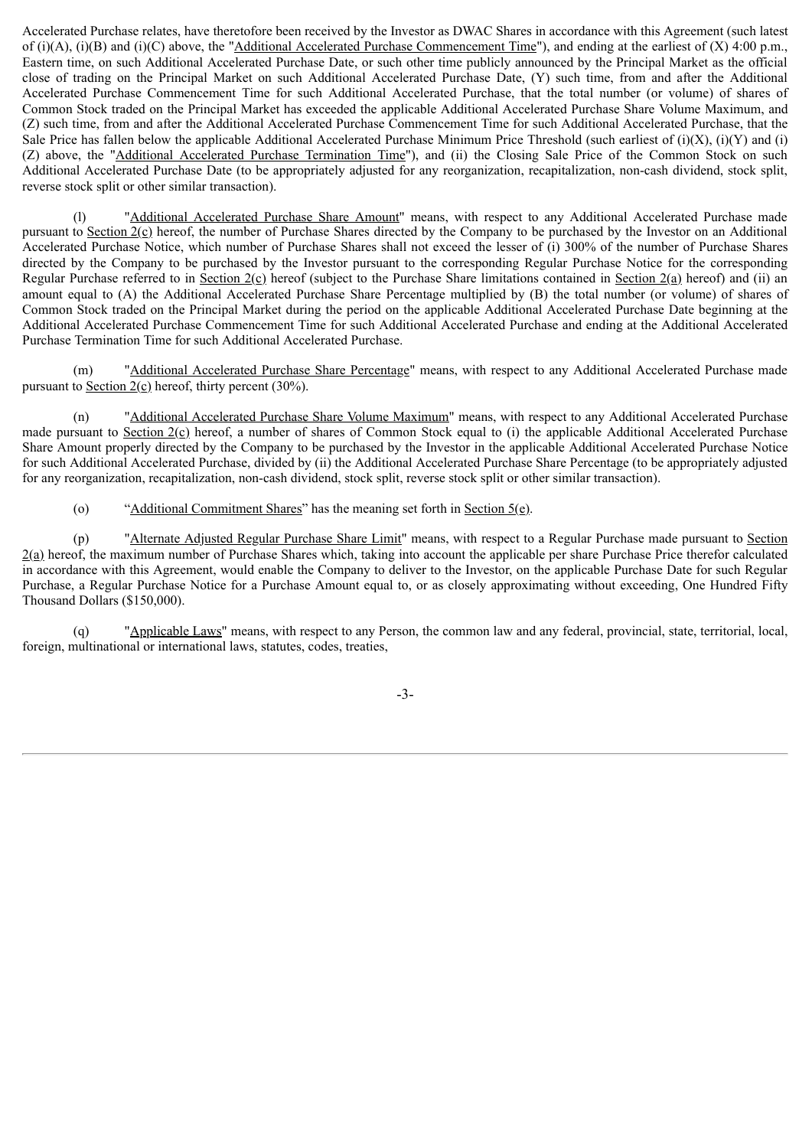Accelerated Purchase relates, have theretofore been received by the Investor as DWAC Shares in accordance with this Agreement (such latest of (i)(A), (i)(B) and (i)(C) above, the "Additional Accelerated Purchase Commencement Time"), and ending at the earliest of (X) 4:00 p.m., Eastern time, on such Additional Accelerated Purchase Date, or such other time publicly announced by the Principal Market as the official close of trading on the Principal Market on such Additional Accelerated Purchase Date, (Y) such time, from and after the Additional Accelerated Purchase Commencement Time for such Additional Accelerated Purchase, that the total number (or volume) of shares of Common Stock traded on the Principal Market has exceeded the applicable Additional Accelerated Purchase Share Volume Maximum, and (Z) such time, from and after the Additional Accelerated Purchase Commencement Time for such Additional Accelerated Purchase, that the Sale Price has fallen below the applicable Additional Accelerated Purchase Minimum Price Threshold (such earliest of  $(i)(X)$ ,  $(i)(Y)$  and  $(i)$ (Z) above, the "Additional Accelerated Purchase Termination Time"), and (ii) the Closing Sale Price of the Common Stock on such Additional Accelerated Purchase Date (to be appropriately adjusted for any reorganization, recapitalization, non-cash dividend, stock split, reverse stock split or other similar transaction).

(l) "Additional Accelerated Purchase Share Amount" means, with respect to any Additional Accelerated Purchase made pursuant to Section  $2(c)$  hereof, the number of Purchase Shares directed by the Company to be purchased by the Investor on an Additional Accelerated Purchase Notice, which number of Purchase Shares shall not exceed the lesser of (i) 300% of the number of Purchase Shares directed by the Company to be purchased by the Investor pursuant to the corresponding Regular Purchase Notice for the corresponding Regular Purchase referred to in Section 2(c) hereof (subject to the Purchase Share limitations contained in Section 2(a) hereof) and (ii) an amount equal to (A) the Additional Accelerated Purchase Share Percentage multiplied by (B) the total number (or volume) of shares of Common Stock traded on the Principal Market during the period on the applicable Additional Accelerated Purchase Date beginning at the Additional Accelerated Purchase Commencement Time for such Additional Accelerated Purchase and ending at the Additional Accelerated Purchase Termination Time for such Additional Accelerated Purchase.

(m) "Additional Accelerated Purchase Share Percentage" means, with respect to any Additional Accelerated Purchase made pursuant to Section 2(c) hereof, thirty percent (30%).

(n) "Additional Accelerated Purchase Share Volume Maximum" means, with respect to any Additional Accelerated Purchase made pursuant to Section 2(c) hereof, a number of shares of Common Stock equal to (i) the applicable Additional Accelerated Purchase Share Amount properly directed by the Company to be purchased by the Investor in the applicable Additional Accelerated Purchase Notice for such Additional Accelerated Purchase, divided by (ii) the Additional Accelerated Purchase Share Percentage (to be appropriately adjusted for any reorganization, recapitalization, non-cash dividend, stock split, reverse stock split or other similar transaction).

(o) "Additional Commitment Shares" has the meaning set forth in Section 5(e).

(p) "Alternate Adjusted Regular Purchase Share Limit" means, with respect to a Regular Purchase made pursuant to Section 2(a) hereof, the maximum number of Purchase Shares which, taking into account the applicable per share Purchase Price therefor calculated in accordance with this Agreement, would enable the Company to deliver to the Investor, on the applicable Purchase Date for such Regular Purchase, a Regular Purchase Notice for a Purchase Amount equal to, or as closely approximating without exceeding, One Hundred Fifty Thousand Dollars (\$150,000).

(q) "Applicable Laws" means, with respect to any Person, the common law and any federal, provincial, state, territorial, local, foreign, multinational or international laws, statutes, codes, treaties,

-3-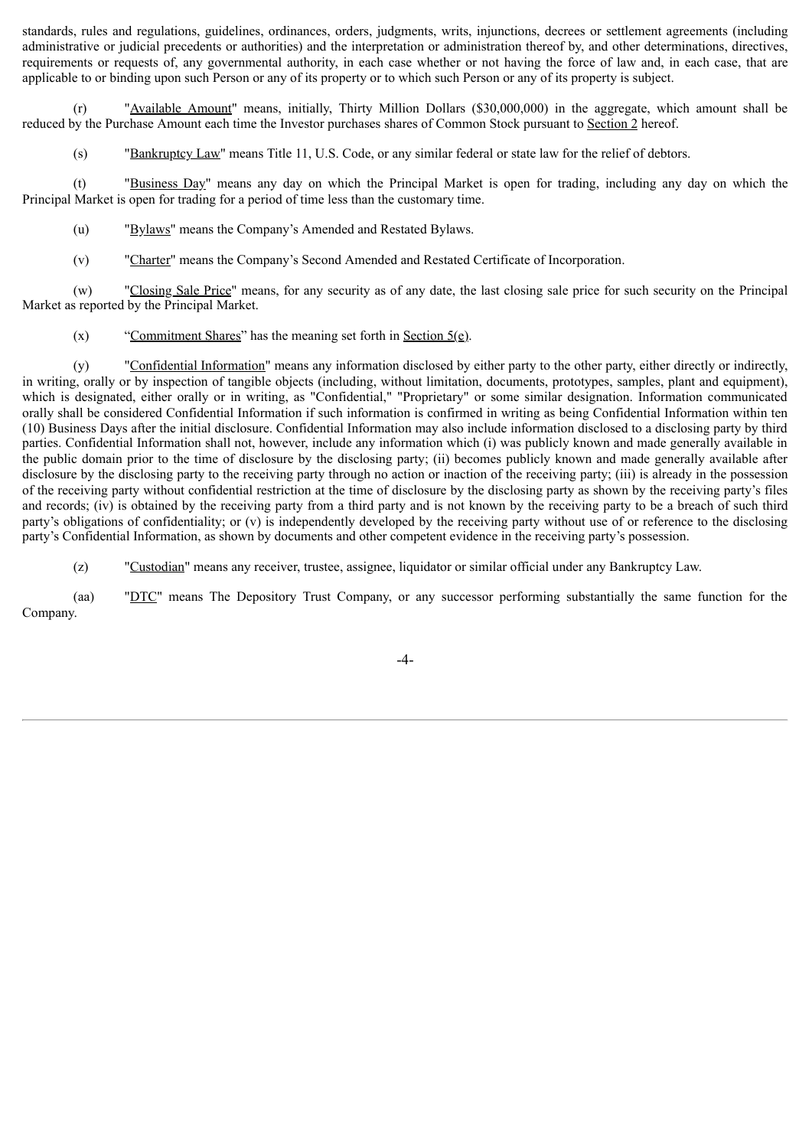standards, rules and regulations, guidelines, ordinances, orders, judgments, writs, injunctions, decrees or settlement agreements (including administrative or judicial precedents or authorities) and the interpretation or administration thereof by, and other determinations, directives, requirements or requests of, any governmental authority, in each case whether or not having the force of law and, in each case, that are applicable to or binding upon such Person or any of its property or to which such Person or any of its property is subject.

(r) "Available Amount" means, initially, Thirty Million Dollars (\$30,000,000) in the aggregate, which amount shall be reduced by the Purchase Amount each time the Investor purchases shares of Common Stock pursuant to Section 2 hereof.

(s) "Bankruptcy Law" means Title 11, U.S. Code, or any similar federal or state law for the relief of debtors.

(t) "Business Day" means any day on which the Principal Market is open for trading, including any day on which the Principal Market is open for trading for a period of time less than the customary time.

- (u) "Bylaws" means the Company's Amended and Restated Bylaws.
- (v) "Charter" means the Company's Second Amended and Restated Certificate of Incorporation.

(w) "Closing Sale Price" means, for any security as of any date, the last closing sale price for such security on the Principal Market as reported by the Principal Market.

(x) "Commitment Shares" has the meaning set forth in Section  $5(e)$ .

(y) "Confidential Information" means any information disclosed by either party to the other party, either directly or indirectly, in writing, orally or by inspection of tangible objects (including, without limitation, documents, prototypes, samples, plant and equipment), which is designated, either orally or in writing, as "Confidential," "Proprietary" or some similar designation. Information communicated orally shall be considered Confidential Information if such information is confirmed in writing as being Confidential Information within ten (10) Business Days after the initial disclosure. Confidential Information may also include information disclosed to a disclosing party by third parties. Confidential Information shall not, however, include any information which (i) was publicly known and made generally available in the public domain prior to the time of disclosure by the disclosing party; (ii) becomes publicly known and made generally available after disclosure by the disclosing party to the receiving party through no action or inaction of the receiving party; (iii) is already in the possession of the receiving party without confidential restriction at the time of disclosure by the disclosing party as shown by the receiving party's files and records; (iv) is obtained by the receiving party from a third party and is not known by the receiving party to be a breach of such third party's obligations of confidentiality; or (v) is independently developed by the receiving party without use of or reference to the disclosing party's Confidential Information, as shown by documents and other competent evidence in the receiving party's possession.

(z) "Custodian" means any receiver, trustee, assignee, liquidator or similar official under any Bankruptcy Law.

(aa) "DTC" means The Depository Trust Company, or any successor performing substantially the same function for the Company.

-4-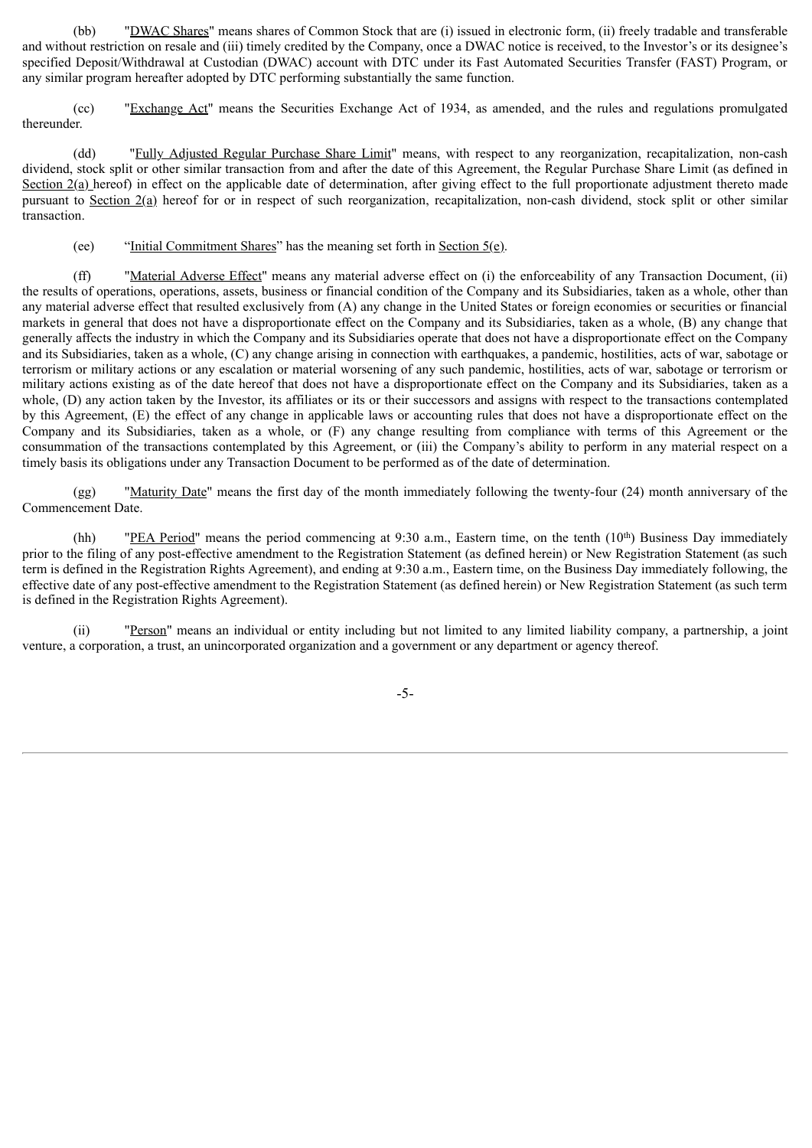(bb) "DWAC Shares" means shares of Common Stock that are (i) issued in electronic form, (ii) freely tradable and transferable and without restriction on resale and (iii) timely credited by the Company, once a DWAC notice is received, to the Investor's or its designee's specified Deposit/Withdrawal at Custodian (DWAC) account with DTC under its Fast Automated Securities Transfer (FAST) Program, or any similar program hereafter adopted by DTC performing substantially the same function.

(cc) "Exchange Act" means the Securities Exchange Act of 1934, as amended, and the rules and regulations promulgated thereunder.

(dd) "Fully Adjusted Regular Purchase Share Limit" means, with respect to any reorganization, recapitalization, non-cash dividend, stock split or other similar transaction from and after the date of this Agreement, the Regular Purchase Share Limit (as defined in Section 2(a) hereof) in effect on the applicable date of determination, after giving effect to the full proportionate adjustment thereto made pursuant to Section 2(a) hereof for or in respect of such reorganization, recapitalization, non-cash dividend, stock split or other similar transaction.

(ee) "Initial Commitment Shares" has the meaning set forth in Section  $5(e)$ .

(ff) "Material Adverse Effect" means any material adverse effect on (i) the enforceability of any Transaction Document, (ii) the results of operations, operations, assets, business or financial condition of the Company and its Subsidiaries, taken as a whole, other than any material adverse effect that resulted exclusively from (A) any change in the United States or foreign economies or securities or financial markets in general that does not have a disproportionate effect on the Company and its Subsidiaries, taken as a whole, (B) any change that generally affects the industry in which the Company and its Subsidiaries operate that does not have a disproportionate effect on the Company and its Subsidiaries, taken as a whole, (C) any change arising in connection with earthquakes, a pandemic, hostilities, acts of war, sabotage or terrorism or military actions or any escalation or material worsening of any such pandemic, hostilities, acts of war, sabotage or terrorism or military actions existing as of the date hereof that does not have a disproportionate effect on the Company and its Subsidiaries, taken as a whole, (D) any action taken by the Investor, its affiliates or its or their successors and assigns with respect to the transactions contemplated by this Agreement, (E) the effect of any change in applicable laws or accounting rules that does not have a disproportionate effect on the Company and its Subsidiaries, taken as a whole, or (F) any change resulting from compliance with terms of this Agreement or the consummation of the transactions contemplated by this Agreement, or (iii) the Company's ability to perform in any material respect on a timely basis its obligations under any Transaction Document to be performed as of the date of determination.

(gg) "Maturity Date" means the first day of the month immediately following the twenty-four (24) month anniversary of the Commencement Date.

(hh) "PEA Period" means the period commencing at 9:30 a.m., Eastern time, on the tenth (10<sup>th</sup>) Business Day immediately prior to the filing of any post-effective amendment to the Registration Statement (as defined herein) or New Registration Statement (as such term is defined in the Registration Rights Agreement), and ending at 9:30 a.m., Eastern time, on the Business Day immediately following, the effective date of any post-effective amendment to the Registration Statement (as defined herein) or New Registration Statement (as such term is defined in the Registration Rights Agreement).

(ii) "Person" means an individual or entity including but not limited to any limited liability company, a partnership, a joint venture, a corporation, a trust, an unincorporated organization and a government or any department or agency thereof.

-5-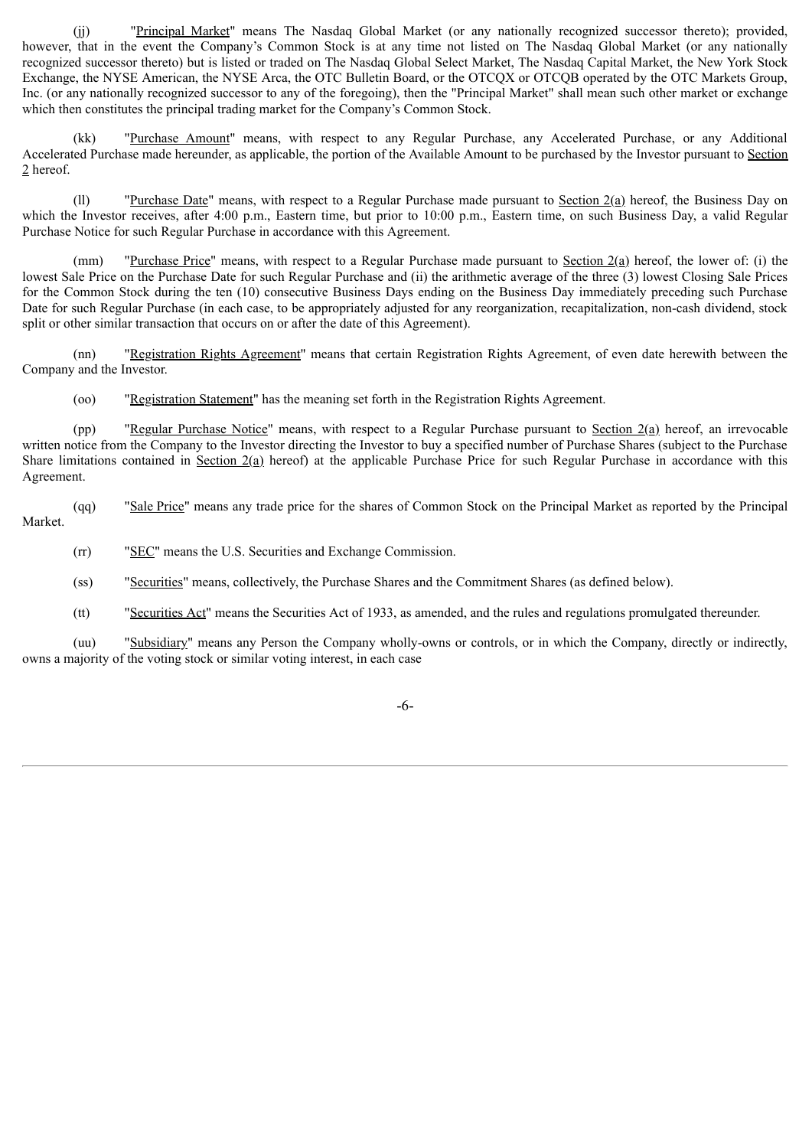(jj) "Principal Market" means The Nasdaq Global Market (or any nationally recognized successor thereto); provided, however, that in the event the Company's Common Stock is at any time not listed on The Nasdaq Global Market (or any nationally recognized successor thereto) but is listed or traded on The Nasdaq Global Select Market, The Nasdaq Capital Market, the New York Stock Exchange, the NYSE American, the NYSE Arca, the OTC Bulletin Board, or the OTCQX or OTCQB operated by the OTC Markets Group, Inc. (or any nationally recognized successor to any of the foregoing), then the "Principal Market" shall mean such other market or exchange which then constitutes the principal trading market for the Company's Common Stock.

(kk) "Purchase Amount" means, with respect to any Regular Purchase, any Accelerated Purchase, or any Additional Accelerated Purchase made hereunder, as applicable, the portion of the Available Amount to be purchased by the Investor pursuant to Section 2 hereof.

(ll) "Purchase Date" means, with respect to a Regular Purchase made pursuant to Section  $2(a)$  hereof, the Business Day on which the Investor receives, after 4:00 p.m., Eastern time, but prior to 10:00 p.m., Eastern time, on such Business Day, a valid Regular Purchase Notice for such Regular Purchase in accordance with this Agreement.

(mm) "Purchase Price" means, with respect to a Regular Purchase made pursuant to Section  $2(a)$  hereof, the lower of: (i) the lowest Sale Price on the Purchase Date for such Regular Purchase and (ii) the arithmetic average of the three (3) lowest Closing Sale Prices for the Common Stock during the ten (10) consecutive Business Days ending on the Business Day immediately preceding such Purchase Date for such Regular Purchase (in each case, to be appropriately adjusted for any reorganization, recapitalization, non-cash dividend, stock split or other similar transaction that occurs on or after the date of this Agreement).

(nn) "Registration Rights Agreement" means that certain Registration Rights Agreement, of even date herewith between the Company and the Investor.

(oo) "Registration Statement" has the meaning set forth in the Registration Rights Agreement.

(pp) "Regular Purchase Notice" means, with respect to a Regular Purchase pursuant to Section  $2(a)$  hereof, an irrevocable written notice from the Company to the Investor directing the Investor to buy a specified number of Purchase Shares (subject to the Purchase Share limitations contained in Section  $2(a)$  hereof) at the applicable Purchase Price for such Regular Purchase in accordance with this Agreement.

(qq) "Sale Price" means any trade price for the shares of Common Stock on the Principal Market as reported by the Principal Market.

(rr) "SEC" means the U.S. Securities and Exchange Commission.

(ss) "Securities" means, collectively, the Purchase Shares and the Commitment Shares (as defined below).

(tt) "Securities Act" means the Securities Act of 1933, as amended, and the rules and regulations promulgated thereunder.

(uu) "Subsidiary" means any Person the Company wholly-owns or controls, or in which the Company, directly or indirectly, owns a majority of the voting stock or similar voting interest, in each case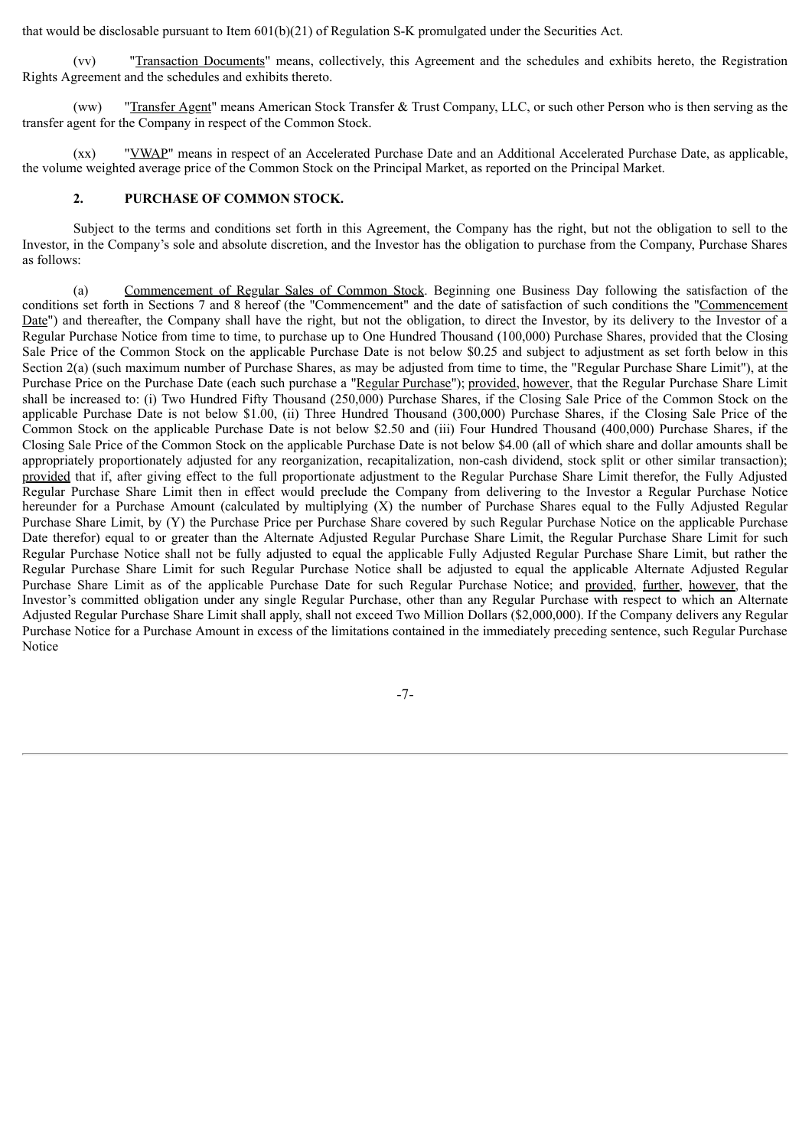that would be disclosable pursuant to Item 601(b)(21) of Regulation S-K promulgated under the Securities Act.

(vv) "Transaction Documents" means, collectively, this Agreement and the schedules and exhibits hereto, the Registration Rights Agreement and the schedules and exhibits thereto.

(ww) "Transfer Agent" means American Stock Transfer & Trust Company, LLC, or such other Person who is then serving as the transfer agent for the Company in respect of the Common Stock.

(xx) "VWAP" means in respect of an Accelerated Purchase Date and an Additional Accelerated Purchase Date, as applicable, the volume weighted average price of the Common Stock on the Principal Market, as reported on the Principal Market.

#### **2. PURCHASE OF COMMON STOCK.**

Subject to the terms and conditions set forth in this Agreement, the Company has the right, but not the obligation to sell to the Investor, in the Company's sole and absolute discretion, and the Investor has the obligation to purchase from the Company, Purchase Shares as follows:

(a) Commencement of Regular Sales of Common Stock. Beginning one Business Day following the satisfaction of the conditions set forth in Sections 7 and 8 hereof (the "Commencement" and the date of satisfaction of such conditions the "Commencement Date") and thereafter, the Company shall have the right, but not the obligation, to direct the Investor, by its delivery to the Investor of a Regular Purchase Notice from time to time, to purchase up to One Hundred Thousand (100,000) Purchase Shares, provided that the Closing Sale Price of the Common Stock on the applicable Purchase Date is not below \$0.25 and subject to adjustment as set forth below in this Section 2(a) (such maximum number of Purchase Shares, as may be adjusted from time to time, the "Regular Purchase Share Limit"), at the Purchase Price on the Purchase Date (each such purchase a "Regular Purchase"); provided, however, that the Regular Purchase Share Limit shall be increased to: (i) Two Hundred Fifty Thousand (250,000) Purchase Shares, if the Closing Sale Price of the Common Stock on the applicable Purchase Date is not below \$1.00, (ii) Three Hundred Thousand (300,000) Purchase Shares, if the Closing Sale Price of the Common Stock on the applicable Purchase Date is not below \$2.50 and (iii) Four Hundred Thousand (400,000) Purchase Shares, if the Closing Sale Price of the Common Stock on the applicable Purchase Date is not below \$4.00 (all of which share and dollar amounts shall be appropriately proportionately adjusted for any reorganization, recapitalization, non-cash dividend, stock split or other similar transaction); provided that if, after giving effect to the full proportionate adjustment to the Regular Purchase Share Limit therefor, the Fully Adjusted Regular Purchase Share Limit then in effect would preclude the Company from delivering to the Investor a Regular Purchase Notice hereunder for a Purchase Amount (calculated by multiplying (X) the number of Purchase Shares equal to the Fully Adjusted Regular Purchase Share Limit, by (Y) the Purchase Price per Purchase Share covered by such Regular Purchase Notice on the applicable Purchase Date therefor) equal to or greater than the Alternate Adjusted Regular Purchase Share Limit, the Regular Purchase Share Limit for such Regular Purchase Notice shall not be fully adjusted to equal the applicable Fully Adjusted Regular Purchase Share Limit, but rather the Regular Purchase Share Limit for such Regular Purchase Notice shall be adjusted to equal the applicable Alternate Adjusted Regular Purchase Share Limit as of the applicable Purchase Date for such Regular Purchase Notice; and provided, further, however, that the Investor's committed obligation under any single Regular Purchase, other than any Regular Purchase with respect to which an Alternate Adjusted Regular Purchase Share Limit shall apply, shall not exceed Two Million Dollars (\$2,000,000). If the Company delivers any Regular Purchase Notice for a Purchase Amount in excess of the limitations contained in the immediately preceding sentence, such Regular Purchase **Notice** 

-7-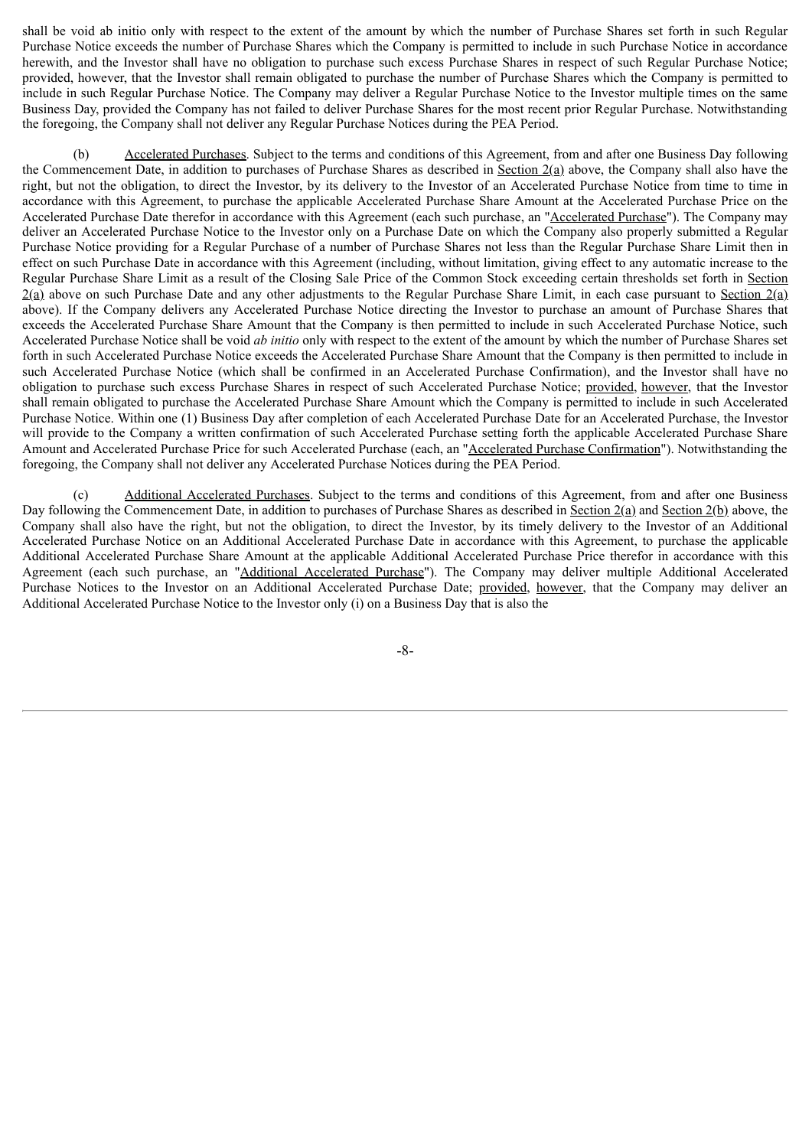shall be void ab initio only with respect to the extent of the amount by which the number of Purchase Shares set forth in such Regular Purchase Notice exceeds the number of Purchase Shares which the Company is permitted to include in such Purchase Notice in accordance herewith, and the Investor shall have no obligation to purchase such excess Purchase Shares in respect of such Regular Purchase Notice; provided, however, that the Investor shall remain obligated to purchase the number of Purchase Shares which the Company is permitted to include in such Regular Purchase Notice. The Company may deliver a Regular Purchase Notice to the Investor multiple times on the same Business Day, provided the Company has not failed to deliver Purchase Shares for the most recent prior Regular Purchase. Notwithstanding the foregoing, the Company shall not deliver any Regular Purchase Notices during the PEA Period.

(b) Accelerated Purchases. Subject to the terms and conditions of this Agreement, from and after one Business Day following the Commencement Date, in addition to purchases of Purchase Shares as described in Section 2(a) above, the Company shall also have the right, but not the obligation, to direct the Investor, by its delivery to the Investor of an Accelerated Purchase Notice from time to time in accordance with this Agreement, to purchase the applicable Accelerated Purchase Share Amount at the Accelerated Purchase Price on the Accelerated Purchase Date therefor in accordance with this Agreement (each such purchase, an "Accelerated Purchase"). The Company may deliver an Accelerated Purchase Notice to the Investor only on a Purchase Date on which the Company also properly submitted a Regular Purchase Notice providing for a Regular Purchase of a number of Purchase Shares not less than the Regular Purchase Share Limit then in effect on such Purchase Date in accordance with this Agreement (including, without limitation, giving effect to any automatic increase to the Regular Purchase Share Limit as a result of the Closing Sale Price of the Common Stock exceeding certain thresholds set forth in Section 2(a) above on such Purchase Date and any other adjustments to the Regular Purchase Share Limit, in each case pursuant to Section 2(a) above). If the Company delivers any Accelerated Purchase Notice directing the Investor to purchase an amount of Purchase Shares that exceeds the Accelerated Purchase Share Amount that the Company is then permitted to include in such Accelerated Purchase Notice, such Accelerated Purchase Notice shall be void *ab initio* only with respect to the extent of the amount by which the number of Purchase Shares set forth in such Accelerated Purchase Notice exceeds the Accelerated Purchase Share Amount that the Company is then permitted to include in such Accelerated Purchase Notice (which shall be confirmed in an Accelerated Purchase Confirmation), and the Investor shall have no obligation to purchase such excess Purchase Shares in respect of such Accelerated Purchase Notice; provided, however, that the Investor shall remain obligated to purchase the Accelerated Purchase Share Amount which the Company is permitted to include in such Accelerated Purchase Notice. Within one (1) Business Day after completion of each Accelerated Purchase Date for an Accelerated Purchase, the Investor will provide to the Company a written confirmation of such Accelerated Purchase setting forth the applicable Accelerated Purchase Share Amount and Accelerated Purchase Price for such Accelerated Purchase (each, an "Accelerated Purchase Confirmation"). Notwithstanding the foregoing, the Company shall not deliver any Accelerated Purchase Notices during the PEA Period.

(c) Additional Accelerated Purchases. Subject to the terms and conditions of this Agreement, from and after one Business Day following the Commencement Date, in addition to purchases of Purchase Shares as described in Section  $2(a)$  and Section  $2(b)$  above, the Company shall also have the right, but not the obligation, to direct the Investor, by its timely delivery to the Investor of an Additional Accelerated Purchase Notice on an Additional Accelerated Purchase Date in accordance with this Agreement, to purchase the applicable Additional Accelerated Purchase Share Amount at the applicable Additional Accelerated Purchase Price therefor in accordance with this Agreement (each such purchase, an "Additional Accelerated Purchase"). The Company may deliver multiple Additional Accelerated Purchase Notices to the Investor on an Additional Accelerated Purchase Date; provided, however, that the Company may deliver an Additional Accelerated Purchase Notice to the Investor only (i) on a Business Day that is also the

-8-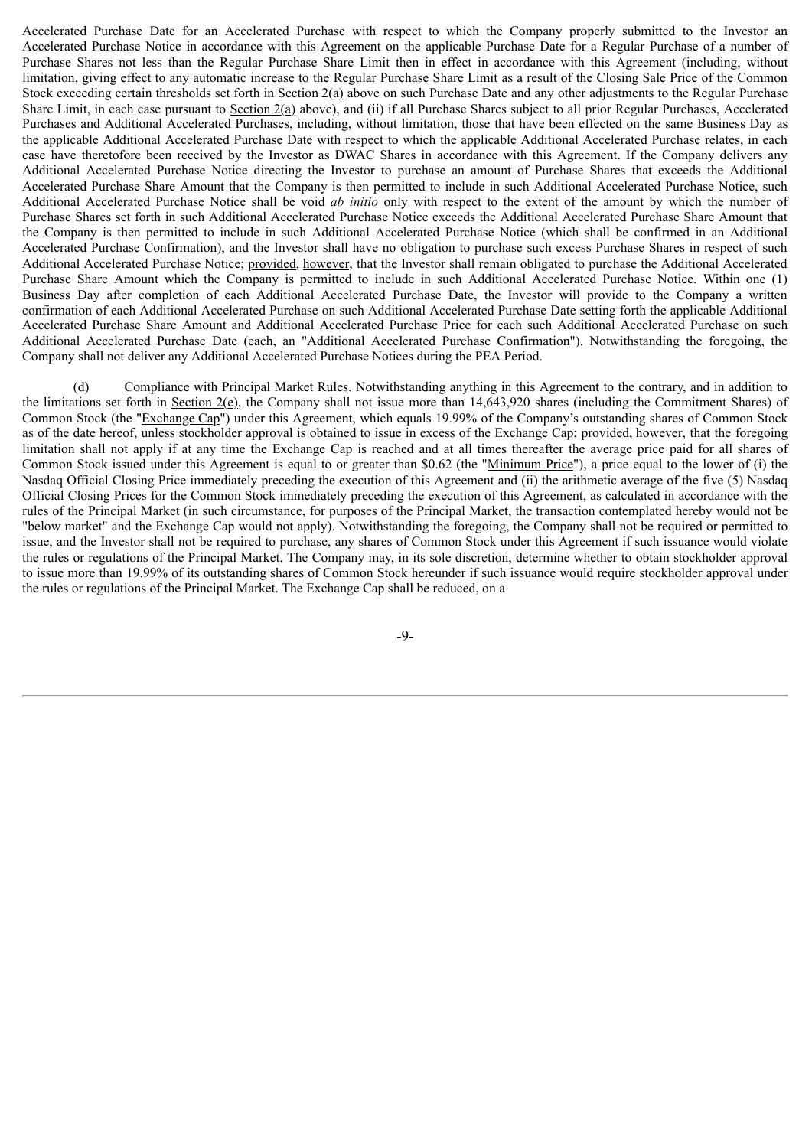Accelerated Purchase Date for an Accelerated Purchase with respect to which the Company properly submitted to the Investor an Accelerated Purchase Notice in accordance with this Agreement on the applicable Purchase Date for a Regular Purchase of a number of Purchase Shares not less than the Regular Purchase Share Limit then in effect in accordance with this Agreement (including, without limitation, giving effect to any automatic increase to the Regular Purchase Share Limit as a result of the Closing Sale Price of the Common Stock exceeding certain thresholds set forth in Section 2(a) above on such Purchase Date and any other adjustments to the Regular Purchase Share Limit, in each case pursuant to Section 2(a) above), and (ii) if all Purchase Shares subject to all prior Regular Purchases, Accelerated Purchases and Additional Accelerated Purchases, including, without limitation, those that have been effected on the same Business Day as the applicable Additional Accelerated Purchase Date with respect to which the applicable Additional Accelerated Purchase relates, in each case have theretofore been received by the Investor as DWAC Shares in accordance with this Agreement. If the Company delivers any Additional Accelerated Purchase Notice directing the Investor to purchase an amount of Purchase Shares that exceeds the Additional Accelerated Purchase Share Amount that the Company is then permitted to include in such Additional Accelerated Purchase Notice, such Additional Accelerated Purchase Notice shall be void *ab initio* only with respect to the extent of the amount by which the number of Purchase Shares set forth in such Additional Accelerated Purchase Notice exceeds the Additional Accelerated Purchase Share Amount that the Company is then permitted to include in such Additional Accelerated Purchase Notice (which shall be confirmed in an Additional Accelerated Purchase Confirmation), and the Investor shall have no obligation to purchase such excess Purchase Shares in respect of such Additional Accelerated Purchase Notice; provided, however, that the Investor shall remain obligated to purchase the Additional Accelerated Purchase Share Amount which the Company is permitted to include in such Additional Accelerated Purchase Notice. Within one (1) Business Day after completion of each Additional Accelerated Purchase Date, the Investor will provide to the Company a written confirmation of each Additional Accelerated Purchase on such Additional Accelerated Purchase Date setting forth the applicable Additional Accelerated Purchase Share Amount and Additional Accelerated Purchase Price for each such Additional Accelerated Purchase on such Additional Accelerated Purchase Date (each, an "Additional Accelerated Purchase Confirmation"). Notwithstanding the foregoing, the Company shall not deliver any Additional Accelerated Purchase Notices during the PEA Period.

(d) Compliance with Principal Market Rules. Notwithstanding anything in this Agreement to the contrary, and in addition to the limitations set forth in Section 2(e), the Company shall not issue more than 14,643,920 shares (including the Commitment Shares) of Common Stock (the "Exchange Cap") under this Agreement, which equals 19.99% of the Company's outstanding shares of Common Stock as of the date hereof, unless stockholder approval is obtained to issue in excess of the Exchange Cap; provided, however, that the foregoing limitation shall not apply if at any time the Exchange Cap is reached and at all times thereafter the average price paid for all shares of Common Stock issued under this Agreement is equal to or greater than \$0.62 (the "Minimum Price"), a price equal to the lower of (i) the Nasdaq Official Closing Price immediately preceding the execution of this Agreement and (ii) the arithmetic average of the five (5) Nasdaq Official Closing Prices for the Common Stock immediately preceding the execution of this Agreement, as calculated in accordance with the rules of the Principal Market (in such circumstance, for purposes of the Principal Market, the transaction contemplated hereby would not be "below market" and the Exchange Cap would not apply). Notwithstanding the foregoing, the Company shall not be required or permitted to issue, and the Investor shall not be required to purchase, any shares of Common Stock under this Agreement if such issuance would violate the rules or regulations of the Principal Market. The Company may, in its sole discretion, determine whether to obtain stockholder approval to issue more than 19.99% of its outstanding shares of Common Stock hereunder if such issuance would require stockholder approval under the rules or regulations of the Principal Market. The Exchange Cap shall be reduced, on a

-9-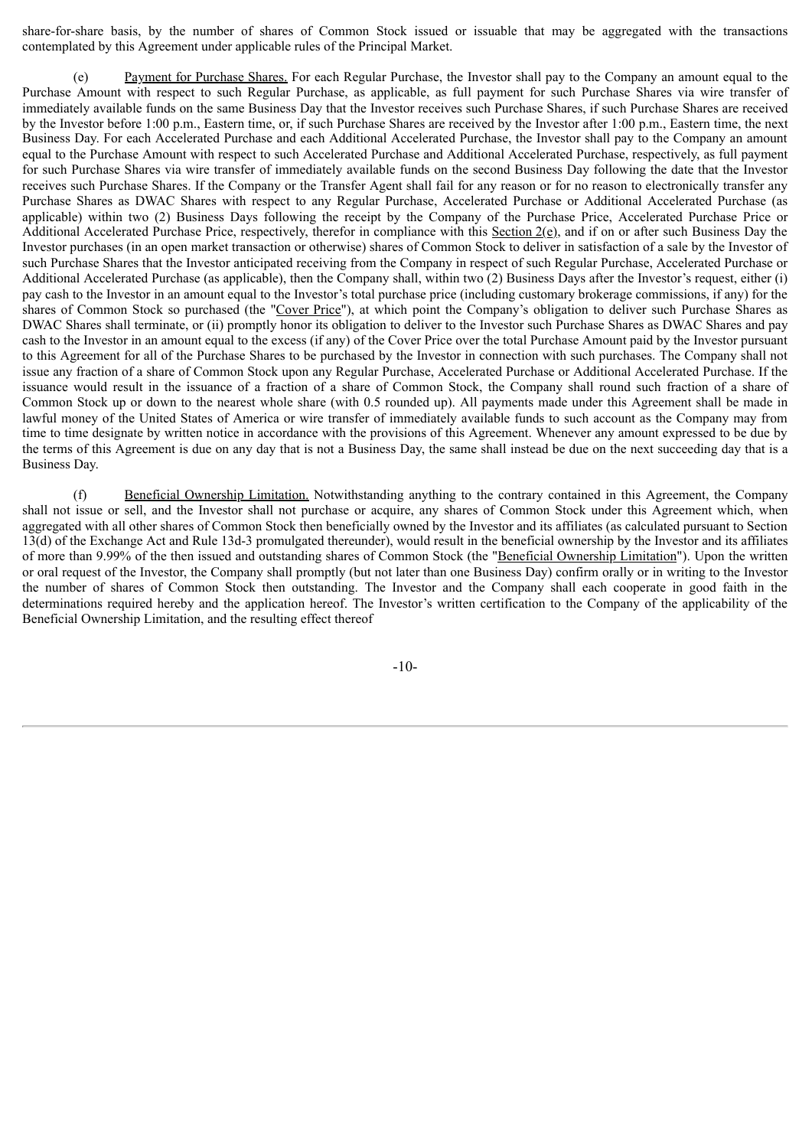share-for-share basis, by the number of shares of Common Stock issued or issuable that may be aggregated with the transactions contemplated by this Agreement under applicable rules of the Principal Market.

(e) Payment for Purchase Shares. For each Regular Purchase, the Investor shall pay to the Company an amount equal to the Purchase Amount with respect to such Regular Purchase, as applicable, as full payment for such Purchase Shares via wire transfer of immediately available funds on the same Business Day that the Investor receives such Purchase Shares, if such Purchase Shares are received by the Investor before 1:00 p.m., Eastern time, or, if such Purchase Shares are received by the Investor after 1:00 p.m., Eastern time, the next Business Day. For each Accelerated Purchase and each Additional Accelerated Purchase, the Investor shall pay to the Company an amount equal to the Purchase Amount with respect to such Accelerated Purchase and Additional Accelerated Purchase, respectively, as full payment for such Purchase Shares via wire transfer of immediately available funds on the second Business Day following the date that the Investor receives such Purchase Shares. If the Company or the Transfer Agent shall fail for any reason or for no reason to electronically transfer any Purchase Shares as DWAC Shares with respect to any Regular Purchase, Accelerated Purchase or Additional Accelerated Purchase (as applicable) within two (2) Business Days following the receipt by the Company of the Purchase Price, Accelerated Purchase Price or Additional Accelerated Purchase Price, respectively, therefor in compliance with this  $Section 2(e)$ , and if on or after such Business Day the Investor purchases (in an open market transaction or otherwise) shares of Common Stock to deliver in satisfaction of a sale by the Investor of such Purchase Shares that the Investor anticipated receiving from the Company in respect of such Regular Purchase, Accelerated Purchase or Additional Accelerated Purchase (as applicable), then the Company shall, within two (2) Business Days after the Investor's request, either (i) pay cash to the Investor in an amount equal to the Investor's total purchase price (including customary brokerage commissions, if any) for the shares of Common Stock so purchased (the "Cover Price"), at which point the Company's obligation to deliver such Purchase Shares as DWAC Shares shall terminate, or (ii) promptly honor its obligation to deliver to the Investor such Purchase Shares as DWAC Shares and pay cash to the Investor in an amount equal to the excess (if any) of the Cover Price over the total Purchase Amount paid by the Investor pursuant to this Agreement for all of the Purchase Shares to be purchased by the Investor in connection with such purchases. The Company shall not issue any fraction of a share of Common Stock upon any Regular Purchase, Accelerated Purchase or Additional Accelerated Purchase. If the issuance would result in the issuance of a fraction of a share of Common Stock, the Company shall round such fraction of a share of Common Stock up or down to the nearest whole share (with 0.5 rounded up). All payments made under this Agreement shall be made in lawful money of the United States of America or wire transfer of immediately available funds to such account as the Company may from time to time designate by written notice in accordance with the provisions of this Agreement. Whenever any amount expressed to be due by the terms of this Agreement is due on any day that is not a Business Day, the same shall instead be due on the next succeeding day that is a Business Day.

(f) Beneficial Ownership Limitation. Notwithstanding anything to the contrary contained in this Agreement, the Company shall not issue or sell, and the Investor shall not purchase or acquire, any shares of Common Stock under this Agreement which, when aggregated with all other shares of Common Stock then beneficially owned by the Investor and its affiliates (as calculated pursuant to Section 13(d) of the Exchange Act and Rule 13d-3 promulgated thereunder), would result in the beneficial ownership by the Investor and its affiliates of more than 9.99% of the then issued and outstanding shares of Common Stock (the "Beneficial Ownership Limitation"). Upon the written or oral request of the Investor, the Company shall promptly (but not later than one Business Day) confirm orally or in writing to the Investor the number of shares of Common Stock then outstanding. The Investor and the Company shall each cooperate in good faith in the determinations required hereby and the application hereof. The Investor's written certification to the Company of the applicability of the Beneficial Ownership Limitation, and the resulting effect thereof

-10-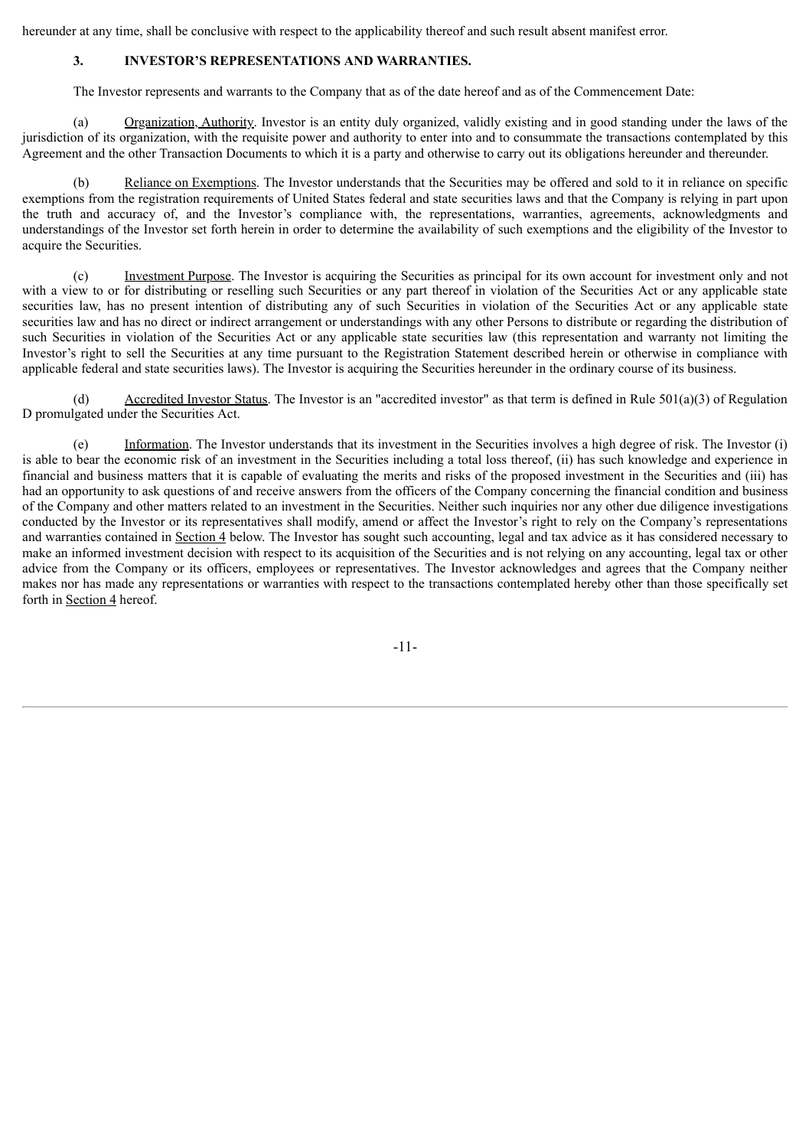hereunder at any time, shall be conclusive with respect to the applicability thereof and such result absent manifest error.

## **3. INVESTOR'S REPRESENTATIONS AND WARRANTIES.**

The Investor represents and warrants to the Company that as of the date hereof and as of the Commencement Date:

(a) Organization, Authority. Investor is an entity duly organized, validly existing and in good standing under the laws of the jurisdiction of its organization, with the requisite power and authority to enter into and to consummate the transactions contemplated by this Agreement and the other Transaction Documents to which it is a party and otherwise to carry out its obligations hereunder and thereunder.

Reliance on Exemptions. The Investor understands that the Securities may be offered and sold to it in reliance on specific exemptions from the registration requirements of United States federal and state securities laws and that the Company is relying in part upon the truth and accuracy of, and the Investor's compliance with, the representations, warranties, agreements, acknowledgments and understandings of the Investor set forth herein in order to determine the availability of such exemptions and the eligibility of the Investor to acquire the Securities.

(c) Investment Purpose. The Investor is acquiring the Securities as principal for its own account for investment only and not with a view to or for distributing or reselling such Securities or any part thereof in violation of the Securities Act or any applicable state securities law, has no present intention of distributing any of such Securities in violation of the Securities Act or any applicable state securities law and has no direct or indirect arrangement or understandings with any other Persons to distribute or regarding the distribution of such Securities in violation of the Securities Act or any applicable state securities law (this representation and warranty not limiting the Investor's right to sell the Securities at any time pursuant to the Registration Statement described herein or otherwise in compliance with applicable federal and state securities laws). The Investor is acquiring the Securities hereunder in the ordinary course of its business.

(d) Accredited Investor Status. The Investor is an "accredited investor" as that term is defined in Rule  $501(a)(3)$  of Regulation D promulgated under the Securities Act.

(e) Information. The Investor understands that its investment in the Securities involves a high degree of risk. The Investor (i) is able to bear the economic risk of an investment in the Securities including a total loss thereof, (ii) has such knowledge and experience in financial and business matters that it is capable of evaluating the merits and risks of the proposed investment in the Securities and (iii) has had an opportunity to ask questions of and receive answers from the officers of the Company concerning the financial condition and business of the Company and other matters related to an investment in the Securities. Neither such inquiries nor any other due diligence investigations conducted by the Investor or its representatives shall modify, amend or affect the Investor's right to rely on the Company's representations and warranties contained in Section 4 below. The Investor has sought such accounting, legal and tax advice as it has considered necessary to make an informed investment decision with respect to its acquisition of the Securities and is not relying on any accounting, legal tax or other advice from the Company or its officers, employees or representatives. The Investor acknowledges and agrees that the Company neither makes nor has made any representations or warranties with respect to the transactions contemplated hereby other than those specifically set forth in Section 4 hereof.

-11-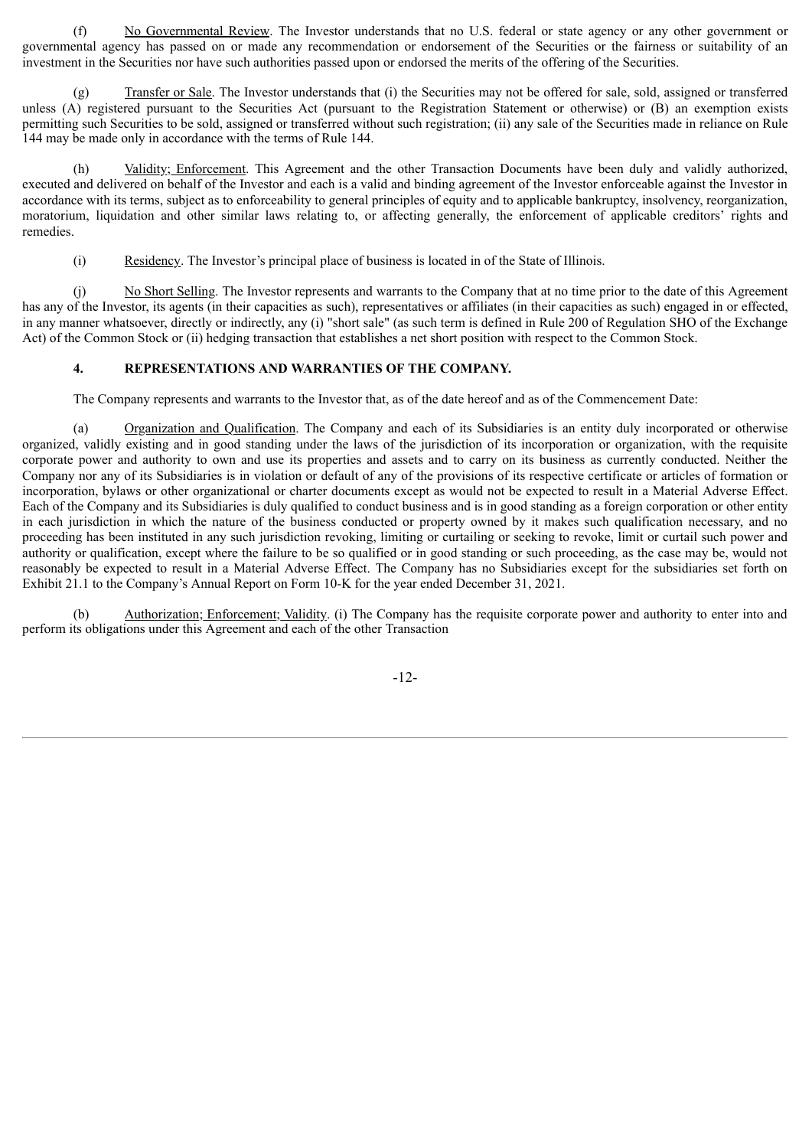(f) No Governmental Review. The Investor understands that no U.S. federal or state agency or any other government or governmental agency has passed on or made any recommendation or endorsement of the Securities or the fairness or suitability of an investment in the Securities nor have such authorities passed upon or endorsed the merits of the offering of the Securities.

(g) Transfer or Sale. The Investor understands that (i) the Securities may not be offered for sale, sold, assigned or transferred unless (A) registered pursuant to the Securities Act (pursuant to the Registration Statement or otherwise) or (B) an exemption exists permitting such Securities to be sold, assigned or transferred without such registration; (ii) any sale of the Securities made in reliance on Rule 144 may be made only in accordance with the terms of Rule 144.

(h) Validity; Enforcement. This Agreement and the other Transaction Documents have been duly and validly authorized, executed and delivered on behalf of the Investor and each is a valid and binding agreement of the Investor enforceable against the Investor in accordance with its terms, subject as to enforceability to general principles of equity and to applicable bankruptcy, insolvency, reorganization, moratorium, liquidation and other similar laws relating to, or affecting generally, the enforcement of applicable creditors' rights and remedies.

(i) Residency. The Investor's principal place of business is located in of the State of Illinois.

(j) No Short Selling. The Investor represents and warrants to the Company that at no time prior to the date of this Agreement has any of the Investor, its agents (in their capacities as such), representatives or affiliates (in their capacities as such) engaged in or effected, in any manner whatsoever, directly or indirectly, any (i) "short sale" (as such term is defined in Rule 200 of Regulation SHO of the Exchange Act) of the Common Stock or (ii) hedging transaction that establishes a net short position with respect to the Common Stock.

### **4. REPRESENTATIONS AND WARRANTIES OF THE COMPANY.**

The Company represents and warrants to the Investor that, as of the date hereof and as of the Commencement Date:

(a) Organization and Qualification. The Company and each of its Subsidiaries is an entity duly incorporated or otherwise organized, validly existing and in good standing under the laws of the jurisdiction of its incorporation or organization, with the requisite corporate power and authority to own and use its properties and assets and to carry on its business as currently conducted. Neither the Company nor any of its Subsidiaries is in violation or default of any of the provisions of its respective certificate or articles of formation or incorporation, bylaws or other organizational or charter documents except as would not be expected to result in a Material Adverse Effect. Each of the Company and its Subsidiaries is duly qualified to conduct business and is in good standing as a foreign corporation or other entity in each jurisdiction in which the nature of the business conducted or property owned by it makes such qualification necessary, and no proceeding has been instituted in any such jurisdiction revoking, limiting or curtailing or seeking to revoke, limit or curtail such power and authority or qualification, except where the failure to be so qualified or in good standing or such proceeding, as the case may be, would not reasonably be expected to result in a Material Adverse Effect. The Company has no Subsidiaries except for the subsidiaries set forth on Exhibit 21.1 to the Company's Annual Report on Form 10-K for the year ended December 31, 2021.

(b) Authorization; Enforcement; Validity. (i) The Company has the requisite corporate power and authority to enter into and perform its obligations under this Agreement and each of the other Transaction

-12-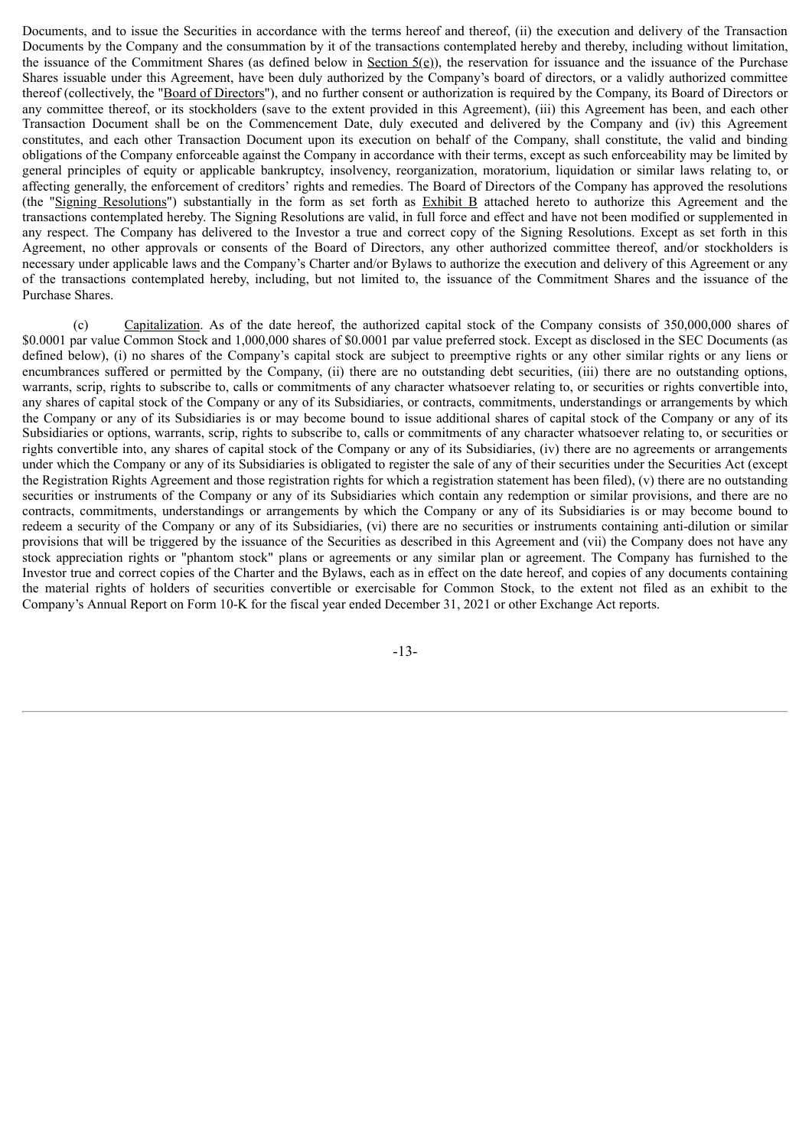Documents, and to issue the Securities in accordance with the terms hereof and thereof, (ii) the execution and delivery of the Transaction Documents by the Company and the consummation by it of the transactions contemplated hereby and thereby, including without limitation, the issuance of the Commitment Shares (as defined below in Section  $5(\text{e})$ ), the reservation for issuance and the issuance of the Purchase Shares issuable under this Agreement, have been duly authorized by the Company's board of directors, or a validly authorized committee thereof (collectively, the "Board of Directors"), and no further consent or authorization is required by the Company, its Board of Directors or any committee thereof, or its stockholders (save to the extent provided in this Agreement), (iii) this Agreement has been, and each other Transaction Document shall be on the Commencement Date, duly executed and delivered by the Company and (iv) this Agreement constitutes, and each other Transaction Document upon its execution on behalf of the Company, shall constitute, the valid and binding obligations of the Company enforceable against the Company in accordance with their terms, except as such enforceability may be limited by general principles of equity or applicable bankruptcy, insolvency, reorganization, moratorium, liquidation or similar laws relating to, or affecting generally, the enforcement of creditors' rights and remedies. The Board of Directors of the Company has approved the resolutions (the "Signing Resolutions") substantially in the form as set forth as Exhibit B attached hereto to authorize this Agreement and the transactions contemplated hereby. The Signing Resolutions are valid, in full force and effect and have not been modified or supplemented in any respect. The Company has delivered to the Investor a true and correct copy of the Signing Resolutions. Except as set forth in this Agreement, no other approvals or consents of the Board of Directors, any other authorized committee thereof, and/or stockholders is necessary under applicable laws and the Company's Charter and/or Bylaws to authorize the execution and delivery of this Agreement or any of the transactions contemplated hereby, including, but not limited to, the issuance of the Commitment Shares and the issuance of the Purchase Shares.

(c) Capitalization. As of the date hereof, the authorized capital stock of the Company consists of 350,000,000 shares of \$0.0001 par value Common Stock and 1,000,000 shares of \$0.0001 par value preferred stock. Except as disclosed in the SEC Documents (as defined below), (i) no shares of the Company's capital stock are subject to preemptive rights or any other similar rights or any liens or encumbrances suffered or permitted by the Company, (ii) there are no outstanding debt securities, (iii) there are no outstanding options, warrants, scrip, rights to subscribe to, calls or commitments of any character whatsoever relating to, or securities or rights convertible into, any shares of capital stock of the Company or any of its Subsidiaries, or contracts, commitments, understandings or arrangements by which the Company or any of its Subsidiaries is or may become bound to issue additional shares of capital stock of the Company or any of its Subsidiaries or options, warrants, scrip, rights to subscribe to, calls or commitments of any character whatsoever relating to, or securities or rights convertible into, any shares of capital stock of the Company or any of its Subsidiaries, (iv) there are no agreements or arrangements under which the Company or any of its Subsidiaries is obligated to register the sale of any of their securities under the Securities Act (except the Registration Rights Agreement and those registration rights for which a registration statement has been filed), (v) there are no outstanding securities or instruments of the Company or any of its Subsidiaries which contain any redemption or similar provisions, and there are no contracts, commitments, understandings or arrangements by which the Company or any of its Subsidiaries is or may become bound to redeem a security of the Company or any of its Subsidiaries, (vi) there are no securities or instruments containing anti-dilution or similar provisions that will be triggered by the issuance of the Securities as described in this Agreement and (vii) the Company does not have any stock appreciation rights or "phantom stock" plans or agreements or any similar plan or agreement. The Company has furnished to the Investor true and correct copies of the Charter and the Bylaws, each as in effect on the date hereof, and copies of any documents containing the material rights of holders of securities convertible or exercisable for Common Stock, to the extent not filed as an exhibit to the Company's Annual Report on Form 10-K for the fiscal year ended December 31, 2021 or other Exchange Act reports.

-13-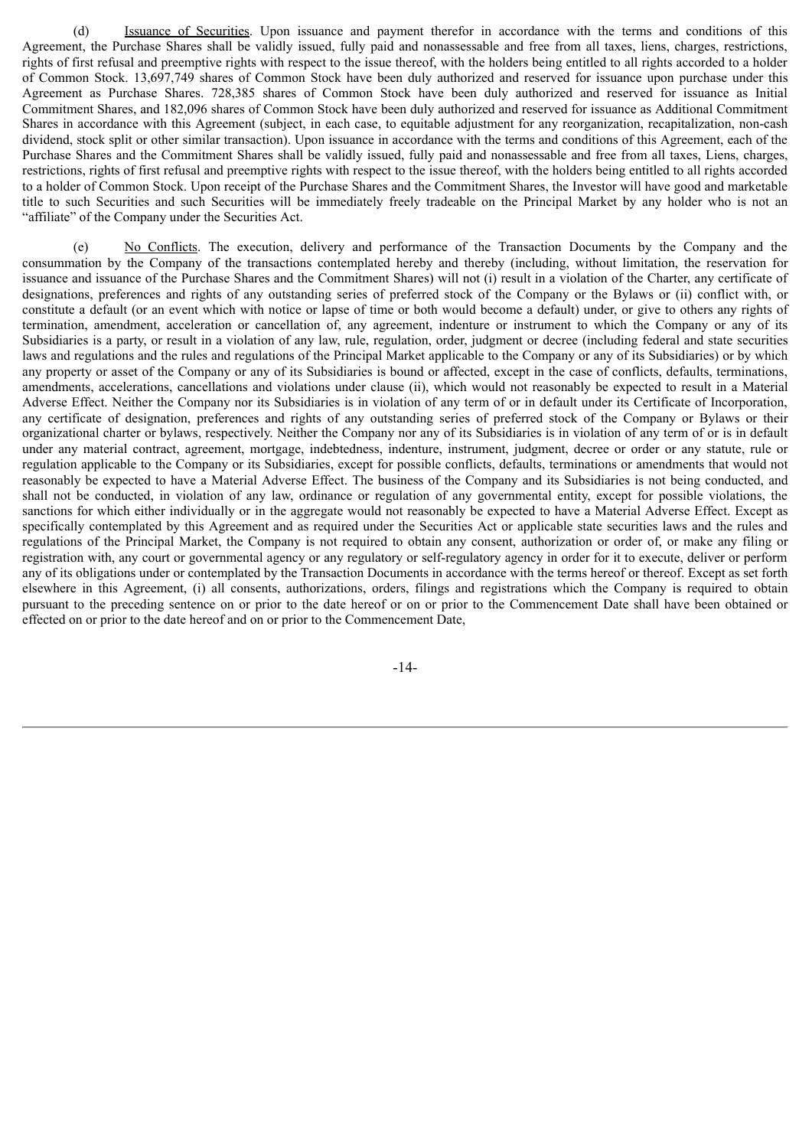(d) Issuance of Securities. Upon issuance and payment therefor in accordance with the terms and conditions of this Agreement, the Purchase Shares shall be validly issued, fully paid and nonassessable and free from all taxes, liens, charges, restrictions, rights of first refusal and preemptive rights with respect to the issue thereof, with the holders being entitled to all rights accorded to a holder of Common Stock. 13,697,749 shares of Common Stock have been duly authorized and reserved for issuance upon purchase under this Agreement as Purchase Shares. 728,385 shares of Common Stock have been duly authorized and reserved for issuance as Initial Commitment Shares, and 182,096 shares of Common Stock have been duly authorized and reserved for issuance as Additional Commitment Shares in accordance with this Agreement (subject, in each case, to equitable adjustment for any reorganization, recapitalization, non-cash dividend, stock split or other similar transaction). Upon issuance in accordance with the terms and conditions of this Agreement, each of the Purchase Shares and the Commitment Shares shall be validly issued, fully paid and nonassessable and free from all taxes, Liens, charges, restrictions, rights of first refusal and preemptive rights with respect to the issue thereof, with the holders being entitled to all rights accorded to a holder of Common Stock. Upon receipt of the Purchase Shares and the Commitment Shares, the Investor will have good and marketable title to such Securities and such Securities will be immediately freely tradeable on the Principal Market by any holder who is not an "affiliate" of the Company under the Securities Act.

(e) No Conflicts. The execution, delivery and performance of the Transaction Documents by the Company and the consummation by the Company of the transactions contemplated hereby and thereby (including, without limitation, the reservation for issuance and issuance of the Purchase Shares and the Commitment Shares) will not (i) result in a violation of the Charter, any certificate of designations, preferences and rights of any outstanding series of preferred stock of the Company or the Bylaws or (ii) conflict with, or constitute a default (or an event which with notice or lapse of time or both would become a default) under, or give to others any rights of termination, amendment, acceleration or cancellation of, any agreement, indenture or instrument to which the Company or any of its Subsidiaries is a party, or result in a violation of any law, rule, regulation, order, judgment or decree (including federal and state securities laws and regulations and the rules and regulations of the Principal Market applicable to the Company or any of its Subsidiaries) or by which any property or asset of the Company or any of its Subsidiaries is bound or affected, except in the case of conflicts, defaults, terminations, amendments, accelerations, cancellations and violations under clause (ii), which would not reasonably be expected to result in a Material Adverse Effect. Neither the Company nor its Subsidiaries is in violation of any term of or in default under its Certificate of Incorporation, any certificate of designation, preferences and rights of any outstanding series of preferred stock of the Company or Bylaws or their organizational charter or bylaws, respectively. Neither the Company nor any of its Subsidiaries is in violation of any term of or is in default under any material contract, agreement, mortgage, indebtedness, indenture, instrument, judgment, decree or order or any statute, rule or regulation applicable to the Company or its Subsidiaries, except for possible conflicts, defaults, terminations or amendments that would not reasonably be expected to have a Material Adverse Effect. The business of the Company and its Subsidiaries is not being conducted, and shall not be conducted, in violation of any law, ordinance or regulation of any governmental entity, except for possible violations, the sanctions for which either individually or in the aggregate would not reasonably be expected to have a Material Adverse Effect. Except as specifically contemplated by this Agreement and as required under the Securities Act or applicable state securities laws and the rules and regulations of the Principal Market, the Company is not required to obtain any consent, authorization or order of, or make any filing or registration with, any court or governmental agency or any regulatory or self-regulatory agency in order for it to execute, deliver or perform any of its obligations under or contemplated by the Transaction Documents in accordance with the terms hereof or thereof. Except as set forth elsewhere in this Agreement, (i) all consents, authorizations, orders, filings and registrations which the Company is required to obtain pursuant to the preceding sentence on or prior to the date hereof or on or prior to the Commencement Date shall have been obtained or effected on or prior to the date hereof and on or prior to the Commencement Date,

-14-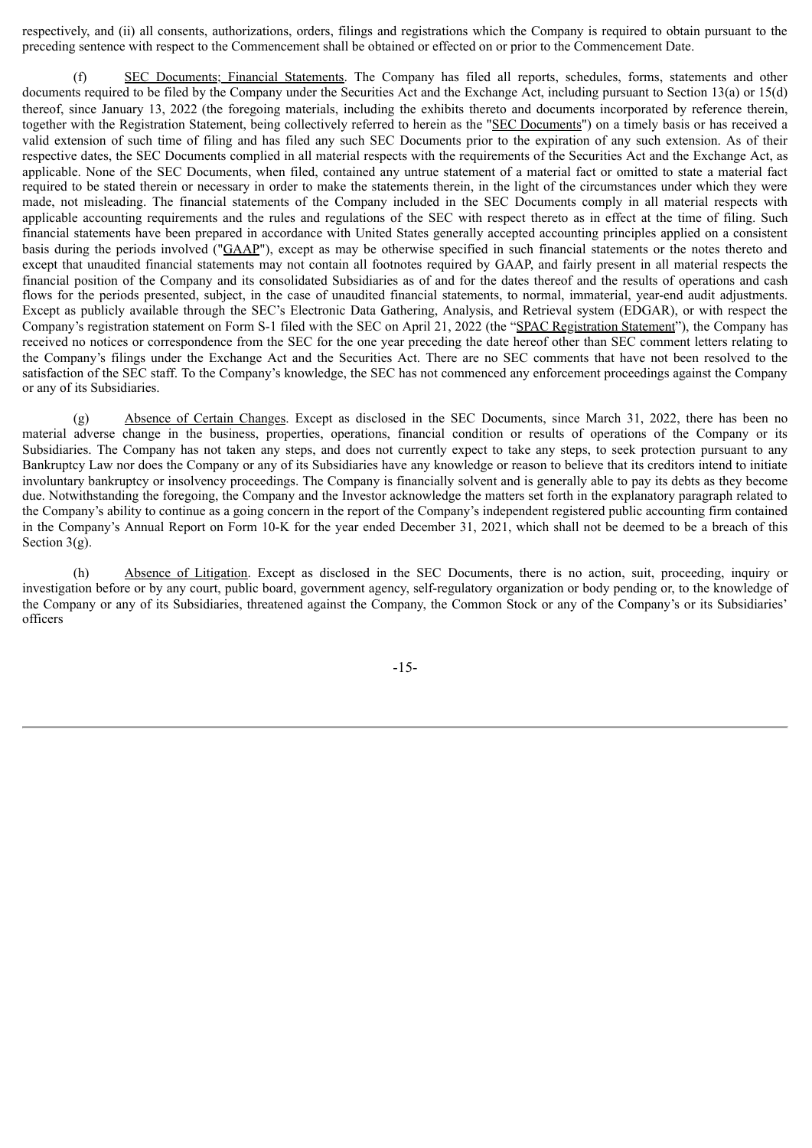respectively, and (ii) all consents, authorizations, orders, filings and registrations which the Company is required to obtain pursuant to the preceding sentence with respect to the Commencement shall be obtained or effected on or prior to the Commencement Date.

(f) SEC Documents; Financial Statements. The Company has filed all reports, schedules, forms, statements and other documents required to be filed by the Company under the Securities Act and the Exchange Act, including pursuant to Section 13(a) or 15(d) thereof, since January 13, 2022 (the foregoing materials, including the exhibits thereto and documents incorporated by reference therein, together with the Registration Statement, being collectively referred to herein as the "SEC Documents") on a timely basis or has received a valid extension of such time of filing and has filed any such SEC Documents prior to the expiration of any such extension. As of their respective dates, the SEC Documents complied in all material respects with the requirements of the Securities Act and the Exchange Act, as applicable. None of the SEC Documents, when filed, contained any untrue statement of a material fact or omitted to state a material fact required to be stated therein or necessary in order to make the statements therein, in the light of the circumstances under which they were made, not misleading. The financial statements of the Company included in the SEC Documents comply in all material respects with applicable accounting requirements and the rules and regulations of the SEC with respect thereto as in effect at the time of filing. Such financial statements have been prepared in accordance with United States generally accepted accounting principles applied on a consistent basis during the periods involved ("GAAP"), except as may be otherwise specified in such financial statements or the notes thereto and except that unaudited financial statements may not contain all footnotes required by GAAP, and fairly present in all material respects the financial position of the Company and its consolidated Subsidiaries as of and for the dates thereof and the results of operations and cash flows for the periods presented, subject, in the case of unaudited financial statements, to normal, immaterial, year-end audit adjustments. Except as publicly available through the SEC's Electronic Data Gathering, Analysis, and Retrieval system (EDGAR), or with respect the Company's registration statement on Form S-1 filed with the SEC on April 21, 2022 (the "SPAC Registration Statement"), the Company has received no notices or correspondence from the SEC for the one year preceding the date hereof other than SEC comment letters relating to the Company's filings under the Exchange Act and the Securities Act. There are no SEC comments that have not been resolved to the satisfaction of the SEC staff. To the Company's knowledge, the SEC has not commenced any enforcement proceedings against the Company or any of its Subsidiaries.

(g) Absence of Certain Changes. Except as disclosed in the SEC Documents, since March 31, 2022, there has been no material adverse change in the business, properties, operations, financial condition or results of operations of the Company or its Subsidiaries. The Company has not taken any steps, and does not currently expect to take any steps, to seek protection pursuant to any Bankruptcy Law nor does the Company or any of its Subsidiaries have any knowledge or reason to believe that its creditors intend to initiate involuntary bankruptcy or insolvency proceedings. The Company is financially solvent and is generally able to pay its debts as they become due. Notwithstanding the foregoing, the Company and the Investor acknowledge the matters set forth in the explanatory paragraph related to the Company's ability to continue as a going concern in the report of the Company's independent registered public accounting firm contained in the Company's Annual Report on Form 10-K for the year ended December 31, 2021, which shall not be deemed to be a breach of this Section  $3(g)$ .

(h) Absence of Litigation. Except as disclosed in the SEC Documents, there is no action, suit, proceeding, inquiry or investigation before or by any court, public board, government agency, self-regulatory organization or body pending or, to the knowledge of the Company or any of its Subsidiaries, threatened against the Company, the Common Stock or any of the Company's or its Subsidiaries' officers

-15-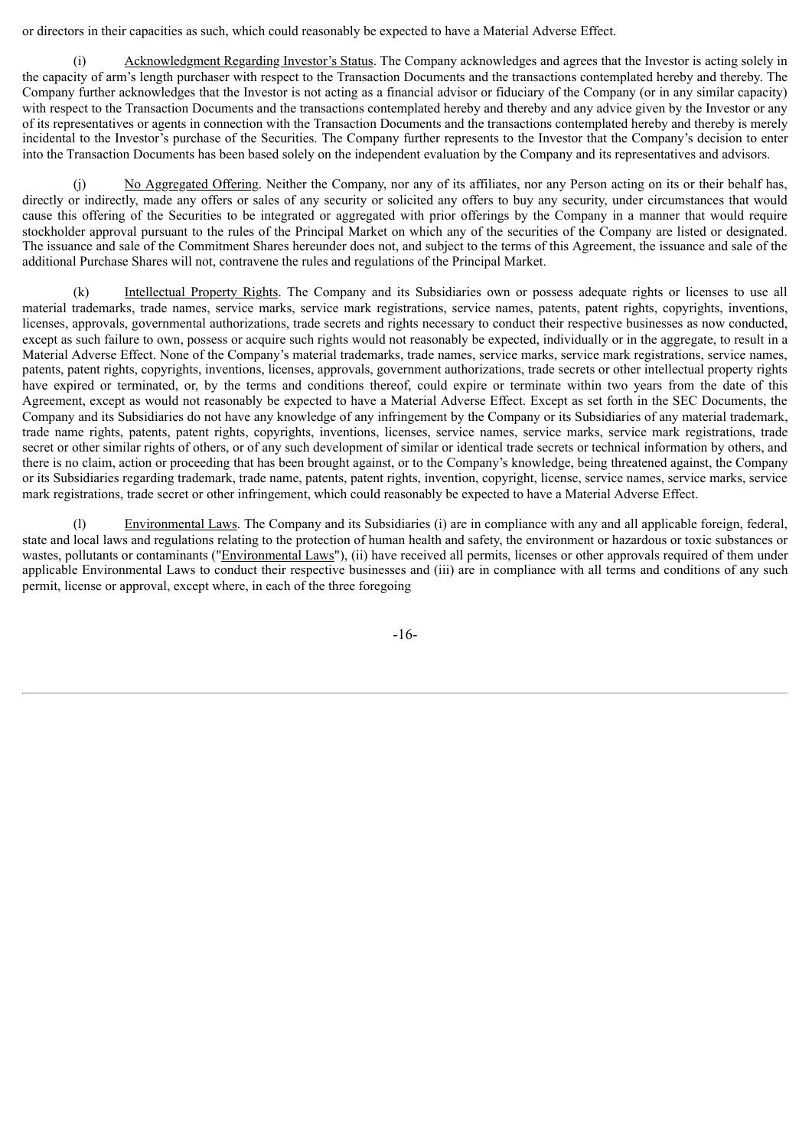or directors in their capacities as such, which could reasonably be expected to have a Material Adverse Effect.

(i) Acknowledgment Regarding Investor's Status. The Company acknowledges and agrees that the Investor is acting solely in the capacity of arm's length purchaser with respect to the Transaction Documents and the transactions contemplated hereby and thereby. The Company further acknowledges that the Investor is not acting as a financial advisor or fiduciary of the Company (or in any similar capacity) with respect to the Transaction Documents and the transactions contemplated hereby and thereby and any advice given by the Investor or any of its representatives or agents in connection with the Transaction Documents and the transactions contemplated hereby and thereby is merely incidental to the Investor's purchase of the Securities. The Company further represents to the Investor that the Company's decision to enter into the Transaction Documents has been based solely on the independent evaluation by the Company and its representatives and advisors.

(j) No Aggregated Offering. Neither the Company, nor any of its affiliates, nor any Person acting on its or their behalf has, directly or indirectly, made any offers or sales of any security or solicited any offers to buy any security, under circumstances that would cause this offering of the Securities to be integrated or aggregated with prior offerings by the Company in a manner that would require stockholder approval pursuant to the rules of the Principal Market on which any of the securities of the Company are listed or designated. The issuance and sale of the Commitment Shares hereunder does not, and subject to the terms of this Agreement, the issuance and sale of the additional Purchase Shares will not, contravene the rules and regulations of the Principal Market.

(k) Intellectual Property Rights. The Company and its Subsidiaries own or possess adequate rights or licenses to use all material trademarks, trade names, service marks, service mark registrations, service names, patents, patent rights, copyrights, inventions, licenses, approvals, governmental authorizations, trade secrets and rights necessary to conduct their respective businesses as now conducted, except as such failure to own, possess or acquire such rights would not reasonably be expected, individually or in the aggregate, to result in a Material Adverse Effect. None of the Company's material trademarks, trade names, service marks, service mark registrations, service names, patents, patent rights, copyrights, inventions, licenses, approvals, government authorizations, trade secrets or other intellectual property rights have expired or terminated, or, by the terms and conditions thereof, could expire or terminate within two years from the date of this Agreement, except as would not reasonably be expected to have a Material Adverse Effect. Except as set forth in the SEC Documents, the Company and its Subsidiaries do not have any knowledge of any infringement by the Company or its Subsidiaries of any material trademark, trade name rights, patents, patent rights, copyrights, inventions, licenses, service names, service marks, service mark registrations, trade secret or other similar rights of others, or of any such development of similar or identical trade secrets or technical information by others, and there is no claim, action or proceeding that has been brought against, or to the Company's knowledge, being threatened against, the Company or its Subsidiaries regarding trademark, trade name, patents, patent rights, invention, copyright, license, service names, service marks, service mark registrations, trade secret or other infringement, which could reasonably be expected to have a Material Adverse Effect.

(l) Environmental Laws. The Company and its Subsidiaries (i) are in compliance with any and all applicable foreign, federal, state and local laws and regulations relating to the protection of human health and safety, the environment or hazardous or toxic substances or wastes, pollutants or contaminants ("Environmental Laws"), (ii) have received all permits, licenses or other approvals required of them under applicable Environmental Laws to conduct their respective businesses and (iii) are in compliance with all terms and conditions of any such permit, license or approval, except where, in each of the three foregoing

-16-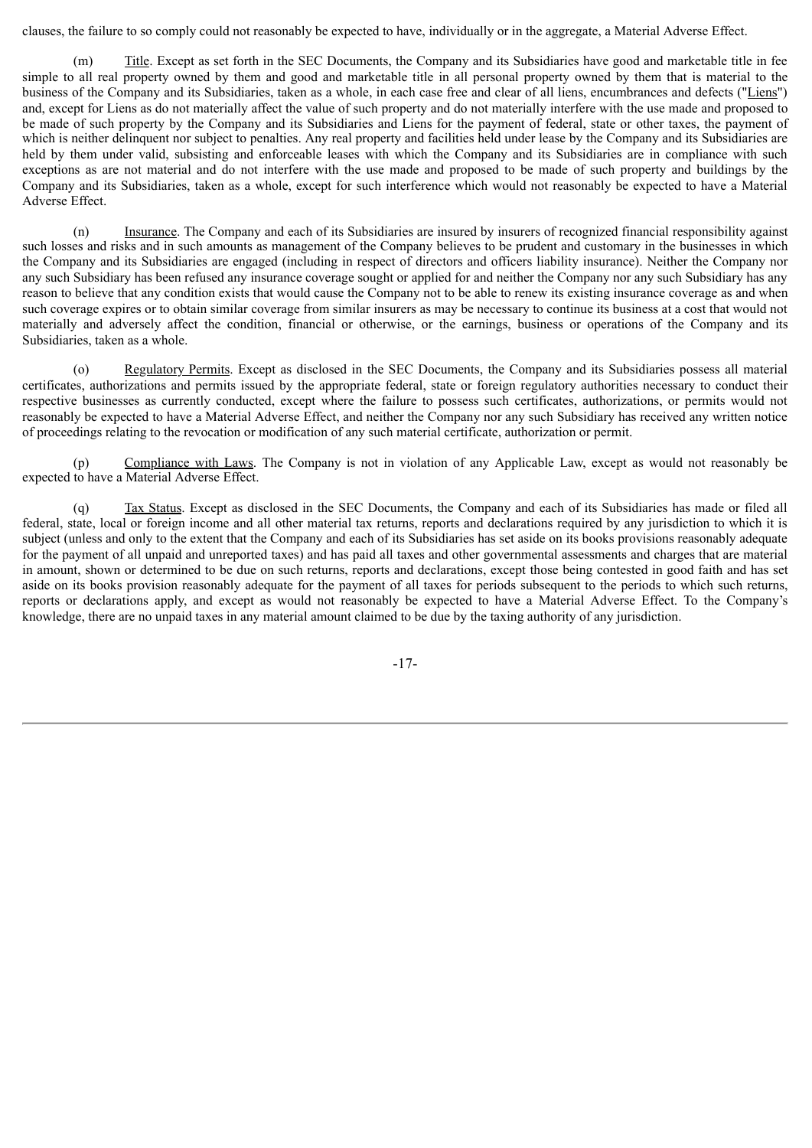clauses, the failure to so comply could not reasonably be expected to have, individually or in the aggregate, a Material Adverse Effect.

(m) Title. Except as set forth in the SEC Documents, the Company and its Subsidiaries have good and marketable title in fee simple to all real property owned by them and good and marketable title in all personal property owned by them that is material to the business of the Company and its Subsidiaries, taken as a whole, in each case free and clear of all liens, encumbrances and defects ("Liens") and, except for Liens as do not materially affect the value of such property and do not materially interfere with the use made and proposed to be made of such property by the Company and its Subsidiaries and Liens for the payment of federal, state or other taxes, the payment of which is neither delinquent nor subject to penalties. Any real property and facilities held under lease by the Company and its Subsidiaries are held by them under valid, subsisting and enforceable leases with which the Company and its Subsidiaries are in compliance with such exceptions as are not material and do not interfere with the use made and proposed to be made of such property and buildings by the Company and its Subsidiaries, taken as a whole, except for such interference which would not reasonably be expected to have a Material Adverse Effect.

(n) Insurance. The Company and each of its Subsidiaries are insured by insurers of recognized financial responsibility against such losses and risks and in such amounts as management of the Company believes to be prudent and customary in the businesses in which the Company and its Subsidiaries are engaged (including in respect of directors and officers liability insurance). Neither the Company nor any such Subsidiary has been refused any insurance coverage sought or applied for and neither the Company nor any such Subsidiary has any reason to believe that any condition exists that would cause the Company not to be able to renew its existing insurance coverage as and when such coverage expires or to obtain similar coverage from similar insurers as may be necessary to continue its business at a cost that would not materially and adversely affect the condition, financial or otherwise, or the earnings, business or operations of the Company and its Subsidiaries, taken as a whole.

(o) Regulatory Permits. Except as disclosed in the SEC Documents, the Company and its Subsidiaries possess all material certificates, authorizations and permits issued by the appropriate federal, state or foreign regulatory authorities necessary to conduct their respective businesses as currently conducted, except where the failure to possess such certificates, authorizations, or permits would not reasonably be expected to have a Material Adverse Effect, and neither the Company nor any such Subsidiary has received any written notice of proceedings relating to the revocation or modification of any such material certificate, authorization or permit.

(p) Compliance with Laws. The Company is not in violation of any Applicable Law, except as would not reasonably be expected to have a Material Adverse Effect.

(q) Tax Status. Except as disclosed in the SEC Documents, the Company and each of its Subsidiaries has made or filed all federal, state, local or foreign income and all other material tax returns, reports and declarations required by any jurisdiction to which it is subject (unless and only to the extent that the Company and each of its Subsidiaries has set aside on its books provisions reasonably adequate for the payment of all unpaid and unreported taxes) and has paid all taxes and other governmental assessments and charges that are material in amount, shown or determined to be due on such returns, reports and declarations, except those being contested in good faith and has set aside on its books provision reasonably adequate for the payment of all taxes for periods subsequent to the periods to which such returns, reports or declarations apply, and except as would not reasonably be expected to have a Material Adverse Effect. To the Company's knowledge, there are no unpaid taxes in any material amount claimed to be due by the taxing authority of any jurisdiction.

-17-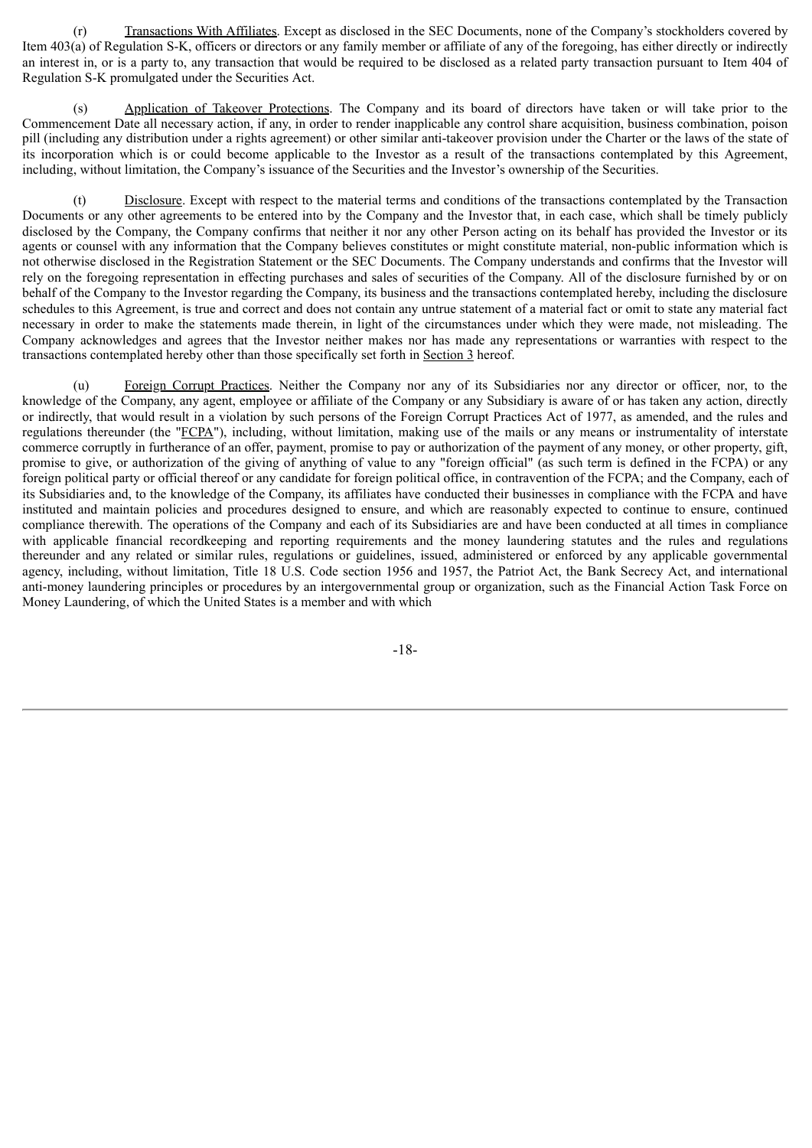(r) Transactions With Affiliates. Except as disclosed in the SEC Documents, none of the Company's stockholders covered by Item 403(a) of Regulation S-K, officers or directors or any family member or affiliate of any of the foregoing, has either directly or indirectly an interest in, or is a party to, any transaction that would be required to be disclosed as a related party transaction pursuant to Item 404 of Regulation S-K promulgated under the Securities Act.

(s) Application of Takeover Protections. The Company and its board of directors have taken or will take prior to the Commencement Date all necessary action, if any, in order to render inapplicable any control share acquisition, business combination, poison pill (including any distribution under a rights agreement) or other similar anti-takeover provision under the Charter or the laws of the state of its incorporation which is or could become applicable to the Investor as a result of the transactions contemplated by this Agreement, including, without limitation, the Company's issuance of the Securities and the Investor's ownership of the Securities.

(t) Disclosure. Except with respect to the material terms and conditions of the transactions contemplated by the Transaction Documents or any other agreements to be entered into by the Company and the Investor that, in each case, which shall be timely publicly disclosed by the Company, the Company confirms that neither it nor any other Person acting on its behalf has provided the Investor or its agents or counsel with any information that the Company believes constitutes or might constitute material, non-public information which is not otherwise disclosed in the Registration Statement or the SEC Documents. The Company understands and confirms that the Investor will rely on the foregoing representation in effecting purchases and sales of securities of the Company. All of the disclosure furnished by or on behalf of the Company to the Investor regarding the Company, its business and the transactions contemplated hereby, including the disclosure schedules to this Agreement, is true and correct and does not contain any untrue statement of a material fact or omit to state any material fact necessary in order to make the statements made therein, in light of the circumstances under which they were made, not misleading. The Company acknowledges and agrees that the Investor neither makes nor has made any representations or warranties with respect to the transactions contemplated hereby other than those specifically set forth in Section 3 hereof.

(u) Foreign Corrupt Practices. Neither the Company nor any of its Subsidiaries nor any director or officer, nor, to the knowledge of the Company, any agent, employee or affiliate of the Company or any Subsidiary is aware of or has taken any action, directly or indirectly, that would result in a violation by such persons of the Foreign Corrupt Practices Act of 1977, as amended, and the rules and regulations thereunder (the "FCPA"), including, without limitation, making use of the mails or any means or instrumentality of interstate commerce corruptly in furtherance of an offer, payment, promise to pay or authorization of the payment of any money, or other property, gift, promise to give, or authorization of the giving of anything of value to any "foreign official" (as such term is defined in the FCPA) or any foreign political party or official thereof or any candidate for foreign political office, in contravention of the FCPA; and the Company, each of its Subsidiaries and, to the knowledge of the Company, its affiliates have conducted their businesses in compliance with the FCPA and have instituted and maintain policies and procedures designed to ensure, and which are reasonably expected to continue to ensure, continued compliance therewith. The operations of the Company and each of its Subsidiaries are and have been conducted at all times in compliance with applicable financial recordkeeping and reporting requirements and the money laundering statutes and the rules and regulations thereunder and any related or similar rules, regulations or guidelines, issued, administered or enforced by any applicable governmental agency, including, without limitation, Title 18 U.S. Code section 1956 and 1957, the Patriot Act, the Bank Secrecy Act, and international anti-money laundering principles or procedures by an intergovernmental group or organization, such as the Financial Action Task Force on Money Laundering, of which the United States is a member and with which

-18-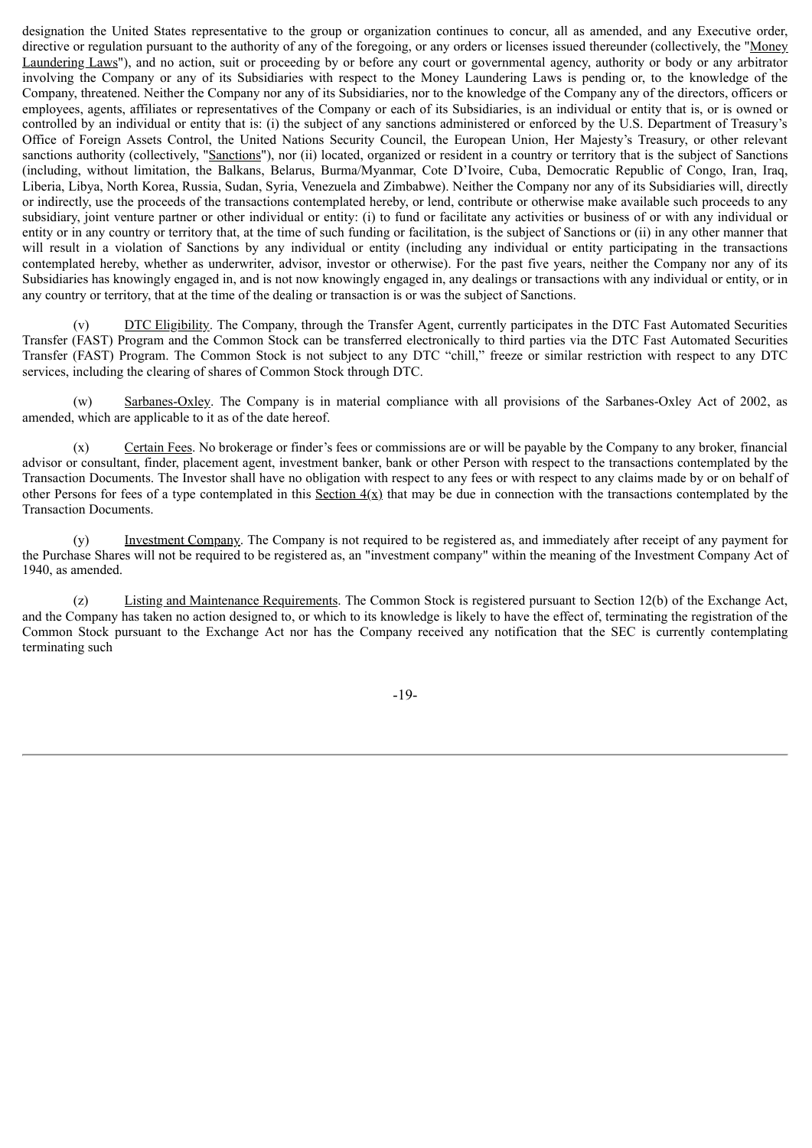designation the United States representative to the group or organization continues to concur, all as amended, and any Executive order, directive or regulation pursuant to the authority of any of the foregoing, or any orders or licenses issued thereunder (collectively, the "Money Laundering Laws"), and no action, suit or proceeding by or before any court or governmental agency, authority or body or any arbitrator involving the Company or any of its Subsidiaries with respect to the Money Laundering Laws is pending or, to the knowledge of the Company, threatened. Neither the Company nor any of its Subsidiaries, nor to the knowledge of the Company any of the directors, officers or employees, agents, affiliates or representatives of the Company or each of its Subsidiaries, is an individual or entity that is, or is owned or controlled by an individual or entity that is: (i) the subject of any sanctions administered or enforced by the U.S. Department of Treasury's Office of Foreign Assets Control, the United Nations Security Council, the European Union, Her Majesty's Treasury, or other relevant sanctions authority (collectively, "Sanctions"), nor (ii) located, organized or resident in a country or territory that is the subject of Sanctions (including, without limitation, the Balkans, Belarus, Burma/Myanmar, Cote D'Ivoire, Cuba, Democratic Republic of Congo, Iran, Iraq, Liberia, Libya, North Korea, Russia, Sudan, Syria, Venezuela and Zimbabwe). Neither the Company nor any of its Subsidiaries will, directly or indirectly, use the proceeds of the transactions contemplated hereby, or lend, contribute or otherwise make available such proceeds to any subsidiary, joint venture partner or other individual or entity: (i) to fund or facilitate any activities or business of or with any individual or entity or in any country or territory that, at the time of such funding or facilitation, is the subject of Sanctions or (ii) in any other manner that will result in a violation of Sanctions by any individual or entity (including any individual or entity participating in the transactions contemplated hereby, whether as underwriter, advisor, investor or otherwise). For the past five years, neither the Company nor any of its Subsidiaries has knowingly engaged in, and is not now knowingly engaged in, any dealings or transactions with any individual or entity, or in any country or territory, that at the time of the dealing or transaction is or was the subject of Sanctions.

(v) DTC Eligibility. The Company, through the Transfer Agent, currently participates in the DTC Fast Automated Securities Transfer (FAST) Program and the Common Stock can be transferred electronically to third parties via the DTC Fast Automated Securities Transfer (FAST) Program. The Common Stock is not subject to any DTC "chill," freeze or similar restriction with respect to any DTC services, including the clearing of shares of Common Stock through DTC.

(w) Sarbanes-Oxley. The Company is in material compliance with all provisions of the Sarbanes-Oxley Act of 2002, as amended, which are applicable to it as of the date hereof.

(x) Certain Fees. No brokerage or finder's fees or commissions are or will be payable by the Company to any broker, financial advisor or consultant, finder, placement agent, investment banker, bank or other Person with respect to the transactions contemplated by the Transaction Documents. The Investor shall have no obligation with respect to any fees or with respect to any claims made by or on behalf of other Persons for fees of a type contemplated in this Section  $4(x)$  that may be due in connection with the transactions contemplated by the Transaction Documents.

(y) Investment Company. The Company is not required to be registered as, and immediately after receipt of any payment for the Purchase Shares will not be required to be registered as, an "investment company" within the meaning of the Investment Company Act of 1940, as amended.

(z) Listing and Maintenance Requirements. The Common Stock is registered pursuant to Section 12(b) of the Exchange Act, and the Company has taken no action designed to, or which to its knowledge is likely to have the effect of, terminating the registration of the Common Stock pursuant to the Exchange Act nor has the Company received any notification that the SEC is currently contemplating terminating such

-19-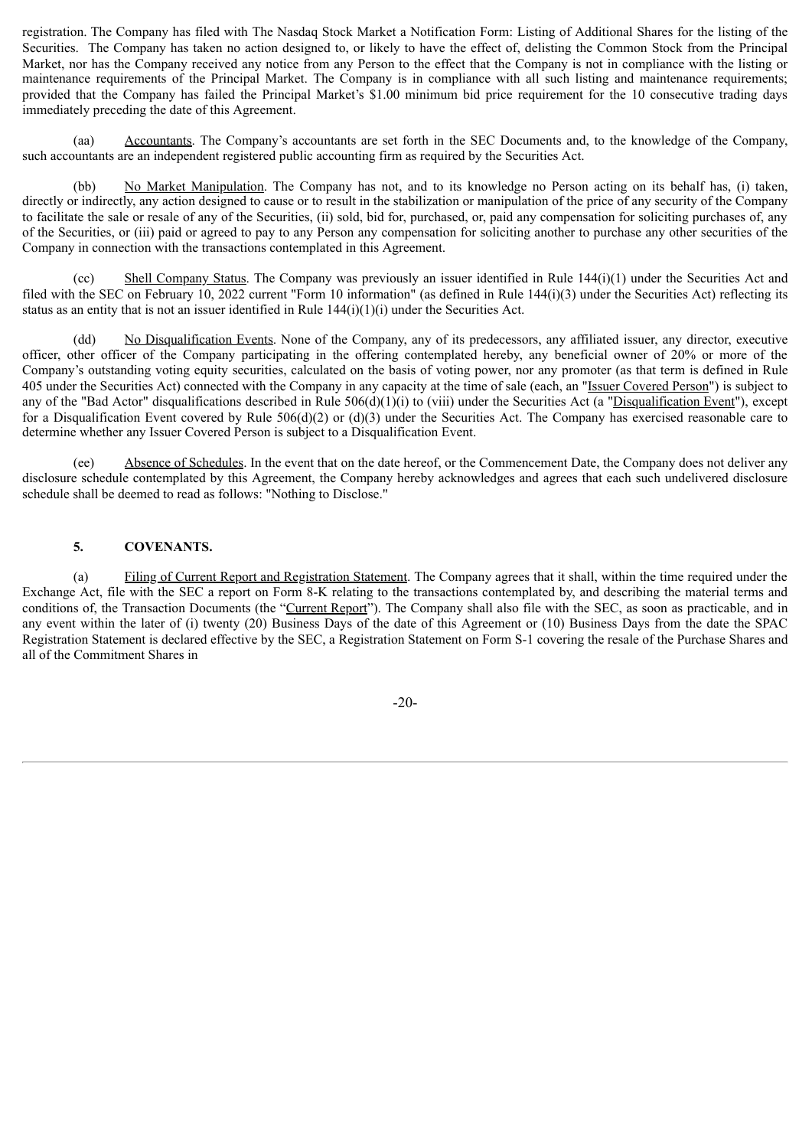registration. The Company has filed with The Nasdaq Stock Market a Notification Form: Listing of Additional Shares for the listing of the Securities. The Company has taken no action designed to, or likely to have the effect of, delisting the Common Stock from the Principal Market, nor has the Company received any notice from any Person to the effect that the Company is not in compliance with the listing or maintenance requirements of the Principal Market. The Company is in compliance with all such listing and maintenance requirements; provided that the Company has failed the Principal Market's \$1.00 minimum bid price requirement for the 10 consecutive trading days immediately preceding the date of this Agreement.

(aa) Accountants. The Company's accountants are set forth in the SEC Documents and, to the knowledge of the Company, such accountants are an independent registered public accounting firm as required by the Securities Act.

(bb) No Market Manipulation. The Company has not, and to its knowledge no Person acting on its behalf has, (i) taken, directly or indirectly, any action designed to cause or to result in the stabilization or manipulation of the price of any security of the Company to facilitate the sale or resale of any of the Securities, (ii) sold, bid for, purchased, or, paid any compensation for soliciting purchases of, any of the Securities, or (iii) paid or agreed to pay to any Person any compensation for soliciting another to purchase any other securities of the Company in connection with the transactions contemplated in this Agreement.

(cc) Shell Company Status. The Company was previously an issuer identified in Rule 144(i)(1) under the Securities Act and filed with the SEC on February 10, 2022 current "Form 10 information" (as defined in Rule 144(i)(3) under the Securities Act) reflecting its status as an entity that is not an issuer identified in Rule  $144(i)(1)(i)$  under the Securities Act.

(dd) No Disqualification Events. None of the Company, any of its predecessors, any affiliated issuer, any director, executive officer, other officer of the Company participating in the offering contemplated hereby, any beneficial owner of 20% or more of the Company's outstanding voting equity securities, calculated on the basis of voting power, nor any promoter (as that term is defined in Rule 405 under the Securities Act) connected with the Company in any capacity at the time of sale (each, an "Issuer Covered Person") is subject to any of the "Bad Actor" disqualifications described in Rule 506(d)(1)(i) to (viii) under the Securities Act (a "Disqualification Event"), except for a Disqualification Event covered by Rule 506(d)(2) or (d)(3) under the Securities Act. The Company has exercised reasonable care to determine whether any Issuer Covered Person is subject to a Disqualification Event.

(ee) Absence of Schedules. In the event that on the date hereof, or the Commencement Date, the Company does not deliver any disclosure schedule contemplated by this Agreement, the Company hereby acknowledges and agrees that each such undelivered disclosure schedule shall be deemed to read as follows: "Nothing to Disclose."

## **5. COVENANTS.**

(a) Filing of Current Report and Registration Statement. The Company agrees that it shall, within the time required under the Exchange Act, file with the SEC a report on Form 8-K relating to the transactions contemplated by, and describing the material terms and conditions of, the Transaction Documents (the "Current Report"). The Company shall also file with the SEC, as soon as practicable, and in any event within the later of (i) twenty (20) Business Days of the date of this Agreement or (10) Business Days from the date the SPAC Registration Statement is declared effective by the SEC, a Registration Statement on Form S-1 covering the resale of the Purchase Shares and all of the Commitment Shares in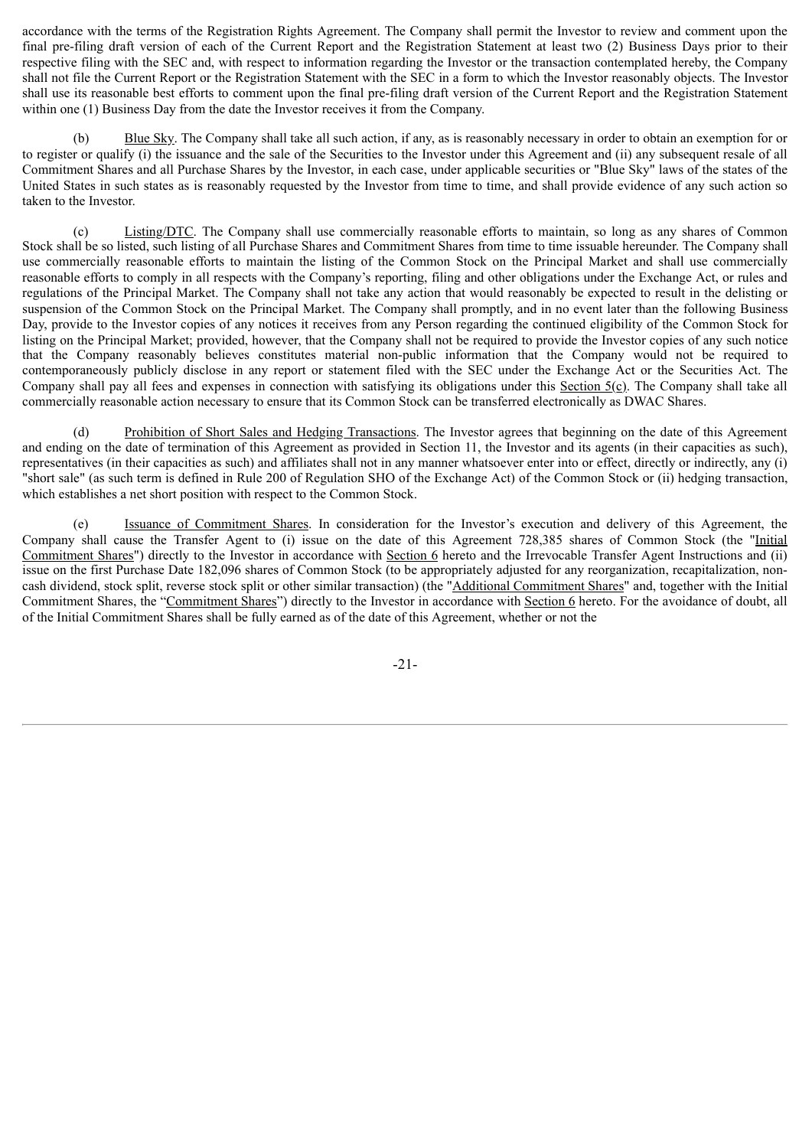accordance with the terms of the Registration Rights Agreement. The Company shall permit the Investor to review and comment upon the final pre-filing draft version of each of the Current Report and the Registration Statement at least two (2) Business Days prior to their respective filing with the SEC and, with respect to information regarding the Investor or the transaction contemplated hereby, the Company shall not file the Current Report or the Registration Statement with the SEC in a form to which the Investor reasonably objects. The Investor shall use its reasonable best efforts to comment upon the final pre-filing draft version of the Current Report and the Registration Statement within one (1) Business Day from the date the Investor receives it from the Company.

(b) Blue Sky. The Company shall take all such action, if any, as is reasonably necessary in order to obtain an exemption for or to register or qualify (i) the issuance and the sale of the Securities to the Investor under this Agreement and (ii) any subsequent resale of all Commitment Shares and all Purchase Shares by the Investor, in each case, under applicable securities or "Blue Sky" laws of the states of the United States in such states as is reasonably requested by the Investor from time to time, and shall provide evidence of any such action so taken to the Investor.

(c) Listing/DTC. The Company shall use commercially reasonable efforts to maintain, so long as any shares of Common Stock shall be so listed, such listing of all Purchase Shares and Commitment Shares from time to time issuable hereunder. The Company shall use commercially reasonable efforts to maintain the listing of the Common Stock on the Principal Market and shall use commercially reasonable efforts to comply in all respects with the Company's reporting, filing and other obligations under the Exchange Act, or rules and regulations of the Principal Market. The Company shall not take any action that would reasonably be expected to result in the delisting or suspension of the Common Stock on the Principal Market. The Company shall promptly, and in no event later than the following Business Day, provide to the Investor copies of any notices it receives from any Person regarding the continued eligibility of the Common Stock for listing on the Principal Market; provided, however, that the Company shall not be required to provide the Investor copies of any such notice that the Company reasonably believes constitutes material non-public information that the Company would not be required to contemporaneously publicly disclose in any report or statement filed with the SEC under the Exchange Act or the Securities Act. The Company shall pay all fees and expenses in connection with satisfying its obligations under this Section 5(c). The Company shall take all commercially reasonable action necessary to ensure that its Common Stock can be transferred electronically as DWAC Shares.

(d) Prohibition of Short Sales and Hedging Transactions. The Investor agrees that beginning on the date of this Agreement and ending on the date of termination of this Agreement as provided in Section 11, the Investor and its agents (in their capacities as such), representatives (in their capacities as such) and affiliates shall not in any manner whatsoever enter into or effect, directly or indirectly, any (i) "short sale" (as such term is defined in Rule 200 of Regulation SHO of the Exchange Act) of the Common Stock or (ii) hedging transaction, which establishes a net short position with respect to the Common Stock.

(e) Issuance of Commitment Shares. In consideration for the Investor's execution and delivery of this Agreement, the Company shall cause the Transfer Agent to (i) issue on the date of this Agreement 728,385 shares of Common Stock (the "Initial Commitment Shares") directly to the Investor in accordance with Section 6 hereto and the Irrevocable Transfer Agent Instructions and (ii) issue on the first Purchase Date 182,096 shares of Common Stock (to be appropriately adjusted for any reorganization, recapitalization, noncash dividend, stock split, reverse stock split or other similar transaction) (the "Additional Commitment Shares" and, together with the Initial Commitment Shares, the "Commitment Shares") directly to the Investor in accordance with Section 6 hereto. For the avoidance of doubt, all of the Initial Commitment Shares shall be fully earned as of the date of this Agreement, whether or not the

-21-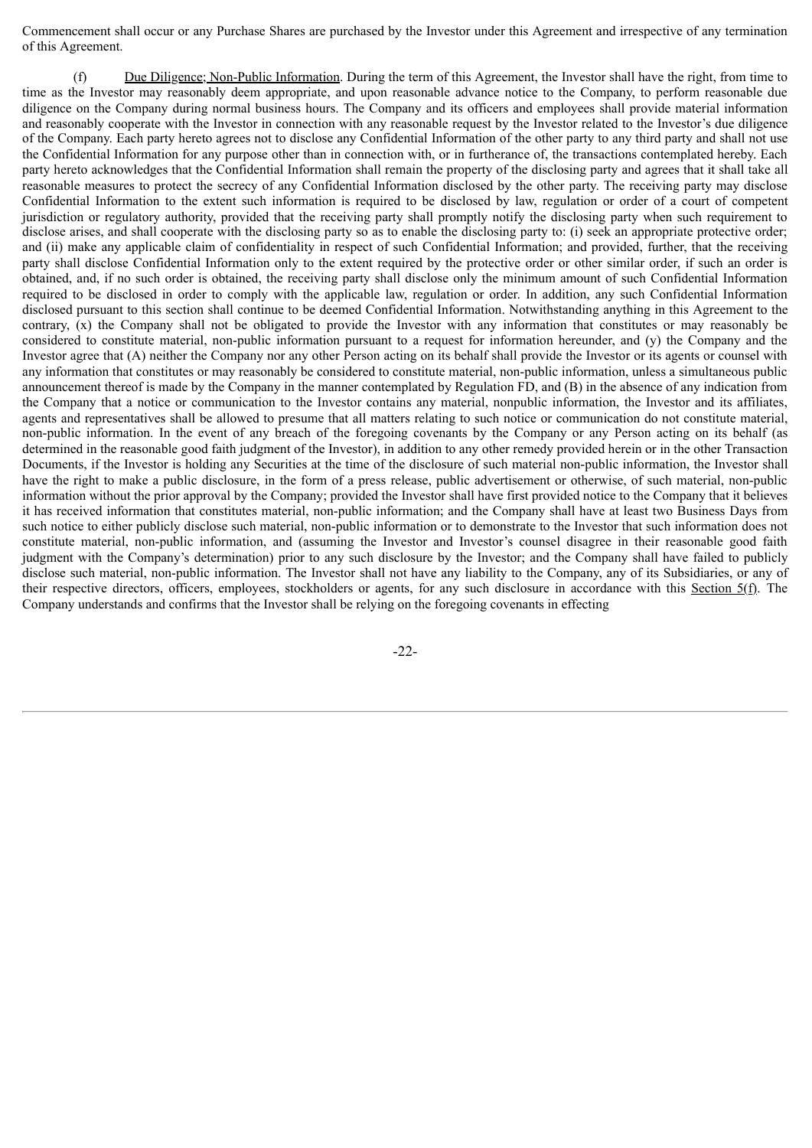Commencement shall occur or any Purchase Shares are purchased by the Investor under this Agreement and irrespective of any termination of this Agreement.

(f) Due Diligence; Non-Public Information. During the term of this Agreement, the Investor shall have the right, from time to time as the Investor may reasonably deem appropriate, and upon reasonable advance notice to the Company, to perform reasonable due diligence on the Company during normal business hours. The Company and its officers and employees shall provide material information and reasonably cooperate with the Investor in connection with any reasonable request by the Investor related to the Investor's due diligence of the Company. Each party hereto agrees not to disclose any Confidential Information of the other party to any third party and shall not use the Confidential Information for any purpose other than in connection with, or in furtherance of, the transactions contemplated hereby. Each party hereto acknowledges that the Confidential Information shall remain the property of the disclosing party and agrees that it shall take all reasonable measures to protect the secrecy of any Confidential Information disclosed by the other party. The receiving party may disclose Confidential Information to the extent such information is required to be disclosed by law, regulation or order of a court of competent jurisdiction or regulatory authority, provided that the receiving party shall promptly notify the disclosing party when such requirement to disclose arises, and shall cooperate with the disclosing party so as to enable the disclosing party to: (i) seek an appropriate protective order; and (ii) make any applicable claim of confidentiality in respect of such Confidential Information; and provided, further, that the receiving party shall disclose Confidential Information only to the extent required by the protective order or other similar order, if such an order is obtained, and, if no such order is obtained, the receiving party shall disclose only the minimum amount of such Confidential Information required to be disclosed in order to comply with the applicable law, regulation or order. In addition, any such Confidential Information disclosed pursuant to this section shall continue to be deemed Confidential Information. Notwithstanding anything in this Agreement to the contrary, (x) the Company shall not be obligated to provide the Investor with any information that constitutes or may reasonably be considered to constitute material, non-public information pursuant to a request for information hereunder, and (y) the Company and the Investor agree that (A) neither the Company nor any other Person acting on its behalf shall provide the Investor or its agents or counsel with any information that constitutes or may reasonably be considered to constitute material, non-public information, unless a simultaneous public announcement thereof is made by the Company in the manner contemplated by Regulation FD, and (B) in the absence of any indication from the Company that a notice or communication to the Investor contains any material, nonpublic information, the Investor and its affiliates, agents and representatives shall be allowed to presume that all matters relating to such notice or communication do not constitute material, non-public information. In the event of any breach of the foregoing covenants by the Company or any Person acting on its behalf (as determined in the reasonable good faith judgment of the Investor), in addition to any other remedy provided herein or in the other Transaction Documents, if the Investor is holding any Securities at the time of the disclosure of such material non-public information, the Investor shall have the right to make a public disclosure, in the form of a press release, public advertisement or otherwise, of such material, non-public information without the prior approval by the Company; provided the Investor shall have first provided notice to the Company that it believes it has received information that constitutes material, non-public information; and the Company shall have at least two Business Days from such notice to either publicly disclose such material, non-public information or to demonstrate to the Investor that such information does not constitute material, non-public information, and (assuming the Investor and Investor's counsel disagree in their reasonable good faith judgment with the Company's determination) prior to any such disclosure by the Investor; and the Company shall have failed to publicly disclose such material, non-public information. The Investor shall not have any liability to the Company, any of its Subsidiaries, or any of their respective directors, officers, employees, stockholders or agents, for any such disclosure in accordance with this Section 5(f). The Company understands and confirms that the Investor shall be relying on the foregoing covenants in effecting

 $-22-$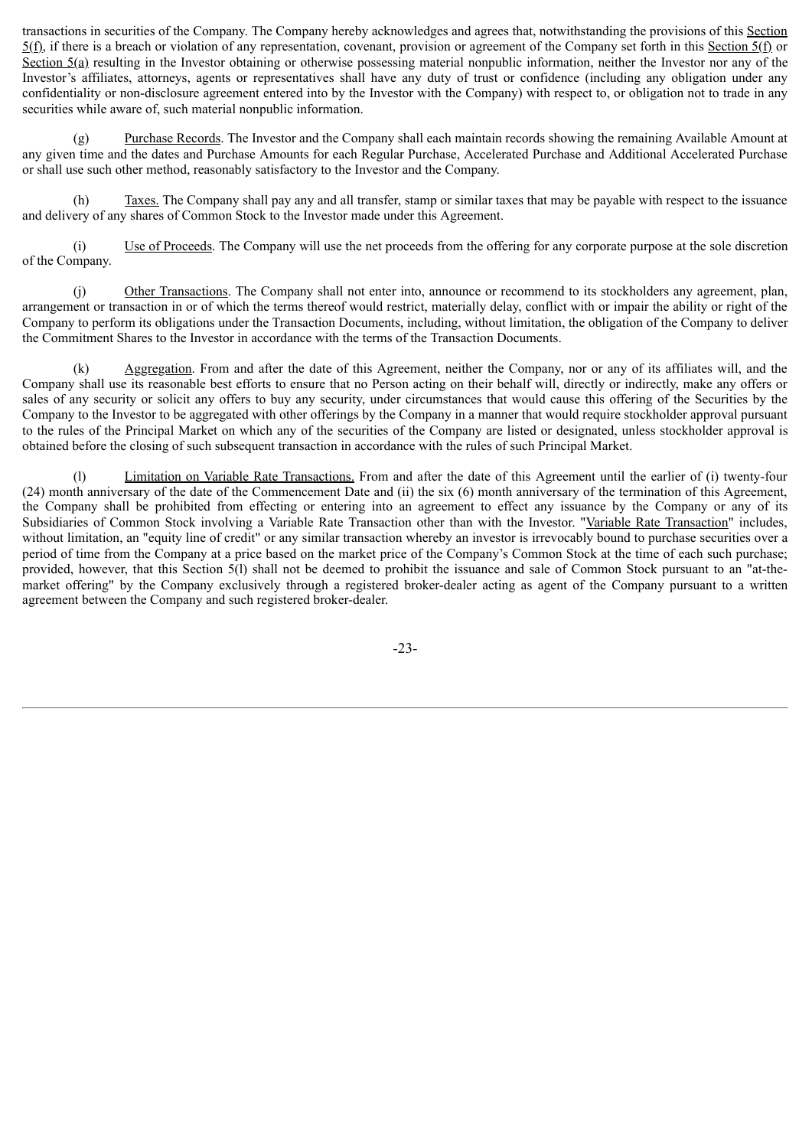transactions in securities of the Company. The Company hereby acknowledges and agrees that, notwithstanding the provisions of this Section 5(f), if there is a breach or violation of any representation, covenant, provision or agreement of the Company set forth in this Section 5(f) or Section 5(a) resulting in the Investor obtaining or otherwise possessing material nonpublic information, neither the Investor nor any of the Investor's affiliates, attorneys, agents or representatives shall have any duty of trust or confidence (including any obligation under any confidentiality or non-disclosure agreement entered into by the Investor with the Company) with respect to, or obligation not to trade in any securities while aware of, such material nonpublic information.

(g) Purchase Records. The Investor and the Company shall each maintain records showing the remaining Available Amount at any given time and the dates and Purchase Amounts for each Regular Purchase, Accelerated Purchase and Additional Accelerated Purchase or shall use such other method, reasonably satisfactory to the Investor and the Company.

(h) Taxes. The Company shall pay any and all transfer, stamp or similar taxes that may be payable with respect to the issuance and delivery of any shares of Common Stock to the Investor made under this Agreement.

(i) Use of Proceeds. The Company will use the net proceeds from the offering for any corporate purpose at the sole discretion of the Company.

(j) Other Transactions. The Company shall not enter into, announce or recommend to its stockholders any agreement, plan, arrangement or transaction in or of which the terms thereof would restrict, materially delay, conflict with or impair the ability or right of the Company to perform its obligations under the Transaction Documents, including, without limitation, the obligation of the Company to deliver the Commitment Shares to the Investor in accordance with the terms of the Transaction Documents.

(k) Aggregation. From and after the date of this Agreement, neither the Company, nor or any of its affiliates will, and the Company shall use its reasonable best efforts to ensure that no Person acting on their behalf will, directly or indirectly, make any offers or sales of any security or solicit any offers to buy any security, under circumstances that would cause this offering of the Securities by the Company to the Investor to be aggregated with other offerings by the Company in a manner that would require stockholder approval pursuant to the rules of the Principal Market on which any of the securities of the Company are listed or designated, unless stockholder approval is obtained before the closing of such subsequent transaction in accordance with the rules of such Principal Market.

(l) Limitation on Variable Rate Transactions. From and after the date of this Agreement until the earlier of (i) twenty-four (24) month anniversary of the date of the Commencement Date and (ii) the six (6) month anniversary of the termination of this Agreement, the Company shall be prohibited from effecting or entering into an agreement to effect any issuance by the Company or any of its Subsidiaries of Common Stock involving a Variable Rate Transaction other than with the Investor. "Variable Rate Transaction" includes, without limitation, an "equity line of credit" or any similar transaction whereby an investor is irrevocably bound to purchase securities over a period of time from the Company at a price based on the market price of the Company's Common Stock at the time of each such purchase; provided, however, that this Section 5(l) shall not be deemed to prohibit the issuance and sale of Common Stock pursuant to an "at-themarket offering" by the Company exclusively through a registered broker-dealer acting as agent of the Company pursuant to a written agreement between the Company and such registered broker-dealer.

-23-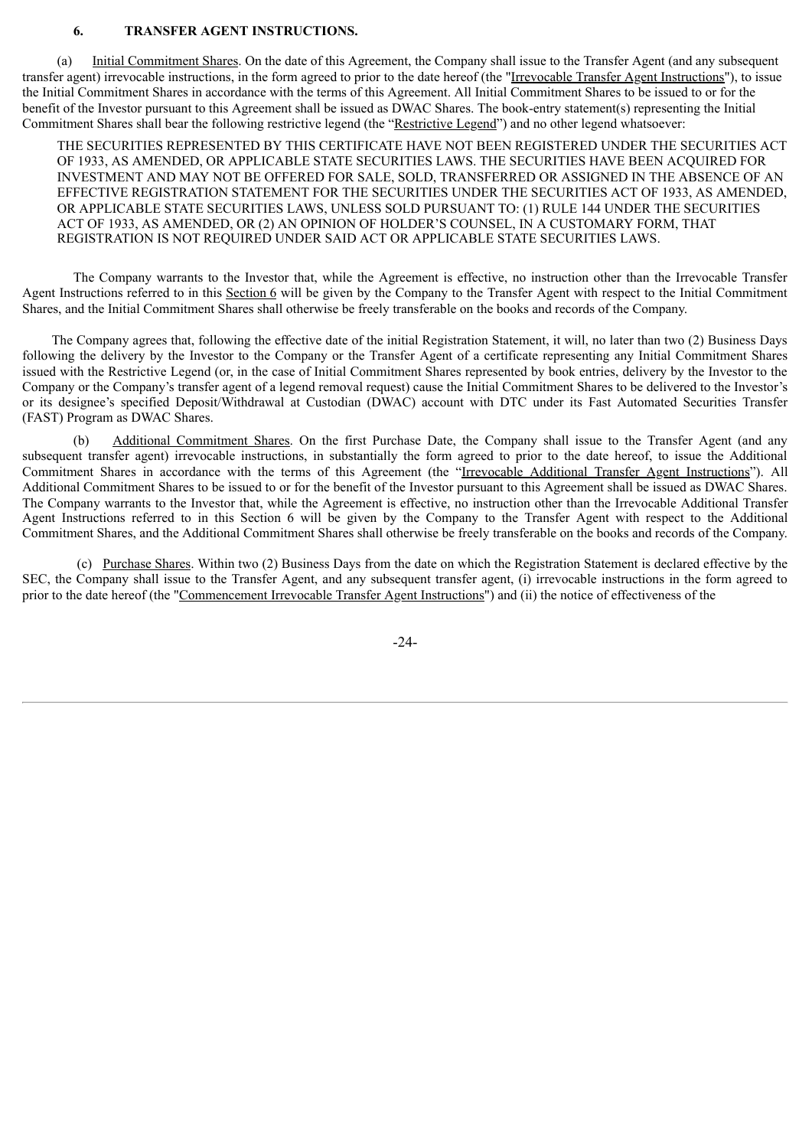#### **6. TRANSFER AGENT INSTRUCTIONS.**

(a) Initial Commitment Shares. On the date of this Agreement, the Company shall issue to the Transfer Agent (and any subsequent transfer agent) irrevocable instructions, in the form agreed to prior to the date hereof (the "Irrevocable Transfer Agent Instructions"), to issue the Initial Commitment Shares in accordance with the terms of this Agreement. All Initial Commitment Shares to be issued to or for the benefit of the Investor pursuant to this Agreement shall be issued as DWAC Shares. The book-entry statement(s) representing the Initial Commitment Shares shall bear the following restrictive legend (the "Restrictive Legend") and no other legend whatsoever:

THE SECURITIES REPRESENTED BY THIS CERTIFICATE HAVE NOT BEEN REGISTERED UNDER THE SECURITIES ACT OF 1933, AS AMENDED, OR APPLICABLE STATE SECURITIES LAWS. THE SECURITIES HAVE BEEN ACQUIRED FOR INVESTMENT AND MAY NOT BE OFFERED FOR SALE, SOLD, TRANSFERRED OR ASSIGNED IN THE ABSENCE OF AN EFFECTIVE REGISTRATION STATEMENT FOR THE SECURITIES UNDER THE SECURITIES ACT OF 1933, AS AMENDED, OR APPLICABLE STATE SECURITIES LAWS, UNLESS SOLD PURSUANT TO: (1) RULE 144 UNDER THE SECURITIES ACT OF 1933, AS AMENDED, OR (2) AN OPINION OF HOLDER'S COUNSEL, IN A CUSTOMARY FORM, THAT REGISTRATION IS NOT REQUIRED UNDER SAID ACT OR APPLICABLE STATE SECURITIES LAWS.

The Company warrants to the Investor that, while the Agreement is effective, no instruction other than the Irrevocable Transfer Agent Instructions referred to in this Section 6 will be given by the Company to the Transfer Agent with respect to the Initial Commitment Shares, and the Initial Commitment Shares shall otherwise be freely transferable on the books and records of the Company.

The Company agrees that, following the effective date of the initial Registration Statement, it will, no later than two (2) Business Days following the delivery by the Investor to the Company or the Transfer Agent of a certificate representing any Initial Commitment Shares issued with the Restrictive Legend (or, in the case of Initial Commitment Shares represented by book entries, delivery by the Investor to the Company or the Company's transfer agent of a legend removal request) cause the Initial Commitment Shares to be delivered to the Investor's or its designee's specified Deposit/Withdrawal at Custodian (DWAC) account with DTC under its Fast Automated Securities Transfer (FAST) Program as DWAC Shares.

(b) Additional Commitment Shares. On the first Purchase Date, the Company shall issue to the Transfer Agent (and any subsequent transfer agent) irrevocable instructions, in substantially the form agreed to prior to the date hereof, to issue the Additional Commitment Shares in accordance with the terms of this Agreement (the "Irrevocable Additional Transfer Agent Instructions"). All Additional Commitment Shares to be issued to or for the benefit of the Investor pursuant to this Agreement shall be issued as DWAC Shares. The Company warrants to the Investor that, while the Agreement is effective, no instruction other than the Irrevocable Additional Transfer Agent Instructions referred to in this Section 6 will be given by the Company to the Transfer Agent with respect to the Additional Commitment Shares, and the Additional Commitment Shares shall otherwise be freely transferable on the books and records of the Company.

(c) Purchase Shares. Within two (2) Business Days from the date on which the Registration Statement is declared effective by the SEC, the Company shall issue to the Transfer Agent, and any subsequent transfer agent, (i) irrevocable instructions in the form agreed to prior to the date hereof (the "Commencement Irrevocable Transfer Agent Instructions") and (ii) the notice of effectiveness of the

-24-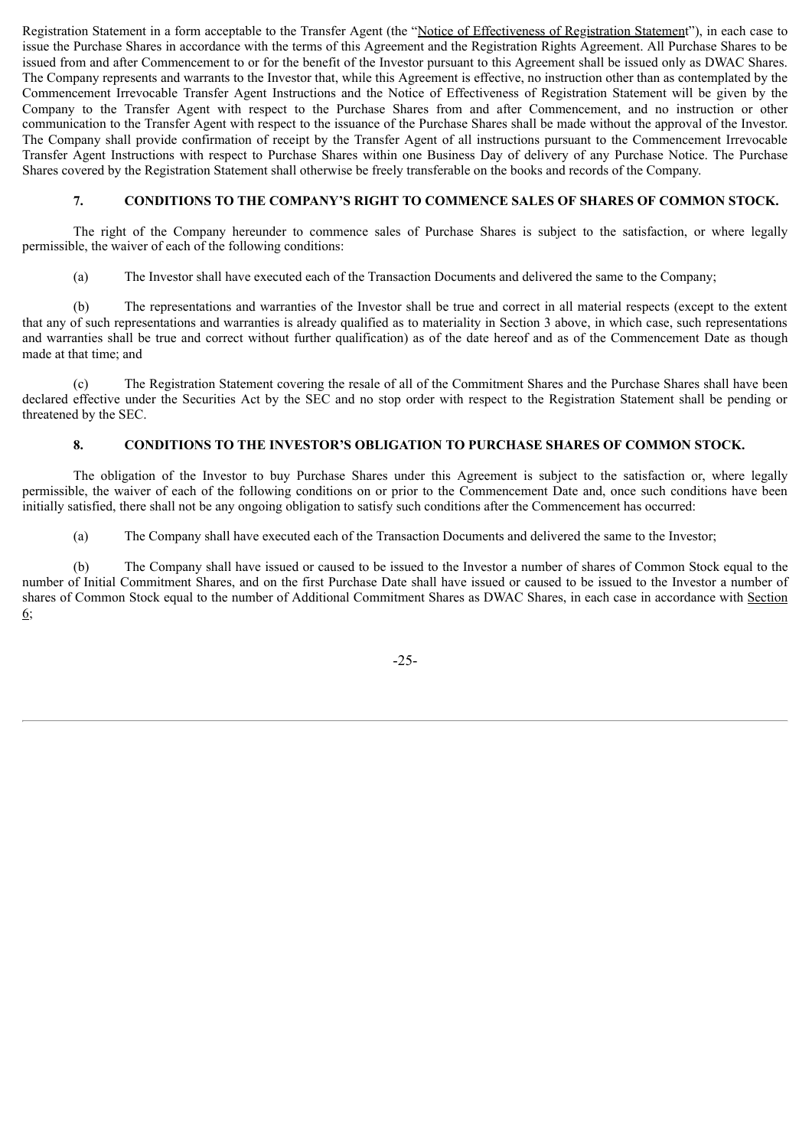Registration Statement in a form acceptable to the Transfer Agent (the "Notice of Effectiveness of Registration Statement"), in each case to issue the Purchase Shares in accordance with the terms of this Agreement and the Registration Rights Agreement. All Purchase Shares to be issued from and after Commencement to or for the benefit of the Investor pursuant to this Agreement shall be issued only as DWAC Shares. The Company represents and warrants to the Investor that, while this Agreement is effective, no instruction other than as contemplated by the Commencement Irrevocable Transfer Agent Instructions and the Notice of Effectiveness of Registration Statement will be given by the Company to the Transfer Agent with respect to the Purchase Shares from and after Commencement, and no instruction or other communication to the Transfer Agent with respect to the issuance of the Purchase Shares shall be made without the approval of the Investor. The Company shall provide confirmation of receipt by the Transfer Agent of all instructions pursuant to the Commencement Irrevocable Transfer Agent Instructions with respect to Purchase Shares within one Business Day of delivery of any Purchase Notice. The Purchase Shares covered by the Registration Statement shall otherwise be freely transferable on the books and records of the Company.

#### **7. CONDITIONS TO THE COMPANY'S RIGHT TO COMMENCE SALES OF SHARES OF COMMON STOCK.**

The right of the Company hereunder to commence sales of Purchase Shares is subject to the satisfaction, or where legally permissible, the waiver of each of the following conditions:

(a) The Investor shall have executed each of the Transaction Documents and delivered the same to the Company;

(b) The representations and warranties of the Investor shall be true and correct in all material respects (except to the extent that any of such representations and warranties is already qualified as to materiality in Section 3 above, in which case, such representations and warranties shall be true and correct without further qualification) as of the date hereof and as of the Commencement Date as though made at that time; and

(c) The Registration Statement covering the resale of all of the Commitment Shares and the Purchase Shares shall have been declared effective under the Securities Act by the SEC and no stop order with respect to the Registration Statement shall be pending or threatened by the SEC.

## **8. CONDITIONS TO THE INVESTOR'S OBLIGATION TO PURCHASE SHARES OF COMMON STOCK.**

The obligation of the Investor to buy Purchase Shares under this Agreement is subject to the satisfaction or, where legally permissible, the waiver of each of the following conditions on or prior to the Commencement Date and, once such conditions have been initially satisfied, there shall not be any ongoing obligation to satisfy such conditions after the Commencement has occurred:

(a) The Company shall have executed each of the Transaction Documents and delivered the same to the Investor;

(b) The Company shall have issued or caused to be issued to the Investor a number of shares of Common Stock equal to the number of Initial Commitment Shares, and on the first Purchase Date shall have issued or caused to be issued to the Investor a number of shares of Common Stock equal to the number of Additional Commitment Shares as DWAC Shares, in each case in accordance with Section 6;

-25-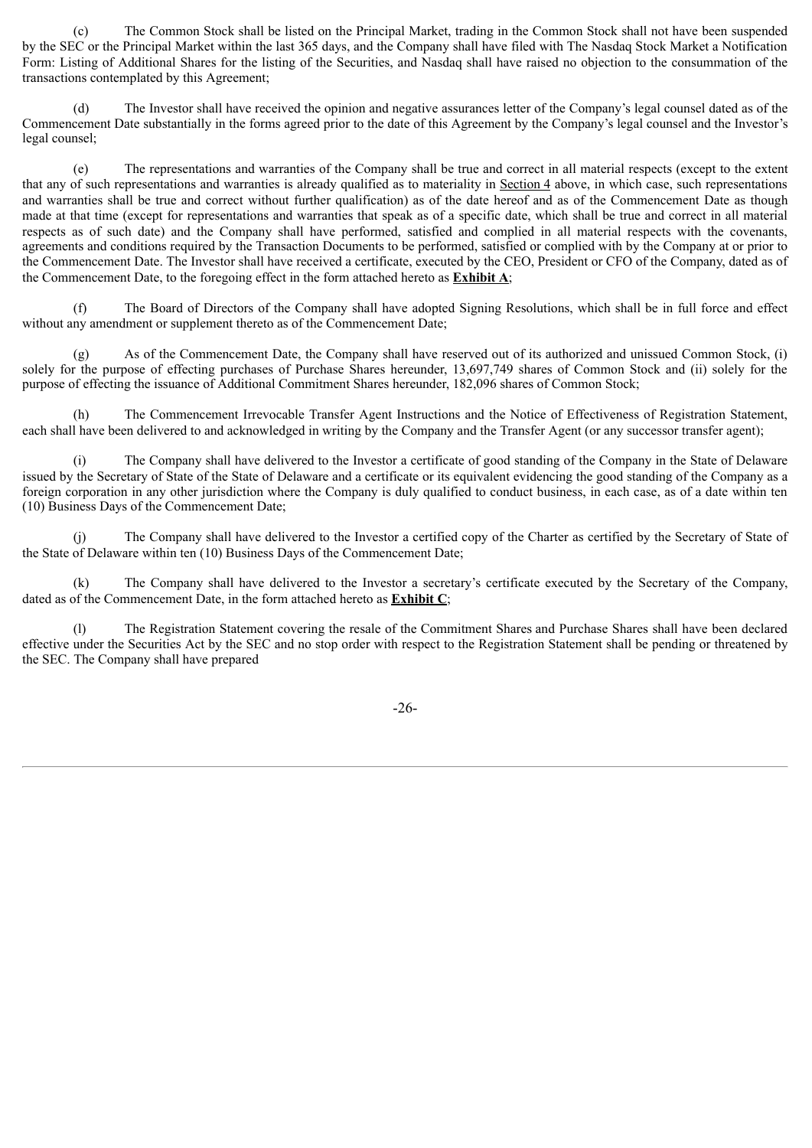(c) The Common Stock shall be listed on the Principal Market, trading in the Common Stock shall not have been suspended by the SEC or the Principal Market within the last 365 days, and the Company shall have filed with The Nasdaq Stock Market a Notification Form: Listing of Additional Shares for the listing of the Securities, and Nasdaq shall have raised no objection to the consummation of the transactions contemplated by this Agreement;

(d) The Investor shall have received the opinion and negative assurances letter of the Company's legal counsel dated as of the Commencement Date substantially in the forms agreed prior to the date of this Agreement by the Company's legal counsel and the Investor's legal counsel;

(e) The representations and warranties of the Company shall be true and correct in all material respects (except to the extent that any of such representations and warranties is already qualified as to materiality in Section 4 above, in which case, such representations and warranties shall be true and correct without further qualification) as of the date hereof and as of the Commencement Date as though made at that time (except for representations and warranties that speak as of a specific date, which shall be true and correct in all material respects as of such date) and the Company shall have performed, satisfied and complied in all material respects with the covenants, agreements and conditions required by the Transaction Documents to be performed, satisfied or complied with by the Company at or prior to the Commencement Date. The Investor shall have received a certificate, executed by the CEO, President or CFO of the Company, dated as of the Commencement Date, to the foregoing effect in the form attached hereto as **Exhibit A**;

(f) The Board of Directors of the Company shall have adopted Signing Resolutions, which shall be in full force and effect without any amendment or supplement thereto as of the Commencement Date;

(g) As of the Commencement Date, the Company shall have reserved out of its authorized and unissued Common Stock, (i) solely for the purpose of effecting purchases of Purchase Shares hereunder, 13,697,749 shares of Common Stock and (ii) solely for the purpose of effecting the issuance of Additional Commitment Shares hereunder, 182,096 shares of Common Stock;

(h) The Commencement Irrevocable Transfer Agent Instructions and the Notice of Effectiveness of Registration Statement, each shall have been delivered to and acknowledged in writing by the Company and the Transfer Agent (or any successor transfer agent);

(i) The Company shall have delivered to the Investor a certificate of good standing of the Company in the State of Delaware issued by the Secretary of State of the State of Delaware and a certificate or its equivalent evidencing the good standing of the Company as a foreign corporation in any other jurisdiction where the Company is duly qualified to conduct business, in each case, as of a date within ten (10) Business Days of the Commencement Date;

(j) The Company shall have delivered to the Investor a certified copy of the Charter as certified by the Secretary of State of the State of Delaware within ten (10) Business Days of the Commencement Date;

(k) The Company shall have delivered to the Investor a secretary's certificate executed by the Secretary of the Company, dated as of the Commencement Date, in the form attached hereto as **Exhibit C**;

(l) The Registration Statement covering the resale of the Commitment Shares and Purchase Shares shall have been declared effective under the Securities Act by the SEC and no stop order with respect to the Registration Statement shall be pending or threatened by the SEC. The Company shall have prepared

-26-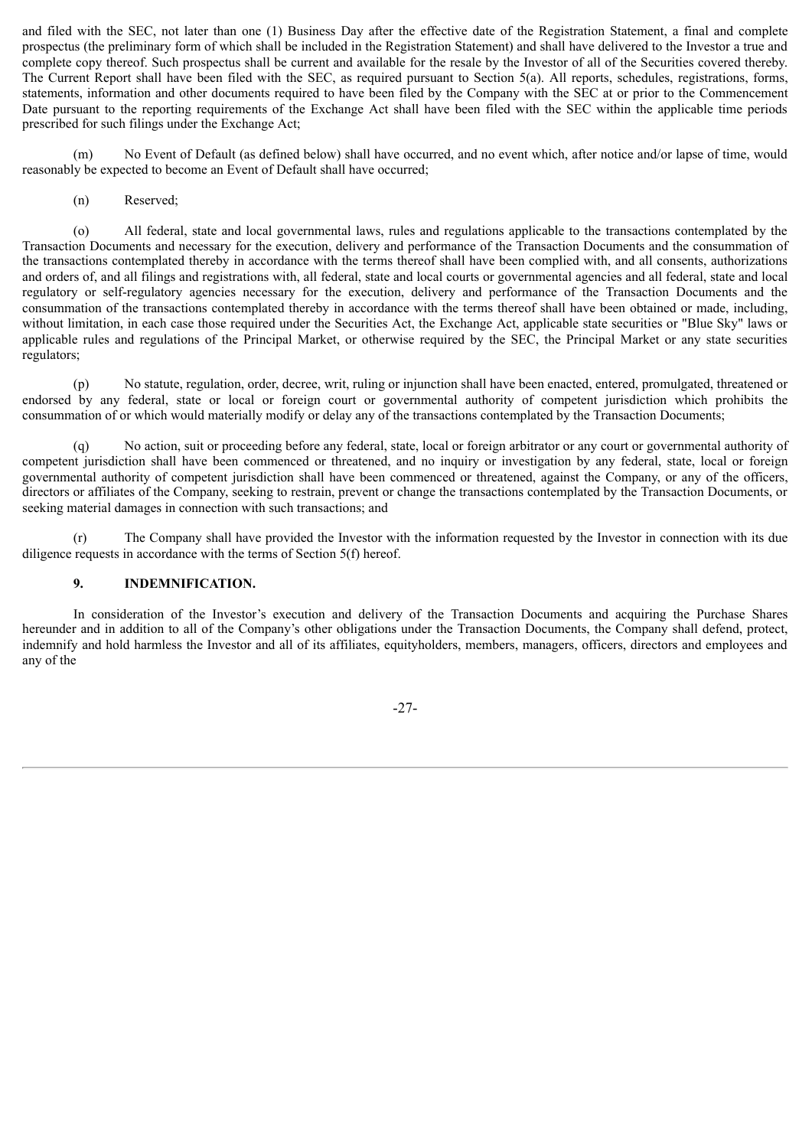and filed with the SEC, not later than one (1) Business Day after the effective date of the Registration Statement, a final and complete prospectus (the preliminary form of which shall be included in the Registration Statement) and shall have delivered to the Investor a true and complete copy thereof. Such prospectus shall be current and available for the resale by the Investor of all of the Securities covered thereby. The Current Report shall have been filed with the SEC, as required pursuant to Section 5(a). All reports, schedules, registrations, forms, statements, information and other documents required to have been filed by the Company with the SEC at or prior to the Commencement Date pursuant to the reporting requirements of the Exchange Act shall have been filed with the SEC within the applicable time periods prescribed for such filings under the Exchange Act;

(m) No Event of Default (as defined below) shall have occurred, and no event which, after notice and/or lapse of time, would reasonably be expected to become an Event of Default shall have occurred;

### (n) Reserved;

(o) All federal, state and local governmental laws, rules and regulations applicable to the transactions contemplated by the Transaction Documents and necessary for the execution, delivery and performance of the Transaction Documents and the consummation of the transactions contemplated thereby in accordance with the terms thereof shall have been complied with, and all consents, authorizations and orders of, and all filings and registrations with, all federal, state and local courts or governmental agencies and all federal, state and local regulatory or self-regulatory agencies necessary for the execution, delivery and performance of the Transaction Documents and the consummation of the transactions contemplated thereby in accordance with the terms thereof shall have been obtained or made, including, without limitation, in each case those required under the Securities Act, the Exchange Act, applicable state securities or "Blue Sky" laws or applicable rules and regulations of the Principal Market, or otherwise required by the SEC, the Principal Market or any state securities regulators;

(p) No statute, regulation, order, decree, writ, ruling or injunction shall have been enacted, entered, promulgated, threatened or endorsed by any federal, state or local or foreign court or governmental authority of competent jurisdiction which prohibits the consummation of or which would materially modify or delay any of the transactions contemplated by the Transaction Documents;

(q) No action, suit or proceeding before any federal, state, local or foreign arbitrator or any court or governmental authority of competent jurisdiction shall have been commenced or threatened, and no inquiry or investigation by any federal, state, local or foreign governmental authority of competent jurisdiction shall have been commenced or threatened, against the Company, or any of the officers, directors or affiliates of the Company, seeking to restrain, prevent or change the transactions contemplated by the Transaction Documents, or seeking material damages in connection with such transactions; and

(r) The Company shall have provided the Investor with the information requested by the Investor in connection with its due diligence requests in accordance with the terms of Section 5(f) hereof.

#### **9. INDEMNIFICATION.**

In consideration of the Investor's execution and delivery of the Transaction Documents and acquiring the Purchase Shares hereunder and in addition to all of the Company's other obligations under the Transaction Documents, the Company shall defend, protect, indemnify and hold harmless the Investor and all of its affiliates, equityholders, members, managers, officers, directors and employees and any of the

-27-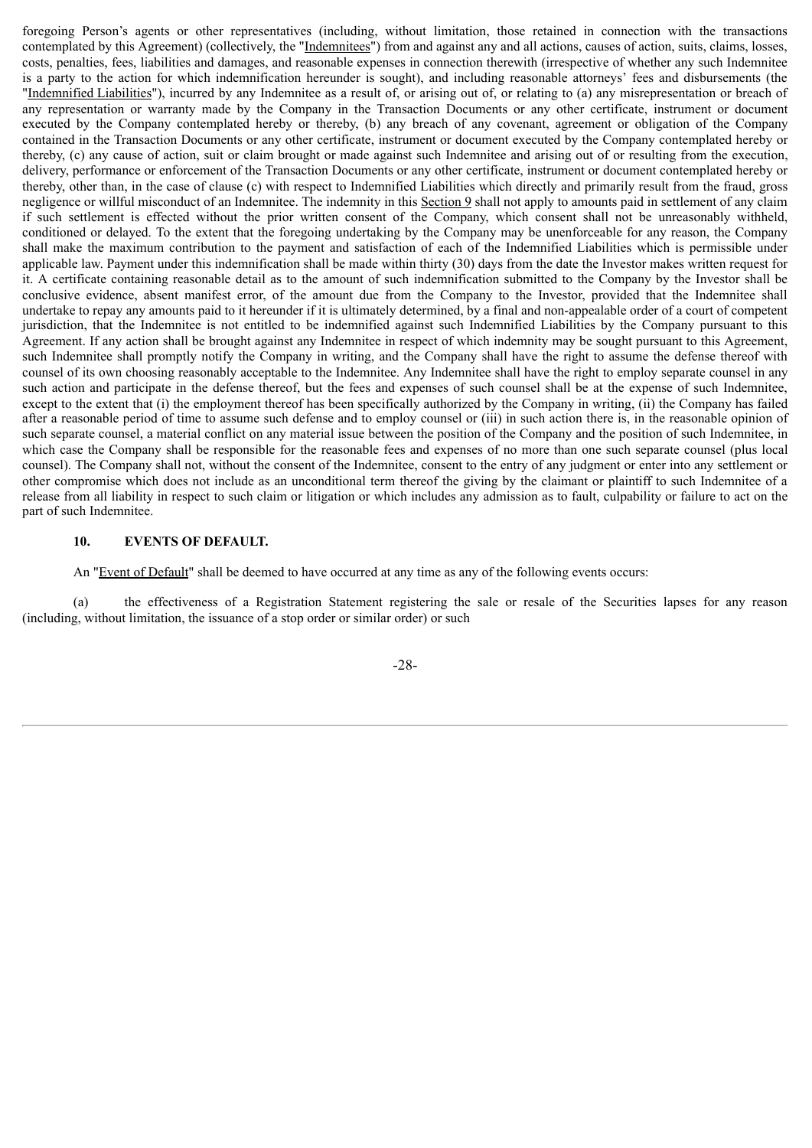foregoing Person's agents or other representatives (including, without limitation, those retained in connection with the transactions contemplated by this Agreement) (collectively, the "Indemnitees") from and against any and all actions, causes of action, suits, claims, losses, costs, penalties, fees, liabilities and damages, and reasonable expenses in connection therewith (irrespective of whether any such Indemnitee is a party to the action for which indemnification hereunder is sought), and including reasonable attorneys' fees and disbursements (the "Indemnified Liabilities"), incurred by any Indemnitee as a result of, or arising out of, or relating to (a) any misrepresentation or breach of any representation or warranty made by the Company in the Transaction Documents or any other certificate, instrument or document executed by the Company contemplated hereby or thereby, (b) any breach of any covenant, agreement or obligation of the Company contained in the Transaction Documents or any other certificate, instrument or document executed by the Company contemplated hereby or thereby, (c) any cause of action, suit or claim brought or made against such Indemnitee and arising out of or resulting from the execution, delivery, performance or enforcement of the Transaction Documents or any other certificate, instrument or document contemplated hereby or thereby, other than, in the case of clause (c) with respect to Indemnified Liabilities which directly and primarily result from the fraud, gross negligence or willful misconduct of an Indemnitee. The indemnity in this Section 9 shall not apply to amounts paid in settlement of any claim if such settlement is effected without the prior written consent of the Company, which consent shall not be unreasonably withheld, conditioned or delayed. To the extent that the foregoing undertaking by the Company may be unenforceable for any reason, the Company shall make the maximum contribution to the payment and satisfaction of each of the Indemnified Liabilities which is permissible under applicable law. Payment under this indemnification shall be made within thirty (30) days from the date the Investor makes written request for it. A certificate containing reasonable detail as to the amount of such indemnification submitted to the Company by the Investor shall be conclusive evidence, absent manifest error, of the amount due from the Company to the Investor, provided that the Indemnitee shall undertake to repay any amounts paid to it hereunder if it is ultimately determined, by a final and non-appealable order of a court of competent jurisdiction, that the Indemnitee is not entitled to be indemnified against such Indemnified Liabilities by the Company pursuant to this Agreement. If any action shall be brought against any Indemnitee in respect of which indemnity may be sought pursuant to this Agreement, such Indemnitee shall promptly notify the Company in writing, and the Company shall have the right to assume the defense thereof with counsel of its own choosing reasonably acceptable to the Indemnitee. Any Indemnitee shall have the right to employ separate counsel in any such action and participate in the defense thereof, but the fees and expenses of such counsel shall be at the expense of such Indemnitee, except to the extent that (i) the employment thereof has been specifically authorized by the Company in writing, (ii) the Company has failed after a reasonable period of time to assume such defense and to employ counsel or (iii) in such action there is, in the reasonable opinion of such separate counsel, a material conflict on any material issue between the position of the Company and the position of such Indemnitee, in which case the Company shall be responsible for the reasonable fees and expenses of no more than one such separate counsel (plus local counsel). The Company shall not, without the consent of the Indemnitee, consent to the entry of any judgment or enter into any settlement or other compromise which does not include as an unconditional term thereof the giving by the claimant or plaintiff to such Indemnitee of a release from all liability in respect to such claim or litigation or which includes any admission as to fault, culpability or failure to act on the part of such Indemnitee.

#### **10. EVENTS OF DEFAULT.**

An "Event of Default" shall be deemed to have occurred at any time as any of the following events occurs:

(a) the effectiveness of a Registration Statement registering the sale or resale of the Securities lapses for any reason (including, without limitation, the issuance of a stop order or similar order) or such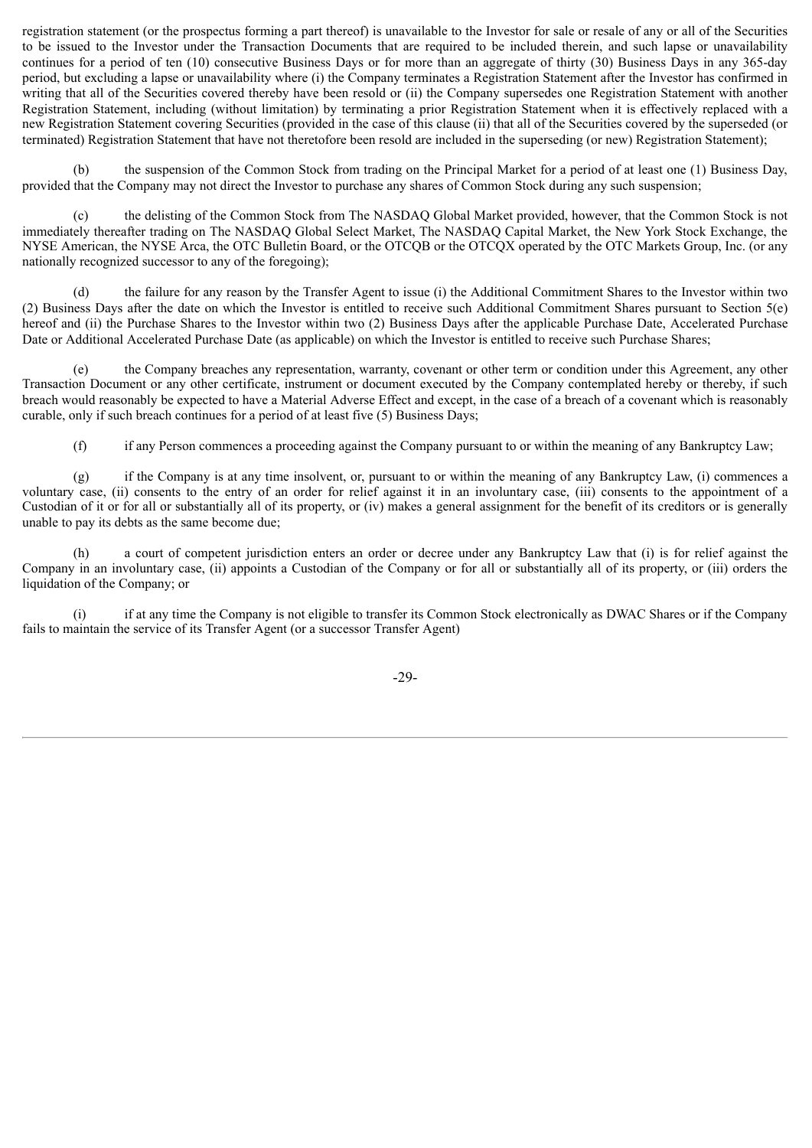registration statement (or the prospectus forming a part thereof) is unavailable to the Investor for sale or resale of any or all of the Securities to be issued to the Investor under the Transaction Documents that are required to be included therein, and such lapse or unavailability continues for a period of ten (10) consecutive Business Days or for more than an aggregate of thirty (30) Business Days in any 365-day period, but excluding a lapse or unavailability where (i) the Company terminates a Registration Statement after the Investor has confirmed in writing that all of the Securities covered thereby have been resold or (ii) the Company supersedes one Registration Statement with another Registration Statement, including (without limitation) by terminating a prior Registration Statement when it is effectively replaced with a new Registration Statement covering Securities (provided in the case of this clause (ii) that all of the Securities covered by the superseded (or terminated) Registration Statement that have not theretofore been resold are included in the superseding (or new) Registration Statement);

(b) the suspension of the Common Stock from trading on the Principal Market for a period of at least one (1) Business Day, provided that the Company may not direct the Investor to purchase any shares of Common Stock during any such suspension;

(c) the delisting of the Common Stock from The NASDAQ Global Market provided, however, that the Common Stock is not immediately thereafter trading on The NASDAQ Global Select Market, The NASDAQ Capital Market, the New York Stock Exchange, the NYSE American, the NYSE Arca, the OTC Bulletin Board, or the OTCQB or the OTCQX operated by the OTC Markets Group, Inc. (or any nationally recognized successor to any of the foregoing);

(d) the failure for any reason by the Transfer Agent to issue (i) the Additional Commitment Shares to the Investor within two (2) Business Days after the date on which the Investor is entitled to receive such Additional Commitment Shares pursuant to Section 5(e) hereof and (ii) the Purchase Shares to the Investor within two (2) Business Days after the applicable Purchase Date, Accelerated Purchase Date or Additional Accelerated Purchase Date (as applicable) on which the Investor is entitled to receive such Purchase Shares;

(e) the Company breaches any representation, warranty, covenant or other term or condition under this Agreement, any other Transaction Document or any other certificate, instrument or document executed by the Company contemplated hereby or thereby, if such breach would reasonably be expected to have a Material Adverse Effect and except, in the case of a breach of a covenant which is reasonably curable, only if such breach continues for a period of at least five (5) Business Days;

(f) if any Person commences a proceeding against the Company pursuant to or within the meaning of any Bankruptcy Law;

(g) if the Company is at any time insolvent, or, pursuant to or within the meaning of any Bankruptcy Law, (i) commences a voluntary case, (ii) consents to the entry of an order for relief against it in an involuntary case, (iii) consents to the appointment of a Custodian of it or for all or substantially all of its property, or (iv) makes a general assignment for the benefit of its creditors or is generally unable to pay its debts as the same become due;

(h) a court of competent jurisdiction enters an order or decree under any Bankruptcy Law that (i) is for relief against the Company in an involuntary case, (ii) appoints a Custodian of the Company or for all or substantially all of its property, or (iii) orders the liquidation of the Company; or

(i) if at any time the Company is not eligible to transfer its Common Stock electronically as DWAC Shares or if the Company fails to maintain the service of its Transfer Agent (or a successor Transfer Agent)

-29-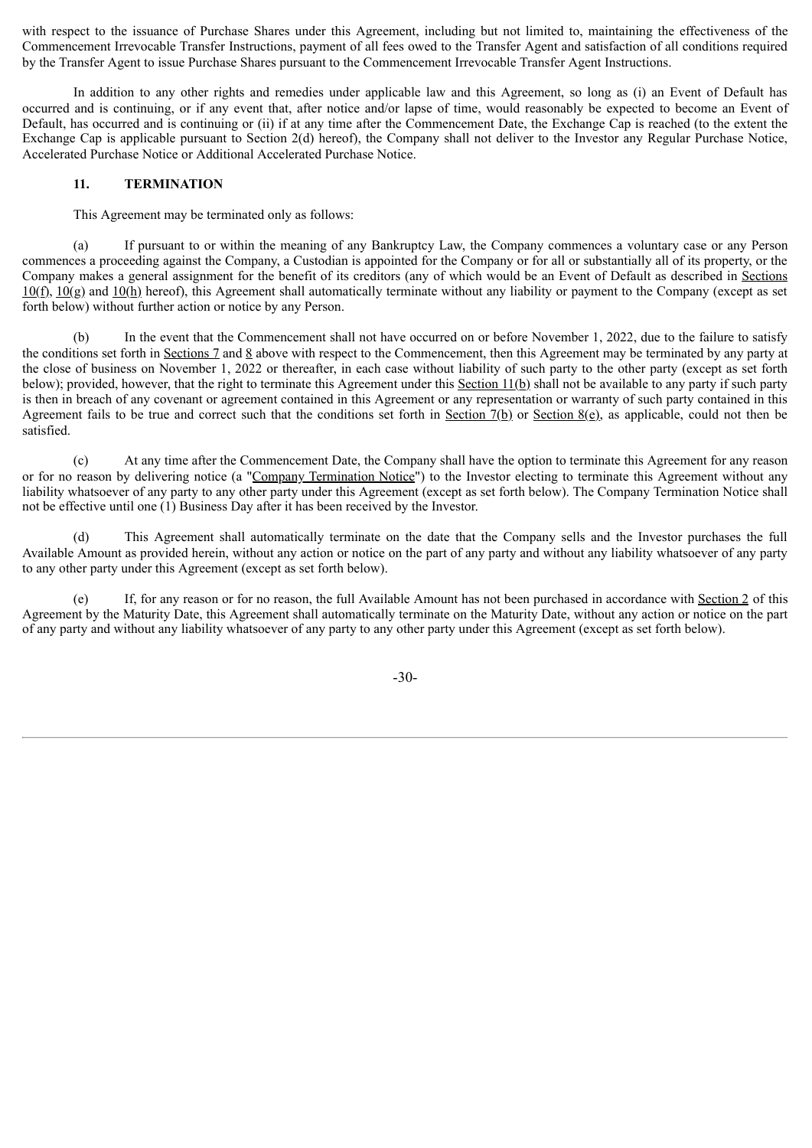with respect to the issuance of Purchase Shares under this Agreement, including but not limited to, maintaining the effectiveness of the Commencement Irrevocable Transfer Instructions, payment of all fees owed to the Transfer Agent and satisfaction of all conditions required by the Transfer Agent to issue Purchase Shares pursuant to the Commencement Irrevocable Transfer Agent Instructions.

In addition to any other rights and remedies under applicable law and this Agreement, so long as (i) an Event of Default has occurred and is continuing, or if any event that, after notice and/or lapse of time, would reasonably be expected to become an Event of Default, has occurred and is continuing or (ii) if at any time after the Commencement Date, the Exchange Cap is reached (to the extent the Exchange Cap is applicable pursuant to Section 2(d) hereof), the Company shall not deliver to the Investor any Regular Purchase Notice, Accelerated Purchase Notice or Additional Accelerated Purchase Notice.

#### **11. TERMINATION**

This Agreement may be terminated only as follows:

(a) If pursuant to or within the meaning of any Bankruptcy Law, the Company commences a voluntary case or any Person commences a proceeding against the Company, a Custodian is appointed for the Company or for all or substantially all of its property, or the Company makes a general assignment for the benefit of its creditors (any of which would be an Event of Default as described in Sections  $10(f)$ ,  $10(g)$  and  $10(h)$  hereof), this Agreement shall automatically terminate without any liability or payment to the Company (except as set forth below) without further action or notice by any Person.

(b) In the event that the Commencement shall not have occurred on or before November 1, 2022, due to the failure to satisfy the conditions set forth in Sections 7 and 8 above with respect to the Commencement, then this Agreement may be terminated by any party at the close of business on November 1, 2022 or thereafter, in each case without liability of such party to the other party (except as set forth below); provided, however, that the right to terminate this Agreement under this Section 11(b) shall not be available to any party if such party is then in breach of any covenant or agreement contained in this Agreement or any representation or warranty of such party contained in this Agreement fails to be true and correct such that the conditions set forth in Section  $7(b)$  or Section  $8(e)$ , as applicable, could not then be satisfied.

(c) At any time after the Commencement Date, the Company shall have the option to terminate this Agreement for any reason or for no reason by delivering notice (a "Company Termination Notice") to the Investor electing to terminate this Agreement without any liability whatsoever of any party to any other party under this Agreement (except as set forth below). The Company Termination Notice shall not be effective until one (1) Business Day after it has been received by the Investor.

(d) This Agreement shall automatically terminate on the date that the Company sells and the Investor purchases the full Available Amount as provided herein, without any action or notice on the part of any party and without any liability whatsoever of any party to any other party under this Agreement (except as set forth below).

(e) If, for any reason or for no reason, the full Available Amount has not been purchased in accordance with Section 2 of this Agreement by the Maturity Date, this Agreement shall automatically terminate on the Maturity Date, without any action or notice on the part of any party and without any liability whatsoever of any party to any other party under this Agreement (except as set forth below).

-30-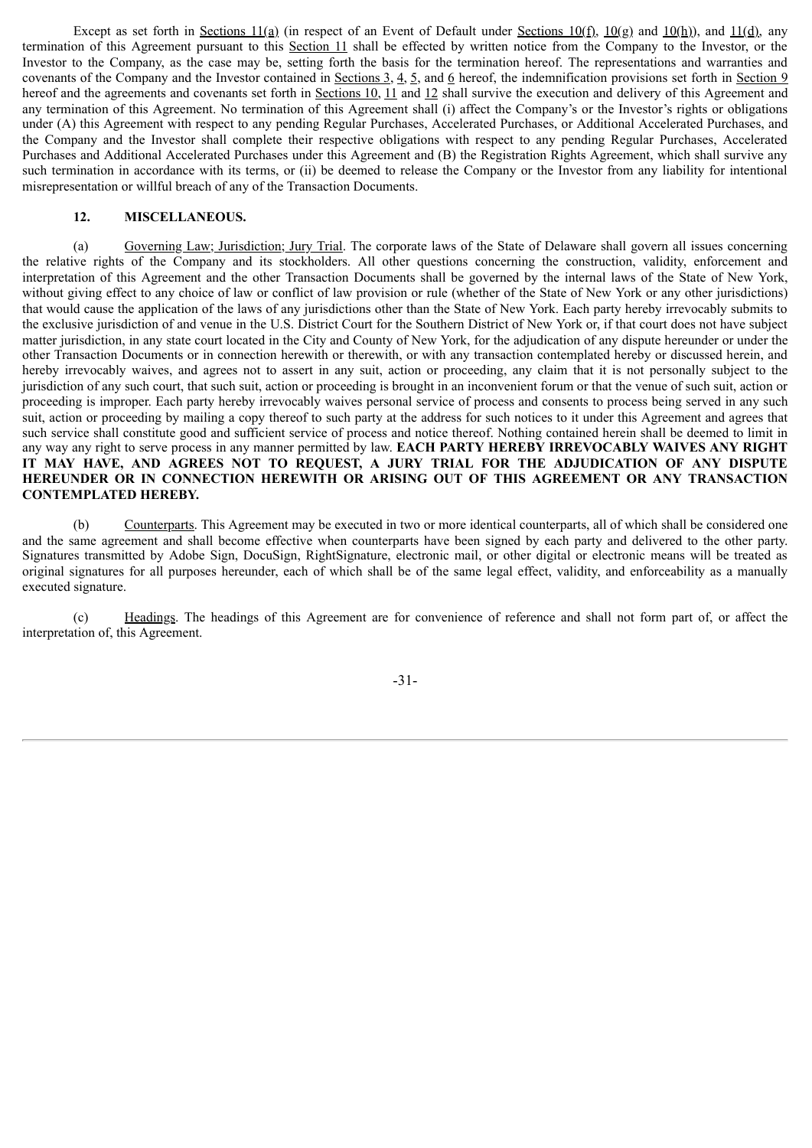Except as set forth in Sections 11(a) (in respect of an Event of Default under Sections 10(f), 10(g) and 10(h)), and 11(d), any termination of this Agreement pursuant to this Section 11 shall be effected by written notice from the Company to the Investor, or the Investor to the Company, as the case may be, setting forth the basis for the termination hereof. The representations and warranties and covenants of the Company and the Investor contained in Sections 3, 4, 5, and 6 hereof, the indemnification provisions set forth in Section 9 hereof and the agreements and covenants set forth in Sections 10, 11 and 12 shall survive the execution and delivery of this Agreement and any termination of this Agreement. No termination of this Agreement shall (i) affect the Company's or the Investor's rights or obligations under (A) this Agreement with respect to any pending Regular Purchases, Accelerated Purchases, or Additional Accelerated Purchases, and the Company and the Investor shall complete their respective obligations with respect to any pending Regular Purchases, Accelerated Purchases and Additional Accelerated Purchases under this Agreement and (B) the Registration Rights Agreement, which shall survive any such termination in accordance with its terms, or (ii) be deemed to release the Company or the Investor from any liability for intentional misrepresentation or willful breach of any of the Transaction Documents.

#### **12. MISCELLANEOUS.**

(a) Governing Law; Jurisdiction; Jury Trial. The corporate laws of the State of Delaware shall govern all issues concerning the relative rights of the Company and its stockholders. All other questions concerning the construction, validity, enforcement and interpretation of this Agreement and the other Transaction Documents shall be governed by the internal laws of the State of New York, without giving effect to any choice of law or conflict of law provision or rule (whether of the State of New York or any other jurisdictions) that would cause the application of the laws of any jurisdictions other than the State of New York. Each party hereby irrevocably submits to the exclusive jurisdiction of and venue in the U.S. District Court for the Southern District of New York or, if that court does not have subject matter jurisdiction, in any state court located in the City and County of New York, for the adjudication of any dispute hereunder or under the other Transaction Documents or in connection herewith or therewith, or with any transaction contemplated hereby or discussed herein, and hereby irrevocably waives, and agrees not to assert in any suit, action or proceeding, any claim that it is not personally subject to the jurisdiction of any such court, that such suit, action or proceeding is brought in an inconvenient forum or that the venue of such suit, action or proceeding is improper. Each party hereby irrevocably waives personal service of process and consents to process being served in any such suit, action or proceeding by mailing a copy thereof to such party at the address for such notices to it under this Agreement and agrees that such service shall constitute good and sufficient service of process and notice thereof. Nothing contained herein shall be deemed to limit in any way any right to serve process in any manner permitted by law. **EACH PARTY HEREBY IRREVOCABLY WAIVES ANY RIGHT IT MAY HAVE, AND AGREES NOT TO REQUEST, A JURY TRIAL FOR THE ADJUDICATION OF ANY DISPUTE HEREUNDER OR IN CONNECTION HEREWITH OR ARISING OUT OF THIS AGREEMENT OR ANY TRANSACTION CONTEMPLATED HEREBY.**

(b) Counterparts. This Agreement may be executed in two or more identical counterparts, all of which shall be considered one and the same agreement and shall become effective when counterparts have been signed by each party and delivered to the other party. Signatures transmitted by Adobe Sign, DocuSign, RightSignature, electronic mail, or other digital or electronic means will be treated as original signatures for all purposes hereunder, each of which shall be of the same legal effect, validity, and enforceability as a manually executed signature.

(c) Headings. The headings of this Agreement are for convenience of reference and shall not form part of, or affect the interpretation of, this Agreement.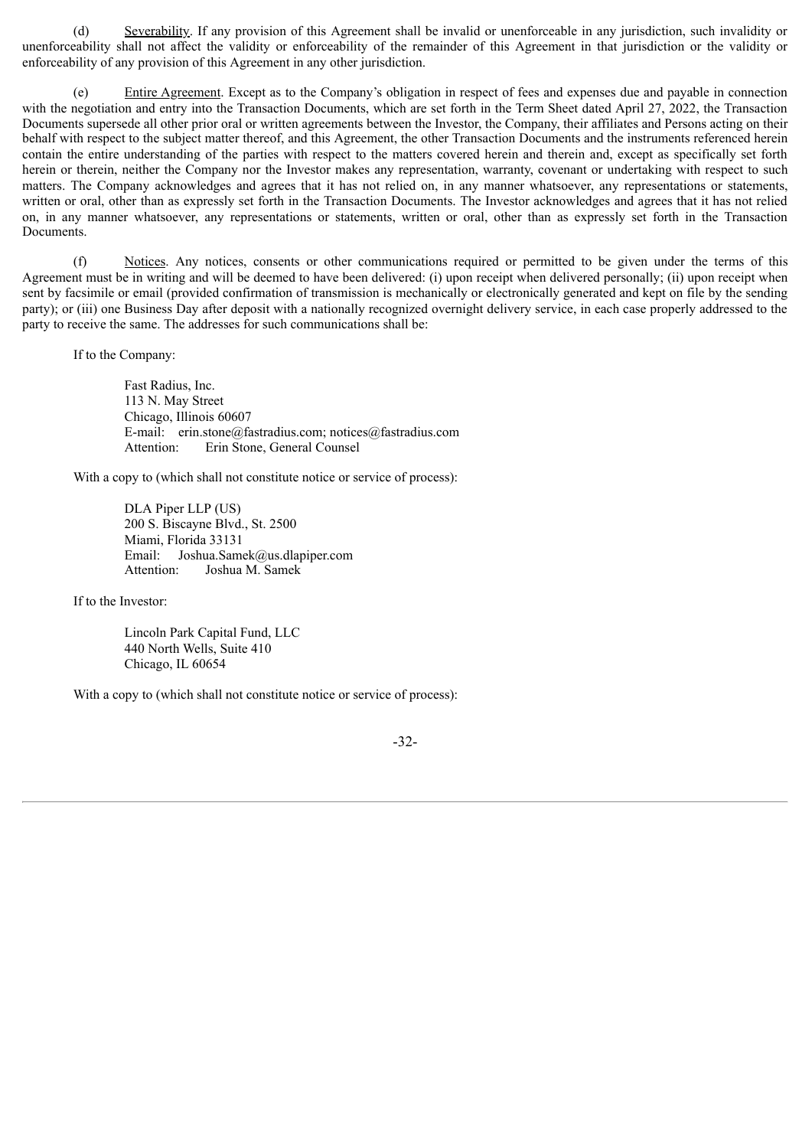(d) Severability. If any provision of this Agreement shall be invalid or unenforceable in any jurisdiction, such invalidity or unenforceability shall not affect the validity or enforceability of the remainder of this Agreement in that jurisdiction or the validity or enforceability of any provision of this Agreement in any other jurisdiction.

(e) Entire Agreement. Except as to the Company's obligation in respect of fees and expenses due and payable in connection with the negotiation and entry into the Transaction Documents, which are set forth in the Term Sheet dated April 27, 2022, the Transaction Documents supersede all other prior oral or written agreements between the Investor, the Company, their affiliates and Persons acting on their behalf with respect to the subject matter thereof, and this Agreement, the other Transaction Documents and the instruments referenced herein contain the entire understanding of the parties with respect to the matters covered herein and therein and, except as specifically set forth herein or therein, neither the Company nor the Investor makes any representation, warranty, covenant or undertaking with respect to such matters. The Company acknowledges and agrees that it has not relied on, in any manner whatsoever, any representations or statements, written or oral, other than as expressly set forth in the Transaction Documents. The Investor acknowledges and agrees that it has not relied on, in any manner whatsoever, any representations or statements, written or oral, other than as expressly set forth in the Transaction Documents.

(f) Notices. Any notices, consents or other communications required or permitted to be given under the terms of this Agreement must be in writing and will be deemed to have been delivered: (i) upon receipt when delivered personally; (ii) upon receipt when sent by facsimile or email (provided confirmation of transmission is mechanically or electronically generated and kept on file by the sending party); or (iii) one Business Day after deposit with a nationally recognized overnight delivery service, in each case properly addressed to the party to receive the same. The addresses for such communications shall be:

If to the Company:

Fast Radius, Inc. 113 N. May Street Chicago, Illinois 60607 E-mail: erin.stone@fastradius.com; notices@fastradius.com Attention: Erin Stone, General Counsel

With a copy to (which shall not constitute notice or service of process):

DLA Piper LLP (US) 200 S. Biscayne Blvd., St. 2500 Miami, Florida 33131 Email: Joshua.Samek@us.dlapiper.com Attention: Joshua M. Samek

If to the Investor:

Lincoln Park Capital Fund, LLC 440 North Wells, Suite 410 Chicago, IL 60654

With a copy to (which shall not constitute notice or service of process):

-32-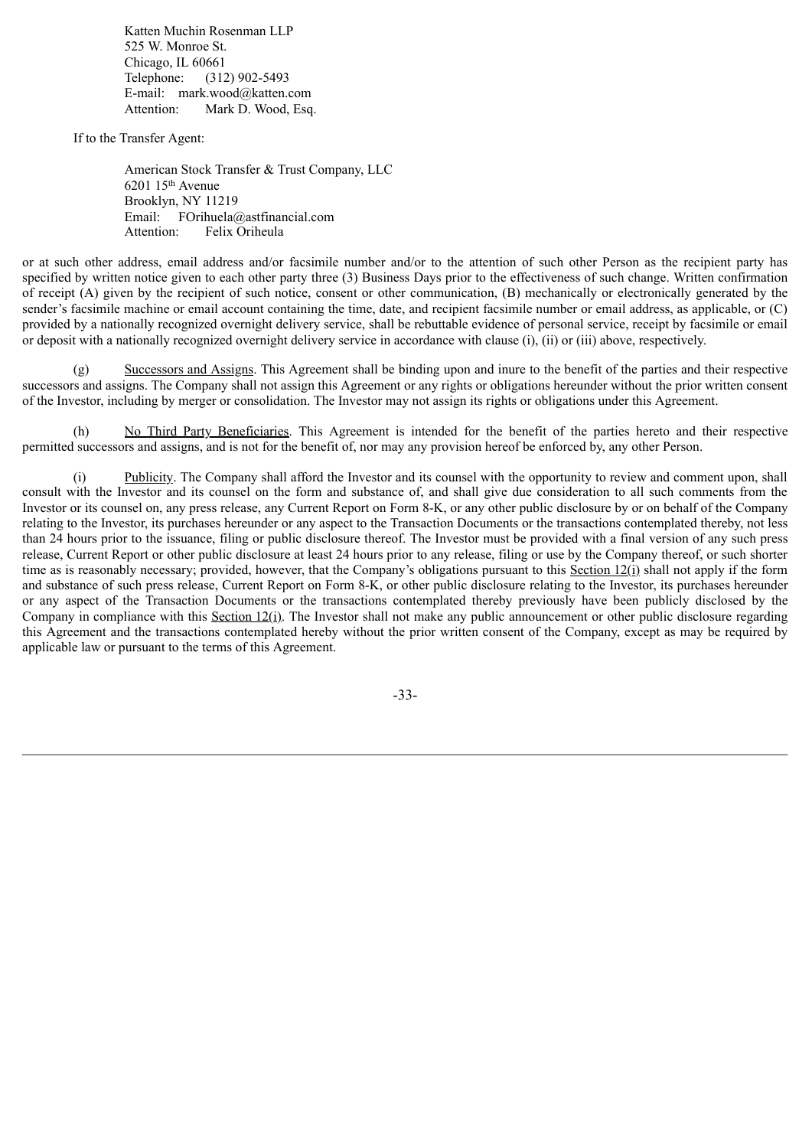Katten Muchin Rosenman LLP 525 W. Monroe St. Chicago, IL 60661 Telephone: (312) 902-5493 E-mail: mark.wood@katten.com Attention: Mark D. Wood, Esq.

If to the Transfer Agent:

American Stock Transfer & Trust Company, LLC 6201 15 th Avenue Brooklyn, NY 11219 Email: FOrihuela@astfinancial.com<br>Attention: Felix Oriheula Felix Oriheula

or at such other address, email address and/or facsimile number and/or to the attention of such other Person as the recipient party has specified by written notice given to each other party three (3) Business Days prior to the effectiveness of such change. Written confirmation of receipt (A) given by the recipient of such notice, consent or other communication, (B) mechanically or electronically generated by the sender's facsimile machine or email account containing the time, date, and recipient facsimile number or email address, as applicable, or (C) provided by a nationally recognized overnight delivery service, shall be rebuttable evidence of personal service, receipt by facsimile or email or deposit with a nationally recognized overnight delivery service in accordance with clause (i), (ii) or (iii) above, respectively.

(g) Successors and Assigns. This Agreement shall be binding upon and inure to the benefit of the parties and their respective successors and assigns. The Company shall not assign this Agreement or any rights or obligations hereunder without the prior written consent of the Investor, including by merger or consolidation. The Investor may not assign its rights or obligations under this Agreement.

(h) No Third Party Beneficiaries. This Agreement is intended for the benefit of the parties hereto and their respective permitted successors and assigns, and is not for the benefit of, nor may any provision hereof be enforced by, any other Person.

(i) Publicity. The Company shall afford the Investor and its counsel with the opportunity to review and comment upon, shall consult with the Investor and its counsel on the form and substance of, and shall give due consideration to all such comments from the Investor or its counsel on, any press release, any Current Report on Form 8-K, or any other public disclosure by or on behalf of the Company relating to the Investor, its purchases hereunder or any aspect to the Transaction Documents or the transactions contemplated thereby, not less than 24 hours prior to the issuance, filing or public disclosure thereof. The Investor must be provided with a final version of any such press release, Current Report or other public disclosure at least 24 hours prior to any release, filing or use by the Company thereof, or such shorter time as is reasonably necessary; provided, however, that the Company's obligations pursuant to this Section 12(i) shall not apply if the form and substance of such press release, Current Report on Form 8-K, or other public disclosure relating to the Investor, its purchases hereunder or any aspect of the Transaction Documents or the transactions contemplated thereby previously have been publicly disclosed by the Company in compliance with this Section 12(i). The Investor shall not make any public announcement or other public disclosure regarding this Agreement and the transactions contemplated hereby without the prior written consent of the Company, except as may be required by applicable law or pursuant to the terms of this Agreement.

-33-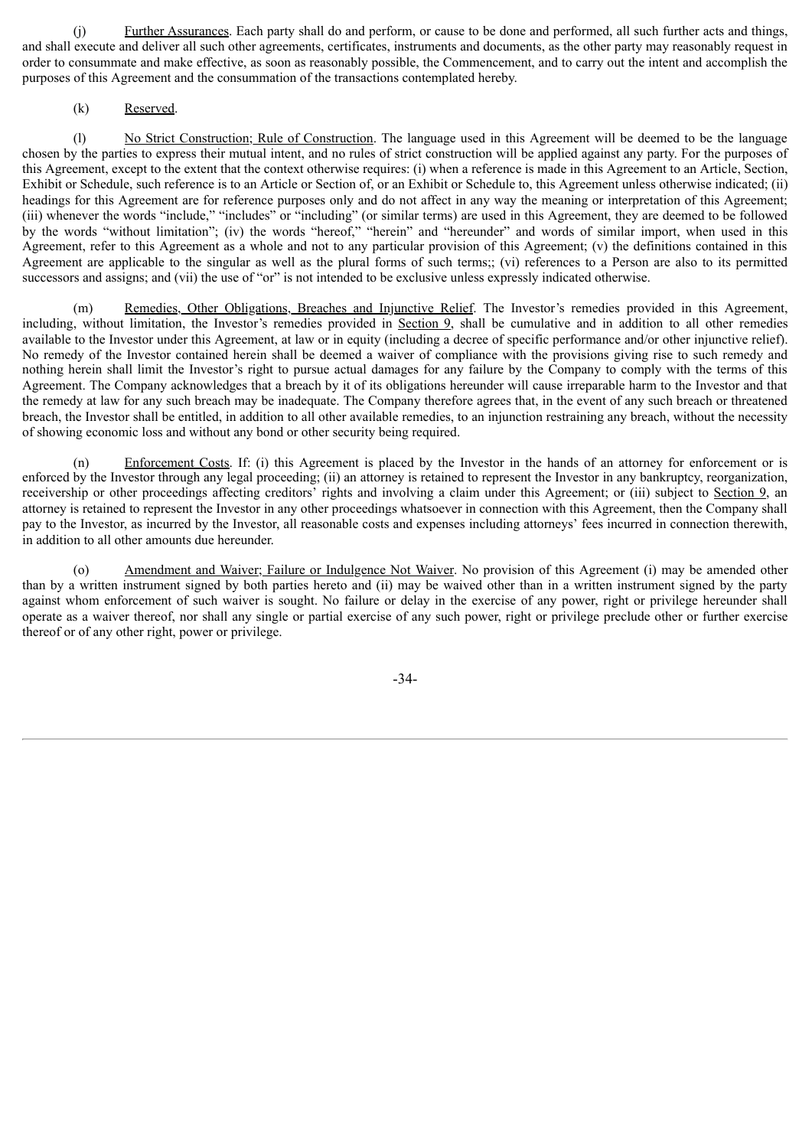(j) Further Assurances. Each party shall do and perform, or cause to be done and performed, all such further acts and things, and shall execute and deliver all such other agreements, certificates, instruments and documents, as the other party may reasonably request in order to consummate and make effective, as soon as reasonably possible, the Commencement, and to carry out the intent and accomplish the purposes of this Agreement and the consummation of the transactions contemplated hereby.

## (k) Reserved.

(l) No Strict Construction; Rule of Construction. The language used in this Agreement will be deemed to be the language chosen by the parties to express their mutual intent, and no rules of strict construction will be applied against any party. For the purposes of this Agreement, except to the extent that the context otherwise requires: (i) when a reference is made in this Agreement to an Article, Section, Exhibit or Schedule, such reference is to an Article or Section of, or an Exhibit or Schedule to, this Agreement unless otherwise indicated; (ii) headings for this Agreement are for reference purposes only and do not affect in any way the meaning or interpretation of this Agreement; (iii) whenever the words "include," "includes" or "including" (or similar terms) are used in this Agreement, they are deemed to be followed by the words "without limitation"; (iv) the words "hereof," "herein" and "hereunder" and words of similar import, when used in this Agreement, refer to this Agreement as a whole and not to any particular provision of this Agreement; (v) the definitions contained in this Agreement are applicable to the singular as well as the plural forms of such terms;; (vi) references to a Person are also to its permitted successors and assigns; and (vii) the use of "or" is not intended to be exclusive unless expressly indicated otherwise.

(m) Remedies, Other Obligations, Breaches and Injunctive Relief. The Investor's remedies provided in this Agreement, including, without limitation, the Investor's remedies provided in Section 9, shall be cumulative and in addition to all other remedies available to the Investor under this Agreement, at law or in equity (including a decree of specific performance and/or other injunctive relief). No remedy of the Investor contained herein shall be deemed a waiver of compliance with the provisions giving rise to such remedy and nothing herein shall limit the Investor's right to pursue actual damages for any failure by the Company to comply with the terms of this Agreement. The Company acknowledges that a breach by it of its obligations hereunder will cause irreparable harm to the Investor and that the remedy at law for any such breach may be inadequate. The Company therefore agrees that, in the event of any such breach or threatened breach, the Investor shall be entitled, in addition to all other available remedies, to an injunction restraining any breach, without the necessity of showing economic loss and without any bond or other security being required.

(n) Enforcement Costs. If: (i) this Agreement is placed by the Investor in the hands of an attorney for enforcement or is enforced by the Investor through any legal proceeding; (ii) an attorney is retained to represent the Investor in any bankruptcy, reorganization, receivership or other proceedings affecting creditors' rights and involving a claim under this Agreement; or (iii) subject to Section 9, an attorney is retained to represent the Investor in any other proceedings whatsoever in connection with this Agreement, then the Company shall pay to the Investor, as incurred by the Investor, all reasonable costs and expenses including attorneys' fees incurred in connection therewith, in addition to all other amounts due hereunder.

(o) Amendment and Waiver; Failure or Indulgence Not Waiver. No provision of this Agreement (i) may be amended other than by a written instrument signed by both parties hereto and (ii) may be waived other than in a written instrument signed by the party against whom enforcement of such waiver is sought. No failure or delay in the exercise of any power, right or privilege hereunder shall operate as a waiver thereof, nor shall any single or partial exercise of any such power, right or privilege preclude other or further exercise thereof or of any other right, power or privilege.

-34-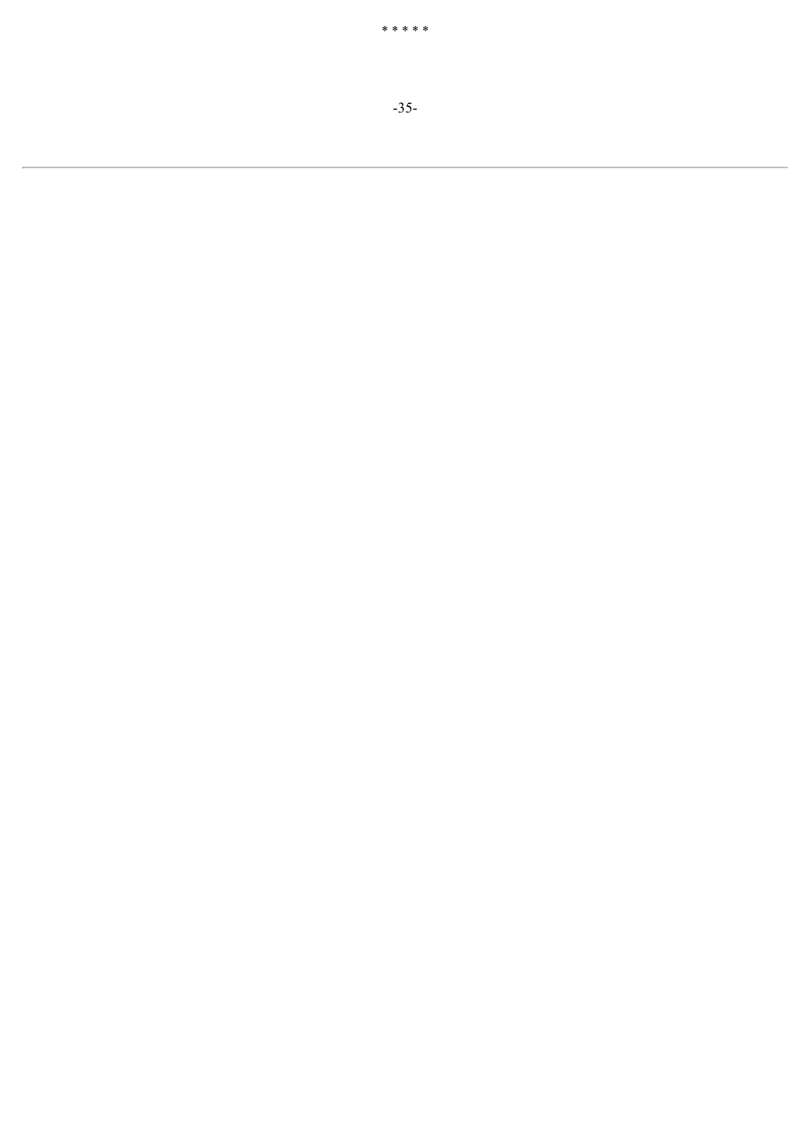\* \* \* \* \*

 $-35-$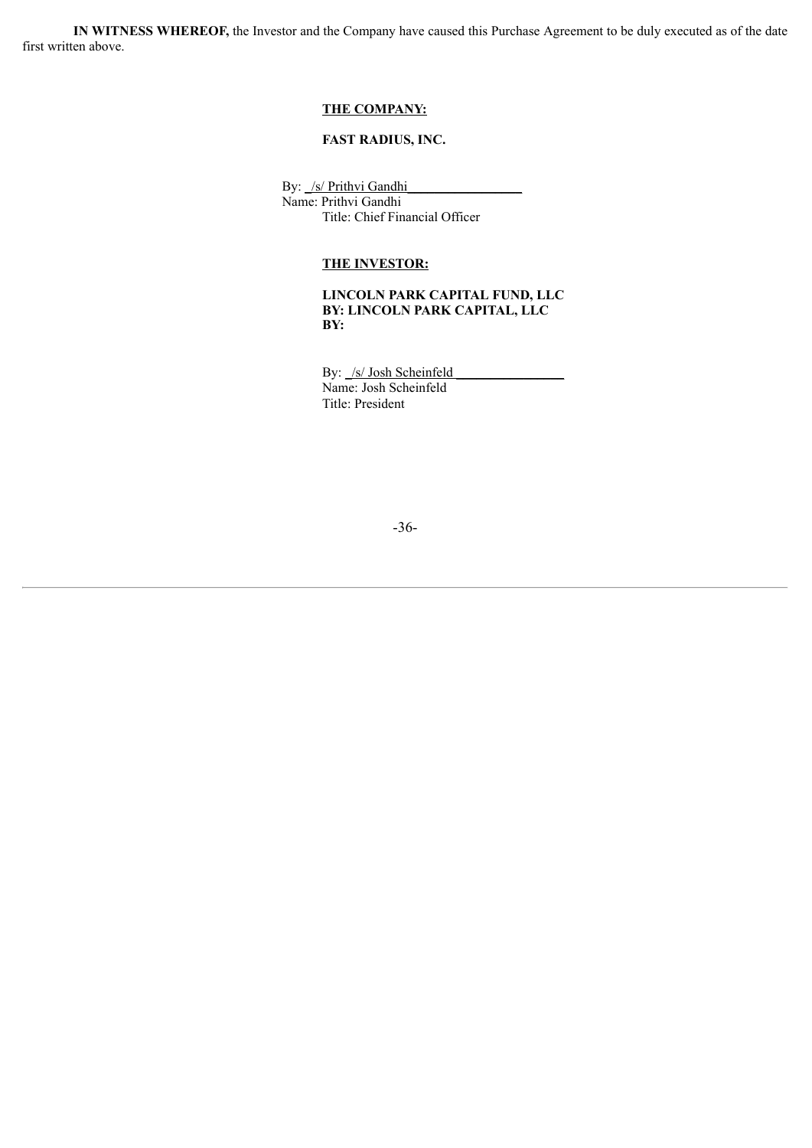**IN WITNESS WHEREOF,** the Investor and the Company have caused this Purchase Agreement to be duly executed as of the date first written above.

## **THE COMPANY:**

### **FAST RADIUS, INC.**

By: <u>/s/ Prithvi Gandhi</u> Name: Prithvi Gandhi Title: Chief Financial Officer

## **THE INVESTOR:**

**LINCOLN PARK CAPITAL FUND, LLC BY: LINCOLN PARK CAPITAL, LLC BY:**

By: \_/s/ Josh Scheinfeld \_\_\_\_\_\_\_\_\_\_\_\_\_\_\_\_ Name: Josh Scheinfeld Title: President

-36-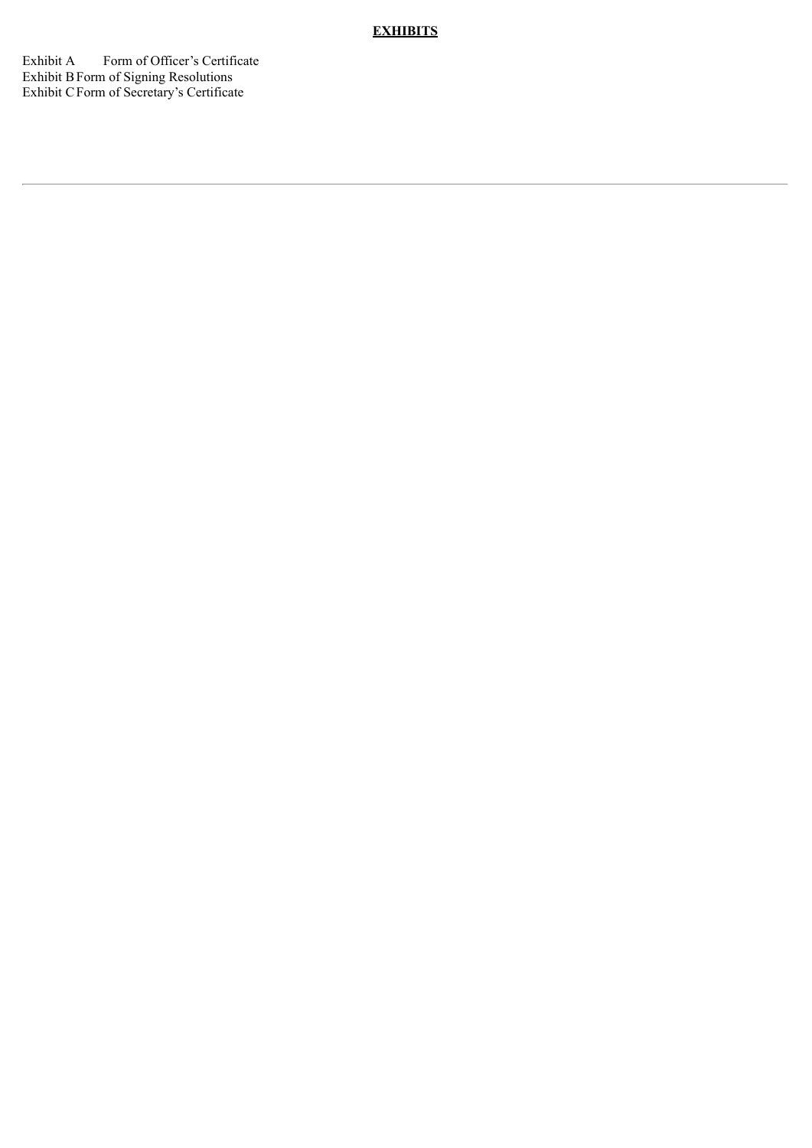## **EXHIBITS**

Exhibit A Form of Officer's Certificate Exhibit BForm of Signing Resolutions Exhibit CForm of Secretary's Certificate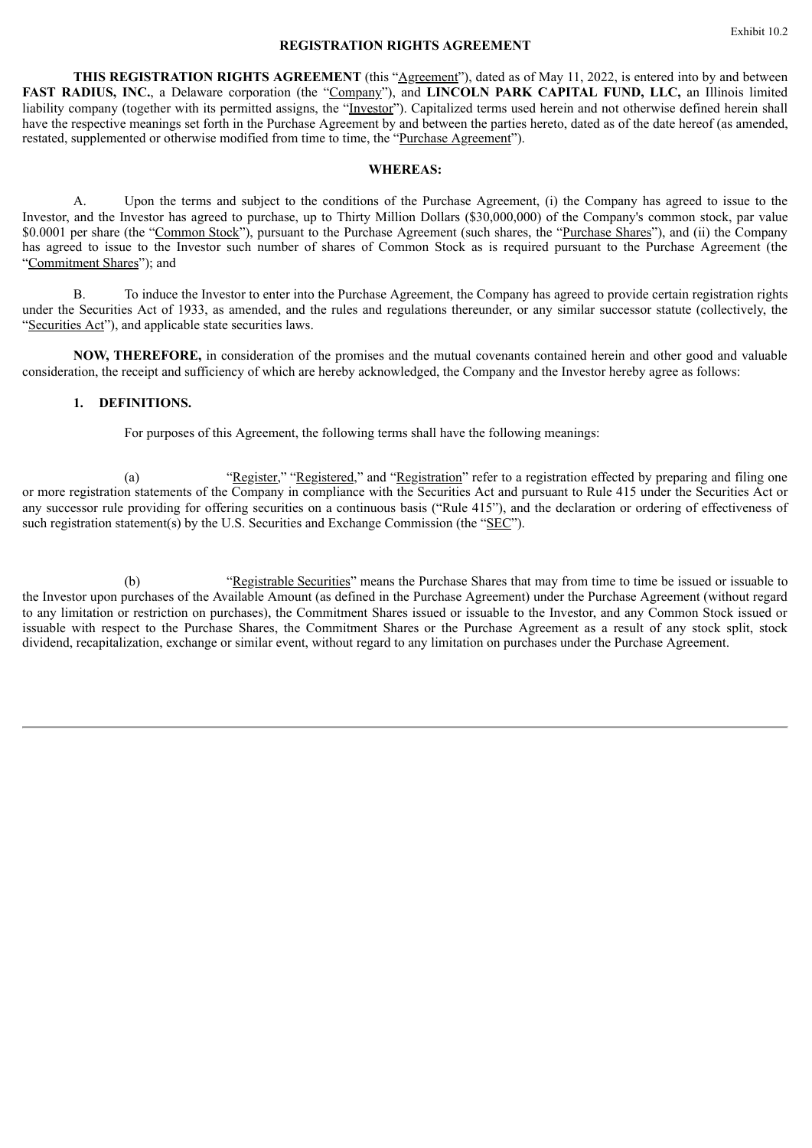#### **REGISTRATION RIGHTS AGREEMENT**

<span id="page-43-0"></span>**THIS REGISTRATION RIGHTS AGREEMENT** (this "Agreement"), dated as of May 11, 2022, is entered into by and between **FAST RADIUS, INC.**, a Delaware corporation (the "Company"), and **LINCOLN PARK CAPITAL FUND, LLC,** an Illinois limited liability company (together with its permitted assigns, the "Investor"). Capitalized terms used herein and not otherwise defined herein shall have the respective meanings set forth in the Purchase Agreement by and between the parties hereto, dated as of the date hereof (as amended, restated, supplemented or otherwise modified from time to time, the "Purchase Agreement").

#### **WHEREAS:**

A. Upon the terms and subject to the conditions of the Purchase Agreement, (i) the Company has agreed to issue to the Investor, and the Investor has agreed to purchase, up to Thirty Million Dollars (\$30,000,000) of the Company's common stock, par value \$0.0001 per share (the "Common Stock"), pursuant to the Purchase Agreement (such shares, the "Purchase Shares"), and (ii) the Company has agreed to issue to the Investor such number of shares of Common Stock as is required pursuant to the Purchase Agreement (the "Commitment Shares"); and

B. To induce the Investor to enter into the Purchase Agreement, the Company has agreed to provide certain registration rights under the Securities Act of 1933, as amended, and the rules and regulations thereunder, or any similar successor statute (collectively, the "Securities Act"), and applicable state securities laws.

**NOW, THEREFORE,** in consideration of the promises and the mutual covenants contained herein and other good and valuable consideration, the receipt and sufficiency of which are hereby acknowledged, the Company and the Investor hereby agree as follows:

#### **1. DEFINITIONS.**

For purposes of this Agreement, the following terms shall have the following meanings:

(a) "Register," "Registered," and "Registration" refer to a registration effected by preparing and filing one or more registration statements of the Company in compliance with the Securities Act and pursuant to Rule 415 under the Securities Act or any successor rule providing for offering securities on a continuous basis ("Rule 415"), and the declaration or ordering of effectiveness of such registration statement(s) by the U.S. Securities and Exchange Commission (the "SEC").

(b) "Registrable Securities" means the Purchase Shares that may from time to time be issued or issuable to the Investor upon purchases of the Available Amount (as defined in the Purchase Agreement) under the Purchase Agreement (without regard to any limitation or restriction on purchases), the Commitment Shares issued or issuable to the Investor, and any Common Stock issued or issuable with respect to the Purchase Shares, the Commitment Shares or the Purchase Agreement as a result of any stock split, stock dividend, recapitalization, exchange or similar event, without regard to any limitation on purchases under the Purchase Agreement.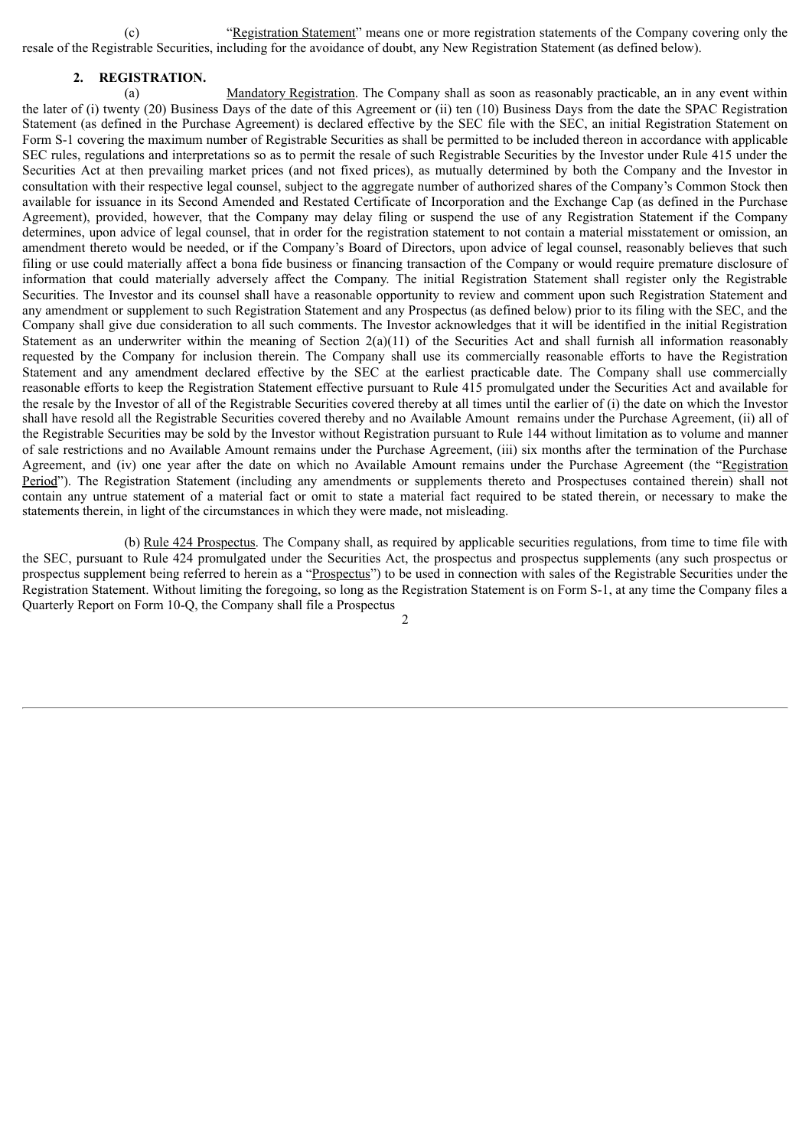(c) "Registration Statement" means one or more registration statements of the Company covering only the resale of the Registrable Securities, including for the avoidance of doubt, any New Registration Statement (as defined below).

#### **2. REGISTRATION.**

(a) Mandatory Registration. The Company shall as soon as reasonably practicable, an in any event within the later of (i) twenty (20) Business Days of the date of this Agreement or (ii) ten (10) Business Days from the date the SPAC Registration Statement (as defined in the Purchase Agreement) is declared effective by the SEC file with the SEC, an initial Registration Statement on Form S-1 covering the maximum number of Registrable Securities as shall be permitted to be included thereon in accordance with applicable SEC rules, regulations and interpretations so as to permit the resale of such Registrable Securities by the Investor under Rule 415 under the Securities Act at then prevailing market prices (and not fixed prices), as mutually determined by both the Company and the Investor in consultation with their respective legal counsel, subject to the aggregate number of authorized shares of the Company's Common Stock then available for issuance in its Second Amended and Restated Certificate of Incorporation and the Exchange Cap (as defined in the Purchase Agreement), provided, however, that the Company may delay filing or suspend the use of any Registration Statement if the Company determines, upon advice of legal counsel, that in order for the registration statement to not contain a material misstatement or omission, an amendment thereto would be needed, or if the Company's Board of Directors, upon advice of legal counsel, reasonably believes that such filing or use could materially affect a bona fide business or financing transaction of the Company or would require premature disclosure of information that could materially adversely affect the Company. The initial Registration Statement shall register only the Registrable Securities. The Investor and its counsel shall have a reasonable opportunity to review and comment upon such Registration Statement and any amendment or supplement to such Registration Statement and any Prospectus (as defined below) prior to its filing with the SEC, and the Company shall give due consideration to all such comments. The Investor acknowledges that it will be identified in the initial Registration Statement as an underwriter within the meaning of Section  $2(a)(11)$  of the Securities Act and shall furnish all information reasonably requested by the Company for inclusion therein. The Company shall use its commercially reasonable efforts to have the Registration Statement and any amendment declared effective by the SEC at the earliest practicable date. The Company shall use commercially reasonable efforts to keep the Registration Statement effective pursuant to Rule 415 promulgated under the Securities Act and available for the resale by the Investor of all of the Registrable Securities covered thereby at all times until the earlier of (i) the date on which the Investor shall have resold all the Registrable Securities covered thereby and no Available Amount remains under the Purchase Agreement, (ii) all of the Registrable Securities may be sold by the Investor without Registration pursuant to Rule 144 without limitation as to volume and manner of sale restrictions and no Available Amount remains under the Purchase Agreement, (iii) six months after the termination of the Purchase Agreement, and (iv) one year after the date on which no Available Amount remains under the Purchase Agreement (the "Registration" Period"). The Registration Statement (including any amendments or supplements thereto and Prospectuses contained therein) shall not contain any untrue statement of a material fact or omit to state a material fact required to be stated therein, or necessary to make the statements therein, in light of the circumstances in which they were made, not misleading.

(b) Rule 424 Prospectus. The Company shall, as required by applicable securities regulations, from time to time file with the SEC, pursuant to Rule 424 promulgated under the Securities Act, the prospectus and prospectus supplements (any such prospectus or prospectus supplement being referred to herein as a "Prospectus") to be used in connection with sales of the Registrable Securities under the Registration Statement. Without limiting the foregoing, so long as the Registration Statement is on Form S-1, at any time the Company files a Quarterly Report on Form 10-Q, the Company shall file a Prospectus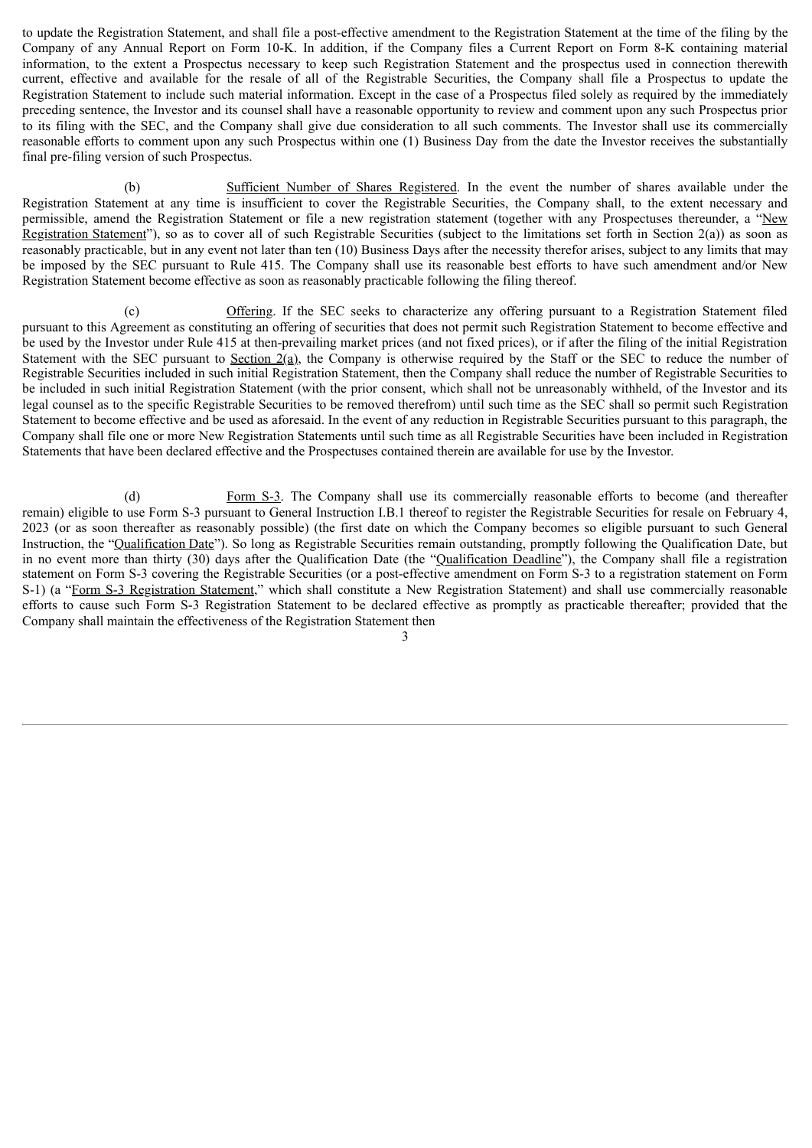to update the Registration Statement, and shall file a post-effective amendment to the Registration Statement at the time of the filing by the Company of any Annual Report on Form 10-K. In addition, if the Company files a Current Report on Form 8-K containing material information, to the extent a Prospectus necessary to keep such Registration Statement and the prospectus used in connection therewith current, effective and available for the resale of all of the Registrable Securities, the Company shall file a Prospectus to update the Registration Statement to include such material information. Except in the case of a Prospectus filed solely as required by the immediately preceding sentence, the Investor and its counsel shall have a reasonable opportunity to review and comment upon any such Prospectus prior to its filing with the SEC, and the Company shall give due consideration to all such comments. The Investor shall use its commercially reasonable efforts to comment upon any such Prospectus within one (1) Business Day from the date the Investor receives the substantially final pre-filing version of such Prospectus.

(b) Sufficient Number of Shares Registered. In the event the number of shares available under the Registration Statement at any time is insufficient to cover the Registrable Securities, the Company shall, to the extent necessary and permissible, amend the Registration Statement or file a new registration statement (together with any Prospectuses thereunder, a "New Registration Statement"), so as to cover all of such Registrable Securities (subject to the limitations set forth in Section 2(a)) as soon as reasonably practicable, but in any event not later than ten (10) Business Days after the necessity therefor arises, subject to any limits that may be imposed by the SEC pursuant to Rule 415. The Company shall use its reasonable best efforts to have such amendment and/or New Registration Statement become effective as soon as reasonably practicable following the filing thereof.

(c) Offering. If the SEC seeks to characterize any offering pursuant to a Registration Statement filed pursuant to this Agreement as constituting an offering of securities that does not permit such Registration Statement to become effective and be used by the Investor under Rule 415 at then-prevailing market prices (and not fixed prices), or if after the filing of the initial Registration Statement with the SEC pursuant to Section  $2(a)$ , the Company is otherwise required by the Staff or the SEC to reduce the number of Registrable Securities included in such initial Registration Statement, then the Company shall reduce the number of Registrable Securities to be included in such initial Registration Statement (with the prior consent, which shall not be unreasonably withheld, of the Investor and its legal counsel as to the specific Registrable Securities to be removed therefrom) until such time as the SEC shall so permit such Registration Statement to become effective and be used as aforesaid. In the event of any reduction in Registrable Securities pursuant to this paragraph, the Company shall file one or more New Registration Statements until such time as all Registrable Securities have been included in Registration Statements that have been declared effective and the Prospectuses contained therein are available for use by the Investor.

(d) Form S-3. The Company shall use its commercially reasonable efforts to become (and thereafter remain) eligible to use Form S-3 pursuant to General Instruction I.B.1 thereof to register the Registrable Securities for resale on February 4, 2023 (or as soon thereafter as reasonably possible) (the first date on which the Company becomes so eligible pursuant to such General Instruction, the "Qualification Date"). So long as Registrable Securities remain outstanding, promptly following the Qualification Date, but in no event more than thirty (30) days after the Qualification Date (the "Qualification Deadline"), the Company shall file a registration statement on Form S-3 covering the Registrable Securities (or a post-effective amendment on Form S-3 to a registration statement on Form S-1) (a "Form S-3 Registration Statement," which shall constitute a New Registration Statement) and shall use commercially reasonable efforts to cause such Form S-3 Registration Statement to be declared effective as promptly as practicable thereafter; provided that the Company shall maintain the effectiveness of the Registration Statement then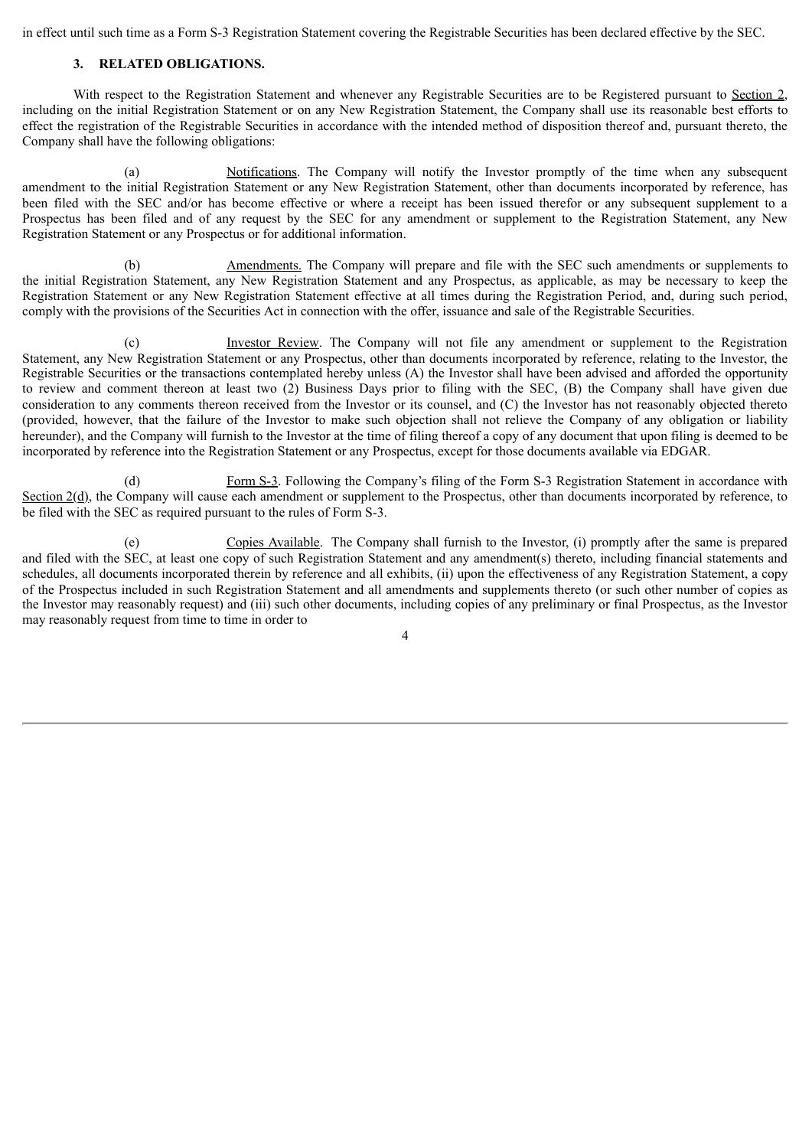in effect until such time as a Form S-3 Registration Statement covering the Registrable Securities has been declared effective by the SEC.

## **3. RELATED OBLIGATIONS.**

With respect to the Registration Statement and whenever any Registrable Securities are to be Registered pursuant to Section 2, including on the initial Registration Statement or on any New Registration Statement, the Company shall use its reasonable best efforts to effect the registration of the Registrable Securities in accordance with the intended method of disposition thereof and, pursuant thereto, the Company shall have the following obligations:

(a) Notifications. The Company will notify the Investor promptly of the time when any subsequent amendment to the initial Registration Statement or any New Registration Statement, other than documents incorporated by reference, has been filed with the SEC and/or has become effective or where a receipt has been issued therefor or any subsequent supplement to a Prospectus has been filed and of any request by the SEC for any amendment or supplement to the Registration Statement, any New Registration Statement or any Prospectus or for additional information.

(b) Amendments. The Company will prepare and file with the SEC such amendments or supplements to the initial Registration Statement, any New Registration Statement and any Prospectus, as applicable, as may be necessary to keep the Registration Statement or any New Registration Statement effective at all times during the Registration Period, and, during such period, comply with the provisions of the Securities Act in connection with the offer, issuance and sale of the Registrable Securities.

(c) Investor Review. The Company will not file any amendment or supplement to the Registration Statement, any New Registration Statement or any Prospectus, other than documents incorporated by reference, relating to the Investor, the Registrable Securities or the transactions contemplated hereby unless (A) the Investor shall have been advised and afforded the opportunity to review and comment thereon at least two (2) Business Days prior to filing with the SEC, (B) the Company shall have given due consideration to any comments thereon received from the Investor or its counsel, and (C) the Investor has not reasonably objected thereto (provided, however, that the failure of the Investor to make such objection shall not relieve the Company of any obligation or liability hereunder), and the Company will furnish to the Investor at the time of filing thereof a copy of any document that upon filing is deemed to be incorporated by reference into the Registration Statement or any Prospectus, except for those documents available via EDGAR.

(d) Form S-3. Following the Company's filing of the Form S-3 Registration Statement in accordance with Section 2(d), the Company will cause each amendment or supplement to the Prospectus, other than documents incorporated by reference, to be filed with the SEC as required pursuant to the rules of Form S-3.

(e) Copies Available. The Company shall furnish to the Investor, (i) promptly after the same is prepared and filed with the SEC, at least one copy of such Registration Statement and any amendment(s) thereto, including financial statements and schedules, all documents incorporated therein by reference and all exhibits, (ii) upon the effectiveness of any Registration Statement, a copy of the Prospectus included in such Registration Statement and all amendments and supplements thereto (or such other number of copies as the Investor may reasonably request) and (iii) such other documents, including copies of any preliminary or final Prospectus, as the Investor may reasonably request from time to time in order to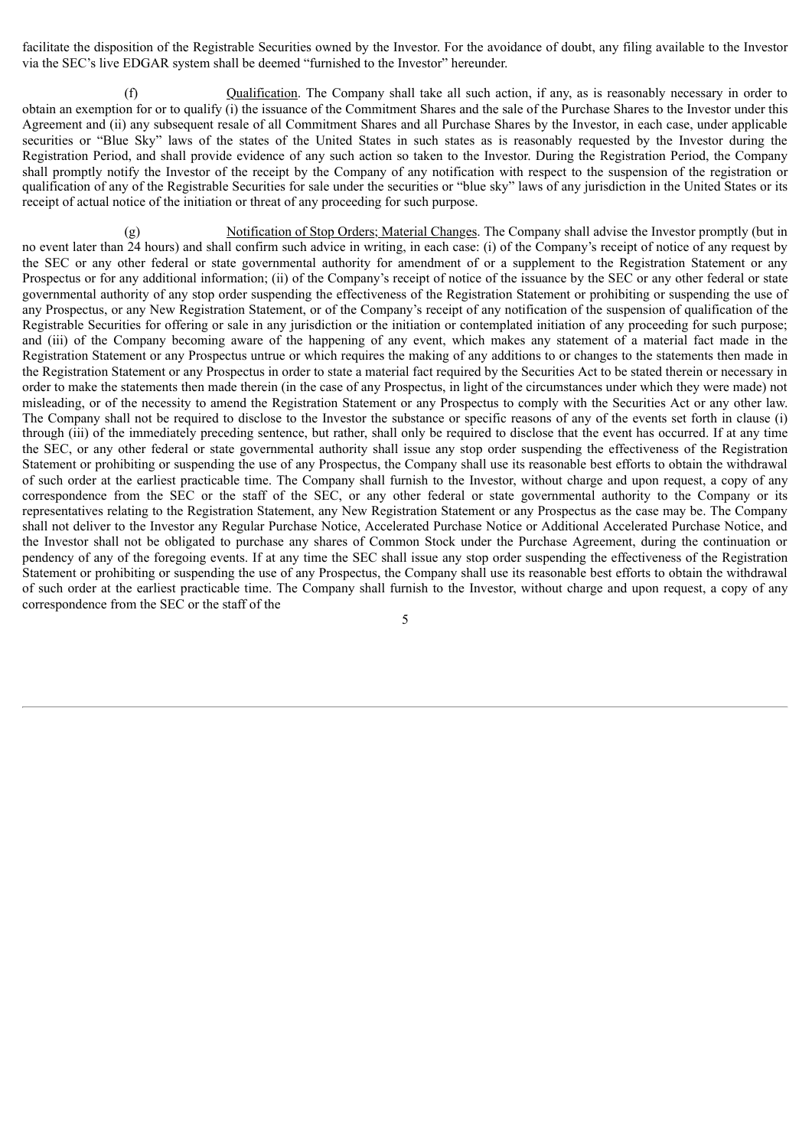facilitate the disposition of the Registrable Securities owned by the Investor. For the avoidance of doubt, any filing available to the Investor via the SEC's live EDGAR system shall be deemed "furnished to the Investor" hereunder.

(f) Qualification. The Company shall take all such action, if any, as is reasonably necessary in order to obtain an exemption for or to qualify (i) the issuance of the Commitment Shares and the sale of the Purchase Shares to the Investor under this Agreement and (ii) any subsequent resale of all Commitment Shares and all Purchase Shares by the Investor, in each case, under applicable securities or "Blue Sky" laws of the states of the United States in such states as is reasonably requested by the Investor during the Registration Period, and shall provide evidence of any such action so taken to the Investor. During the Registration Period, the Company shall promptly notify the Investor of the receipt by the Company of any notification with respect to the suspension of the registration or qualification of any of the Registrable Securities for sale under the securities or "blue sky" laws of any jurisdiction in the United States or its receipt of actual notice of the initiation or threat of any proceeding for such purpose.

(g) Notification of Stop Orders; Material Changes. The Company shall advise the Investor promptly (but in no event later than 24 hours) and shall confirm such advice in writing, in each case: (i) of the Company's receipt of notice of any request by the SEC or any other federal or state governmental authority for amendment of or a supplement to the Registration Statement or any Prospectus or for any additional information; (ii) of the Company's receipt of notice of the issuance by the SEC or any other federal or state governmental authority of any stop order suspending the effectiveness of the Registration Statement or prohibiting or suspending the use of any Prospectus, or any New Registration Statement, or of the Company's receipt of any notification of the suspension of qualification of the Registrable Securities for offering or sale in any jurisdiction or the initiation or contemplated initiation of any proceeding for such purpose; and (iii) of the Company becoming aware of the happening of any event, which makes any statement of a material fact made in the Registration Statement or any Prospectus untrue or which requires the making of any additions to or changes to the statements then made in the Registration Statement or any Prospectus in order to state a material fact required by the Securities Act to be stated therein or necessary in order to make the statements then made therein (in the case of any Prospectus, in light of the circumstances under which they were made) not misleading, or of the necessity to amend the Registration Statement or any Prospectus to comply with the Securities Act or any other law. The Company shall not be required to disclose to the Investor the substance or specific reasons of any of the events set forth in clause (i) through (iii) of the immediately preceding sentence, but rather, shall only be required to disclose that the event has occurred. If at any time the SEC, or any other federal or state governmental authority shall issue any stop order suspending the effectiveness of the Registration Statement or prohibiting or suspending the use of any Prospectus, the Company shall use its reasonable best efforts to obtain the withdrawal of such order at the earliest practicable time. The Company shall furnish to the Investor, without charge and upon request, a copy of any correspondence from the SEC or the staff of the SEC, or any other federal or state governmental authority to the Company or its representatives relating to the Registration Statement, any New Registration Statement or any Prospectus as the case may be. The Company shall not deliver to the Investor any Regular Purchase Notice, Accelerated Purchase Notice or Additional Accelerated Purchase Notice, and the Investor shall not be obligated to purchase any shares of Common Stock under the Purchase Agreement, during the continuation or pendency of any of the foregoing events. If at any time the SEC shall issue any stop order suspending the effectiveness of the Registration Statement or prohibiting or suspending the use of any Prospectus, the Company shall use its reasonable best efforts to obtain the withdrawal of such order at the earliest practicable time. The Company shall furnish to the Investor, without charge and upon request, a copy of any correspondence from the SEC or the staff of the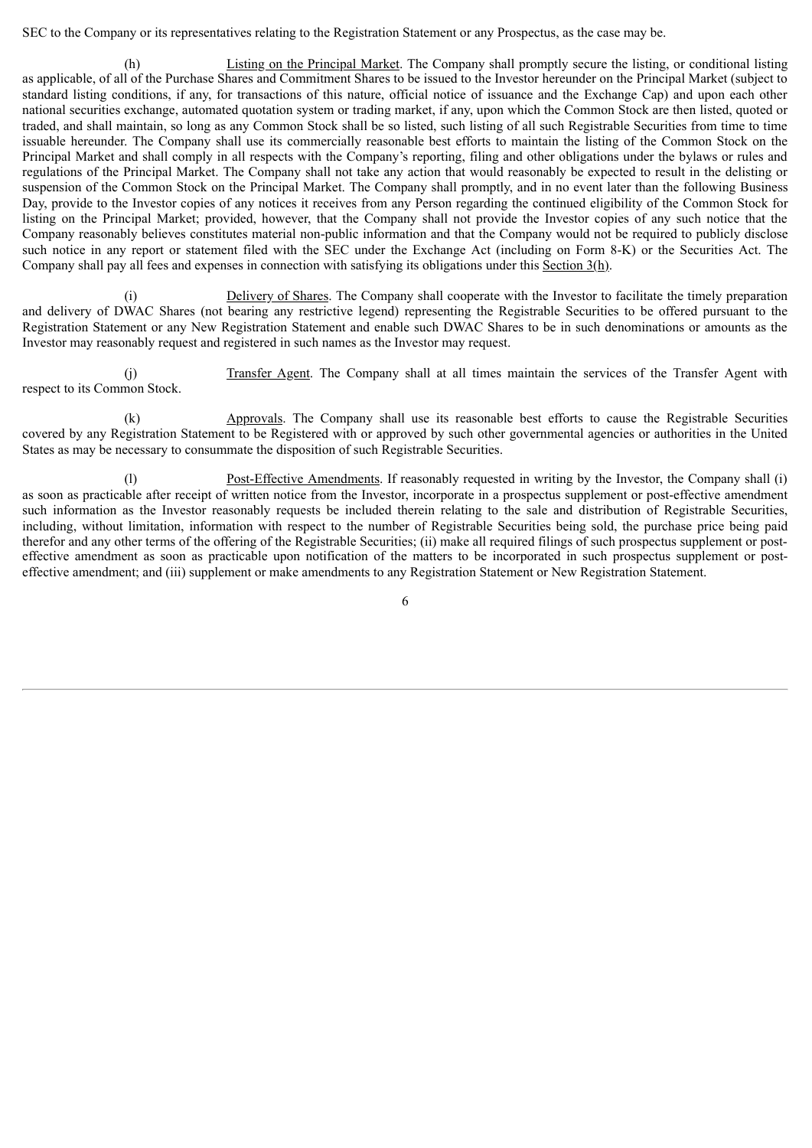SEC to the Company or its representatives relating to the Registration Statement or any Prospectus, as the case may be.

(h) Listing on the Principal Market. The Company shall promptly secure the listing, or conditional listing as applicable, of all of the Purchase Shares and Commitment Shares to be issued to the Investor hereunder on the Principal Market (subject to standard listing conditions, if any, for transactions of this nature, official notice of issuance and the Exchange Cap) and upon each other national securities exchange, automated quotation system or trading market, if any, upon which the Common Stock are then listed, quoted or traded, and shall maintain, so long as any Common Stock shall be so listed, such listing of all such Registrable Securities from time to time issuable hereunder. The Company shall use its commercially reasonable best efforts to maintain the listing of the Common Stock on the Principal Market and shall comply in all respects with the Company's reporting, filing and other obligations under the bylaws or rules and regulations of the Principal Market. The Company shall not take any action that would reasonably be expected to result in the delisting or suspension of the Common Stock on the Principal Market. The Company shall promptly, and in no event later than the following Business Day, provide to the Investor copies of any notices it receives from any Person regarding the continued eligibility of the Common Stock for listing on the Principal Market; provided, however, that the Company shall not provide the Investor copies of any such notice that the Company reasonably believes constitutes material non-public information and that the Company would not be required to publicly disclose such notice in any report or statement filed with the SEC under the Exchange Act (including on Form 8-K) or the Securities Act. The Company shall pay all fees and expenses in connection with satisfying its obligations under this Section 3(h).

(i) Delivery of Shares. The Company shall cooperate with the Investor to facilitate the timely preparation and delivery of DWAC Shares (not bearing any restrictive legend) representing the Registrable Securities to be offered pursuant to the Registration Statement or any New Registration Statement and enable such DWAC Shares to be in such denominations or amounts as the Investor may reasonably request and registered in such names as the Investor may request.

(j) Transfer Agent. The Company shall at all times maintain the services of the Transfer Agent with respect to its Common Stock.

(k) Approvals. The Company shall use its reasonable best efforts to cause the Registrable Securities covered by any Registration Statement to be Registered with or approved by such other governmental agencies or authorities in the United States as may be necessary to consummate the disposition of such Registrable Securities.

(l) Post-Effective Amendments. If reasonably requested in writing by the Investor, the Company shall (i) as soon as practicable after receipt of written notice from the Investor, incorporate in a prospectus supplement or post-effective amendment such information as the Investor reasonably requests be included therein relating to the sale and distribution of Registrable Securities, including, without limitation, information with respect to the number of Registrable Securities being sold, the purchase price being paid therefor and any other terms of the offering of the Registrable Securities; (ii) make all required filings of such prospectus supplement or posteffective amendment as soon as practicable upon notification of the matters to be incorporated in such prospectus supplement or posteffective amendment; and (iii) supplement or make amendments to any Registration Statement or New Registration Statement.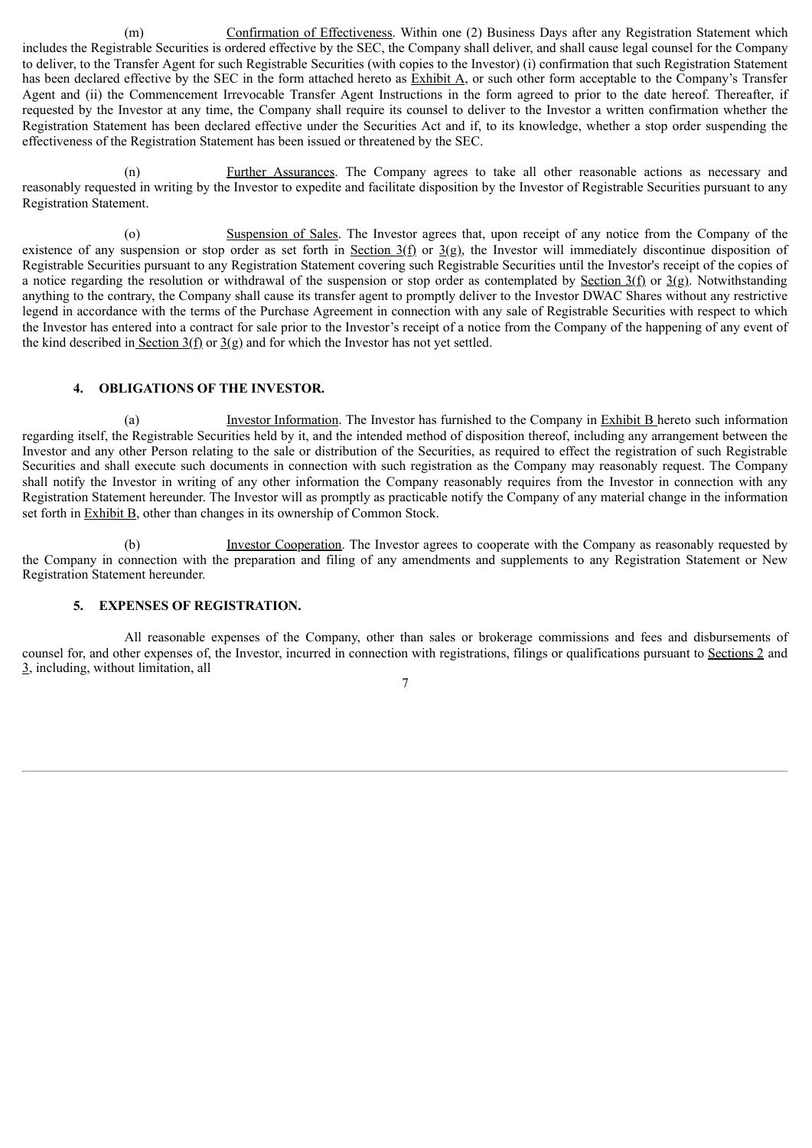(m) Confirmation of Effectiveness. Within one (2) Business Days after any Registration Statement which includes the Registrable Securities is ordered effective by the SEC, the Company shall deliver, and shall cause legal counsel for the Company to deliver, to the Transfer Agent for such Registrable Securities (with copies to the Investor) (i) confirmation that such Registration Statement has been declared effective by the SEC in the form attached hereto as **Exhibit A**, or such other form acceptable to the Company's Transfer Agent and (ii) the Commencement Irrevocable Transfer Agent Instructions in the form agreed to prior to the date hereof. Thereafter, if requested by the Investor at any time, the Company shall require its counsel to deliver to the Investor a written confirmation whether the Registration Statement has been declared effective under the Securities Act and if, to its knowledge, whether a stop order suspending the effectiveness of the Registration Statement has been issued or threatened by the SEC.

(n) Further Assurances. The Company agrees to take all other reasonable actions as necessary and reasonably requested in writing by the Investor to expedite and facilitate disposition by the Investor of Registrable Securities pursuant to any Registration Statement.

(o) Suspension of Sales. The Investor agrees that, upon receipt of any notice from the Company of the existence of any suspension or stop order as set forth in Section  $3(f)$  or  $3(g)$ , the Investor will immediately discontinue disposition of Registrable Securities pursuant to any Registration Statement covering such Registrable Securities until the Investor's receipt of the copies of a notice regarding the resolution or withdrawal of the suspension or stop order as contemplated by Section  $3(f)$  or  $3(g)$ . Notwithstanding anything to the contrary, the Company shall cause its transfer agent to promptly deliver to the Investor DWAC Shares without any restrictive legend in accordance with the terms of the Purchase Agreement in connection with any sale of Registrable Securities with respect to which the Investor has entered into a contract for sale prior to the Investor's receipt of a notice from the Company of the happening of any event of the kind described in Section  $3(f)$  or  $3(g)$  and for which the Investor has not yet settled.

#### **4. OBLIGATIONS OF THE INVESTOR.**

(a) Investor Information. The Investor has furnished to the Company in Exhibit B hereto such information regarding itself, the Registrable Securities held by it, and the intended method of disposition thereof, including any arrangement between the Investor and any other Person relating to the sale or distribution of the Securities, as required to effect the registration of such Registrable Securities and shall execute such documents in connection with such registration as the Company may reasonably request. The Company shall notify the Investor in writing of any other information the Company reasonably requires from the Investor in connection with any Registration Statement hereunder. The Investor will as promptly as practicable notify the Company of any material change in the information set forth in Exhibit B, other than changes in its ownership of Common Stock.

(b) Investor Cooperation. The Investor agrees to cooperate with the Company as reasonably requested by the Company in connection with the preparation and filing of any amendments and supplements to any Registration Statement or New Registration Statement hereunder.

#### **5. EXPENSES OF REGISTRATION.**

All reasonable expenses of the Company, other than sales or brokerage commissions and fees and disbursements of counsel for, and other expenses of, the Investor, incurred in connection with registrations, filings or qualifications pursuant to Sections 2 and 3, including, without limitation, all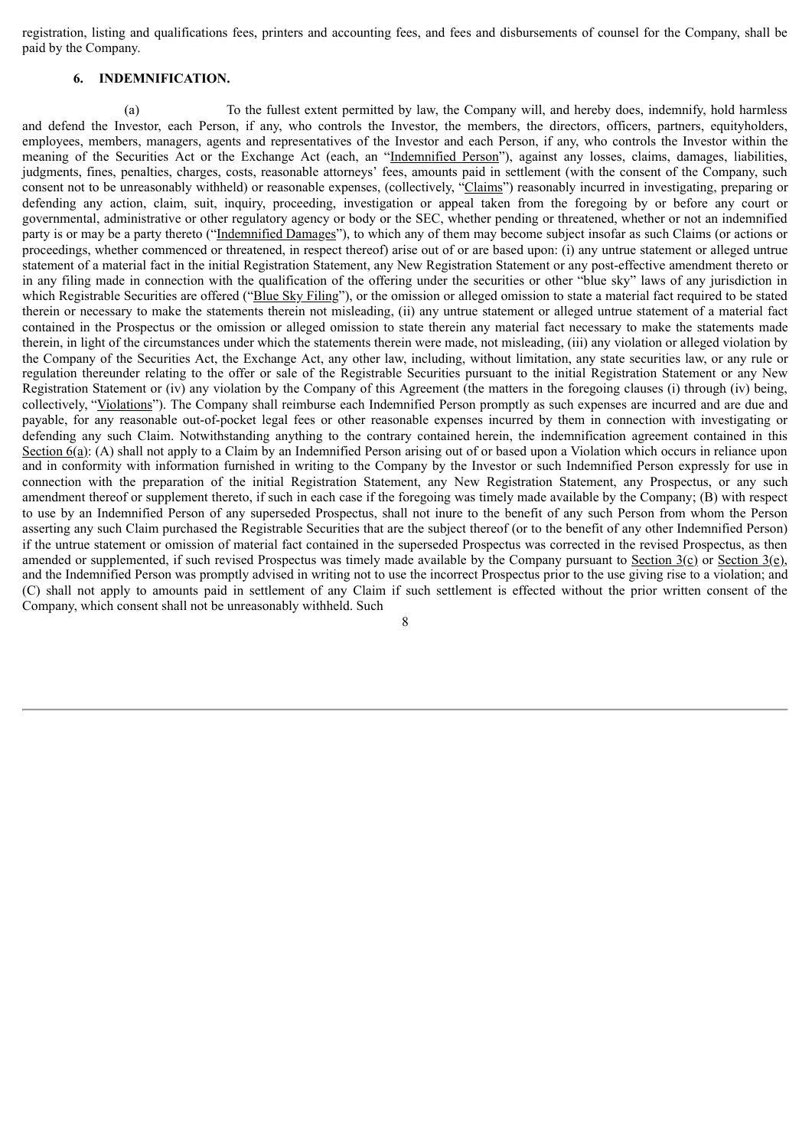registration, listing and qualifications fees, printers and accounting fees, and fees and disbursements of counsel for the Company, shall be paid by the Company.

#### **6. INDEMNIFICATION.**

(a) To the fullest extent permitted by law, the Company will, and hereby does, indemnify, hold harmless and defend the Investor, each Person, if any, who controls the Investor, the members, the directors, officers, partners, equityholders, employees, members, managers, agents and representatives of the Investor and each Person, if any, who controls the Investor within the meaning of the Securities Act or the Exchange Act (each, an "Indemnified Person"), against any losses, claims, damages, liabilities, judgments, fines, penalties, charges, costs, reasonable attorneys' fees, amounts paid in settlement (with the consent of the Company, such consent not to be unreasonably withheld) or reasonable expenses, (collectively, "Claims") reasonably incurred in investigating, preparing or defending any action, claim, suit, inquiry, proceeding, investigation or appeal taken from the foregoing by or before any court or governmental, administrative or other regulatory agency or body or the SEC, whether pending or threatened, whether or not an indemnified party is or may be a party thereto ("Indemnified Damages"), to which any of them may become subject insofar as such Claims (or actions or proceedings, whether commenced or threatened, in respect thereof) arise out of or are based upon: (i) any untrue statement or alleged untrue statement of a material fact in the initial Registration Statement, any New Registration Statement or any post-effective amendment thereto or in any filing made in connection with the qualification of the offering under the securities or other "blue sky" laws of any jurisdiction in which Registrable Securities are offered ("Blue Sky Filing"), or the omission or alleged omission to state a material fact required to be stated therein or necessary to make the statements therein not misleading, (ii) any untrue statement or alleged untrue statement of a material fact contained in the Prospectus or the omission or alleged omission to state therein any material fact necessary to make the statements made therein, in light of the circumstances under which the statements therein were made, not misleading, (iii) any violation or alleged violation by the Company of the Securities Act, the Exchange Act, any other law, including, without limitation, any state securities law, or any rule or regulation thereunder relating to the offer or sale of the Registrable Securities pursuant to the initial Registration Statement or any New Registration Statement or (iv) any violation by the Company of this Agreement (the matters in the foregoing clauses (i) through (iv) being, collectively, "Violations"). The Company shall reimburse each Indemnified Person promptly as such expenses are incurred and are due and payable, for any reasonable out-of-pocket legal fees or other reasonable expenses incurred by them in connection with investigating or defending any such Claim. Notwithstanding anything to the contrary contained herein, the indemnification agreement contained in this Section 6(a): (A) shall not apply to a Claim by an Indemnified Person arising out of or based upon a Violation which occurs in reliance upon and in conformity with information furnished in writing to the Company by the Investor or such Indemnified Person expressly for use in connection with the preparation of the initial Registration Statement, any New Registration Statement, any Prospectus, or any such amendment thereof or supplement thereto, if such in each case if the foregoing was timely made available by the Company; (B) with respect to use by an Indemnified Person of any superseded Prospectus, shall not inure to the benefit of any such Person from whom the Person asserting any such Claim purchased the Registrable Securities that are the subject thereof (or to the benefit of any other Indemnified Person) if the untrue statement or omission of material fact contained in the superseded Prospectus was corrected in the revised Prospectus, as then amended or supplemented, if such revised Prospectus was timely made available by the Company pursuant to Section  $3(\epsilon)$  or Section  $3(\epsilon)$ , and the Indemnified Person was promptly advised in writing not to use the incorrect Prospectus prior to the use giving rise to a violation; and (C) shall not apply to amounts paid in settlement of any Claim if such settlement is effected without the prior written consent of the Company, which consent shall not be unreasonably withheld. Such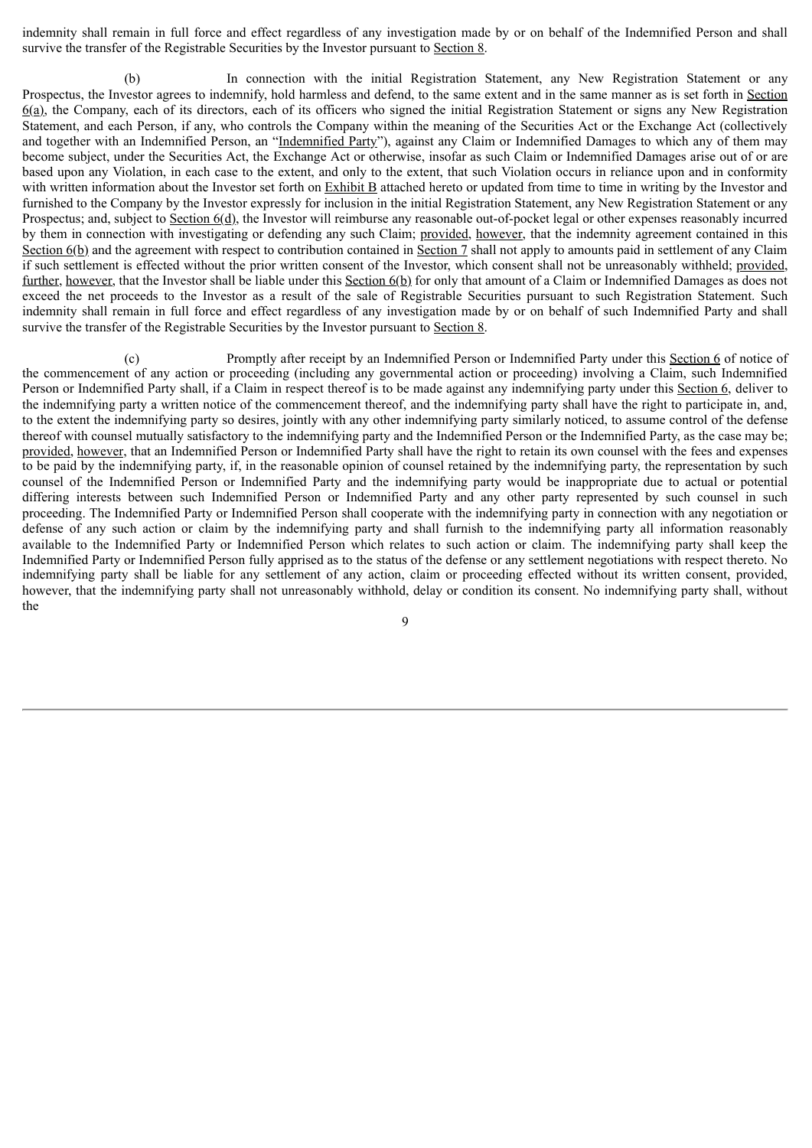indemnity shall remain in full force and effect regardless of any investigation made by or on behalf of the Indemnified Person and shall survive the transfer of the Registrable Securities by the Investor pursuant to Section 8.

(b) In connection with the initial Registration Statement, any New Registration Statement or any Prospectus, the Investor agrees to indemnify, hold harmless and defend, to the same extent and in the same manner as is set forth in Section  $6(a)$ , the Company, each of its directors, each of its officers who signed the initial Registration Statement or signs any New Registration Statement, and each Person, if any, who controls the Company within the meaning of the Securities Act or the Exchange Act (collectively and together with an Indemnified Person, an "Indemnified Party"), against any Claim or Indemnified Damages to which any of them may become subject, under the Securities Act, the Exchange Act or otherwise, insofar as such Claim or Indemnified Damages arise out of or are based upon any Violation, in each case to the extent, and only to the extent, that such Violation occurs in reliance upon and in conformity with written information about the Investor set forth on Exhibit B attached hereto or updated from time to time in writing by the Investor and furnished to the Company by the Investor expressly for inclusion in the initial Registration Statement, any New Registration Statement or any Prospectus; and, subject to Section 6(d), the Investor will reimburse any reasonable out-of-pocket legal or other expenses reasonably incurred by them in connection with investigating or defending any such Claim; provided, however, that the indemnity agreement contained in this Section  $6(b)$  and the agreement with respect to contribution contained in Section 7 shall not apply to amounts paid in settlement of any Claim if such settlement is effected without the prior written consent of the Investor, which consent shall not be unreasonably withheld; provided, further, however, that the Investor shall be liable under this Section  $6(b)$  for only that amount of a Claim or Indemnified Damages as does not exceed the net proceeds to the Investor as a result of the sale of Registrable Securities pursuant to such Registration Statement. Such indemnity shall remain in full force and effect regardless of any investigation made by or on behalf of such Indemnified Party and shall survive the transfer of the Registrable Securities by the Investor pursuant to Section 8.

(c) Promptly after receipt by an Indemnified Person or Indemnified Party under this Section 6 of notice of the commencement of any action or proceeding (including any governmental action or proceeding) involving a Claim, such Indemnified Person or Indemnified Party shall, if a Claim in respect thereof is to be made against any indemnifying party under this Section 6, deliver to the indemnifying party a written notice of the commencement thereof, and the indemnifying party shall have the right to participate in, and, to the extent the indemnifying party so desires, jointly with any other indemnifying party similarly noticed, to assume control of the defense thereof with counsel mutually satisfactory to the indemnifying party and the Indemnified Person or the Indemnified Party, as the case may be; provided, however, that an Indemnified Person or Indemnified Party shall have the right to retain its own counsel with the fees and expenses to be paid by the indemnifying party, if, in the reasonable opinion of counsel retained by the indemnifying party, the representation by such counsel of the Indemnified Person or Indemnified Party and the indemnifying party would be inappropriate due to actual or potential differing interests between such Indemnified Person or Indemnified Party and any other party represented by such counsel in such proceeding. The Indemnified Party or Indemnified Person shall cooperate with the indemnifying party in connection with any negotiation or defense of any such action or claim by the indemnifying party and shall furnish to the indemnifying party all information reasonably available to the Indemnified Party or Indemnified Person which relates to such action or claim. The indemnifying party shall keep the Indemnified Party or Indemnified Person fully apprised as to the status of the defense or any settlement negotiations with respect thereto. No indemnifying party shall be liable for any settlement of any action, claim or proceeding effected without its written consent, provided, however, that the indemnifying party shall not unreasonably withhold, delay or condition its consent. No indemnifying party shall, without the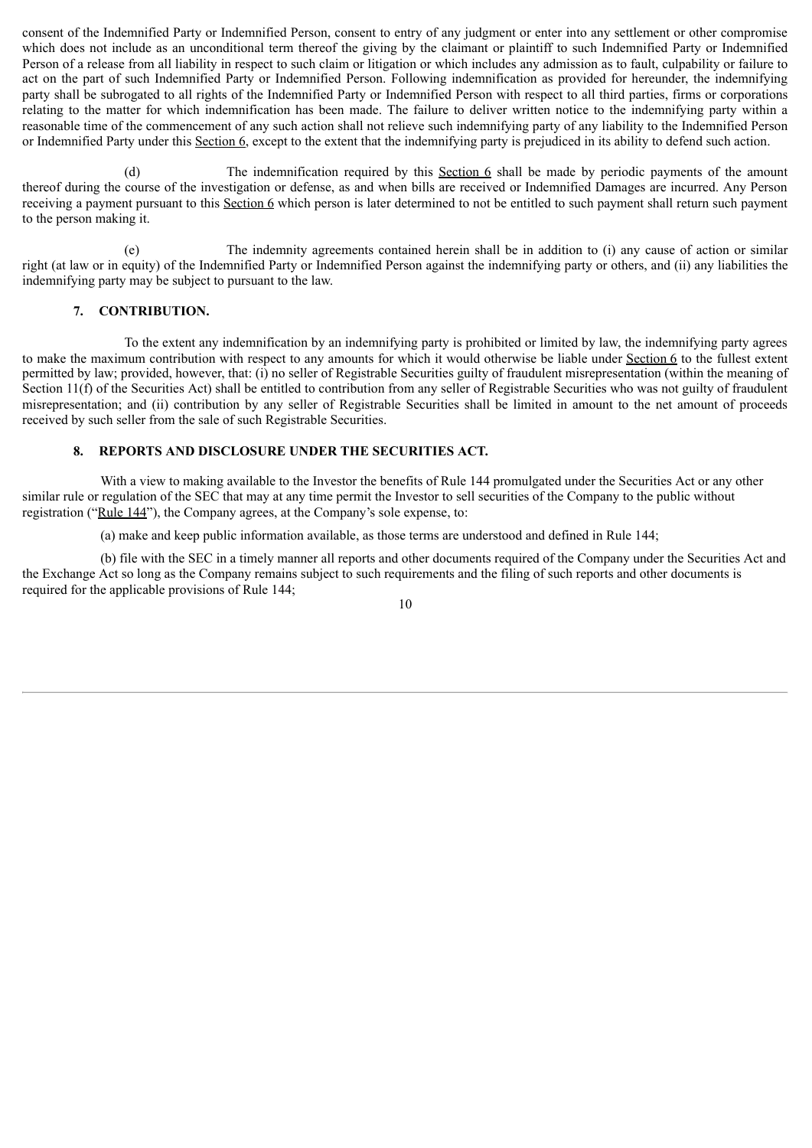consent of the Indemnified Party or Indemnified Person, consent to entry of any judgment or enter into any settlement or other compromise which does not include as an unconditional term thereof the giving by the claimant or plaintiff to such Indemnified Party or Indemnified Person of a release from all liability in respect to such claim or litigation or which includes any admission as to fault, culpability or failure to act on the part of such Indemnified Party or Indemnified Person. Following indemnification as provided for hereunder, the indemnifying party shall be subrogated to all rights of the Indemnified Party or Indemnified Person with respect to all third parties, firms or corporations relating to the matter for which indemnification has been made. The failure to deliver written notice to the indemnifying party within a reasonable time of the commencement of any such action shall not relieve such indemnifying party of any liability to the Indemnified Person or Indemnified Party under this Section 6, except to the extent that the indemnifying party is prejudiced in its ability to defend such action.

(d) The indemnification required by this Section 6 shall be made by periodic payments of the amount thereof during the course of the investigation or defense, as and when bills are received or Indemnified Damages are incurred. Any Person receiving a payment pursuant to this Section 6 which person is later determined to not be entitled to such payment shall return such payment to the person making it.

(e) The indemnity agreements contained herein shall be in addition to (i) any cause of action or similar right (at law or in equity) of the Indemnified Party or Indemnified Person against the indemnifying party or others, and (ii) any liabilities the indemnifying party may be subject to pursuant to the law.

#### **7. CONTRIBUTION.**

To the extent any indemnification by an indemnifying party is prohibited or limited by law, the indemnifying party agrees to make the maximum contribution with respect to any amounts for which it would otherwise be liable under Section 6 to the fullest extent permitted by law; provided, however, that: (i) no seller of Registrable Securities guilty of fraudulent misrepresentation (within the meaning of Section 11(f) of the Securities Act) shall be entitled to contribution from any seller of Registrable Securities who was not guilty of fraudulent misrepresentation; and (ii) contribution by any seller of Registrable Securities shall be limited in amount to the net amount of proceeds received by such seller from the sale of such Registrable Securities.

#### **8. REPORTS AND DISCLOSURE UNDER THE SECURITIES ACT.**

With a view to making available to the Investor the benefits of Rule 144 promulgated under the Securities Act or any other similar rule or regulation of the SEC that may at any time permit the Investor to sell securities of the Company to the public without registration ("Rule 144"), the Company agrees, at the Company's sole expense, to:

(a) make and keep public information available, as those terms are understood and defined in Rule 144;

(b) file with the SEC in a timely manner all reports and other documents required of the Company under the Securities Act and the Exchange Act so long as the Company remains subject to such requirements and the filing of such reports and other documents is required for the applicable provisions of Rule 144;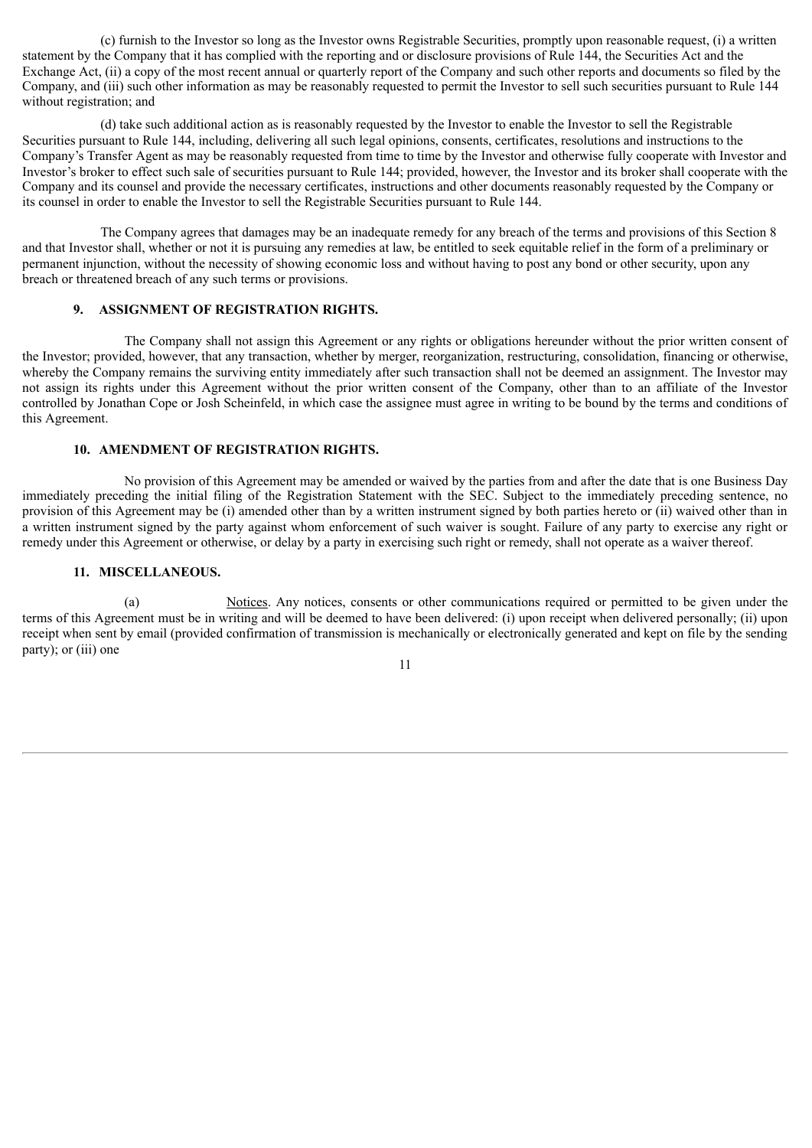(c) furnish to the Investor so long as the Investor owns Registrable Securities, promptly upon reasonable request, (i) a written statement by the Company that it has complied with the reporting and or disclosure provisions of Rule 144, the Securities Act and the Exchange Act, (ii) a copy of the most recent annual or quarterly report of the Company and such other reports and documents so filed by the Company, and (iii) such other information as may be reasonably requested to permit the Investor to sell such securities pursuant to Rule 144 without registration; and

(d) take such additional action as is reasonably requested by the Investor to enable the Investor to sell the Registrable Securities pursuant to Rule 144, including, delivering all such legal opinions, consents, certificates, resolutions and instructions to the Company's Transfer Agent as may be reasonably requested from time to time by the Investor and otherwise fully cooperate with Investor and Investor's broker to effect such sale of securities pursuant to Rule 144; provided, however, the Investor and its broker shall cooperate with the Company and its counsel and provide the necessary certificates, instructions and other documents reasonably requested by the Company or its counsel in order to enable the Investor to sell the Registrable Securities pursuant to Rule 144.

The Company agrees that damages may be an inadequate remedy for any breach of the terms and provisions of this Section 8 and that Investor shall, whether or not it is pursuing any remedies at law, be entitled to seek equitable relief in the form of a preliminary or permanent injunction, without the necessity of showing economic loss and without having to post any bond or other security, upon any breach or threatened breach of any such terms or provisions.

#### **9. ASSIGNMENT OF REGISTRATION RIGHTS.**

The Company shall not assign this Agreement or any rights or obligations hereunder without the prior written consent of the Investor; provided, however, that any transaction, whether by merger, reorganization, restructuring, consolidation, financing or otherwise, whereby the Company remains the surviving entity immediately after such transaction shall not be deemed an assignment. The Investor may not assign its rights under this Agreement without the prior written consent of the Company, other than to an affiliate of the Investor controlled by Jonathan Cope or Josh Scheinfeld, in which case the assignee must agree in writing to be bound by the terms and conditions of this Agreement.

#### **10. AMENDMENT OF REGISTRATION RIGHTS.**

No provision of this Agreement may be amended or waived by the parties from and after the date that is one Business Day immediately preceding the initial filing of the Registration Statement with the SEC. Subject to the immediately preceding sentence, no provision of this Agreement may be (i) amended other than by a written instrument signed by both parties hereto or (ii) waived other than in a written instrument signed by the party against whom enforcement of such waiver is sought. Failure of any party to exercise any right or remedy under this Agreement or otherwise, or delay by a party in exercising such right or remedy, shall not operate as a waiver thereof.

#### **11. MISCELLANEOUS.**

(a) Notices. Any notices, consents or other communications required or permitted to be given under the terms of this Agreement must be in writing and will be deemed to have been delivered: (i) upon receipt when delivered personally; (ii) upon receipt when sent by email (provided confirmation of transmission is mechanically or electronically generated and kept on file by the sending party); or (iii) one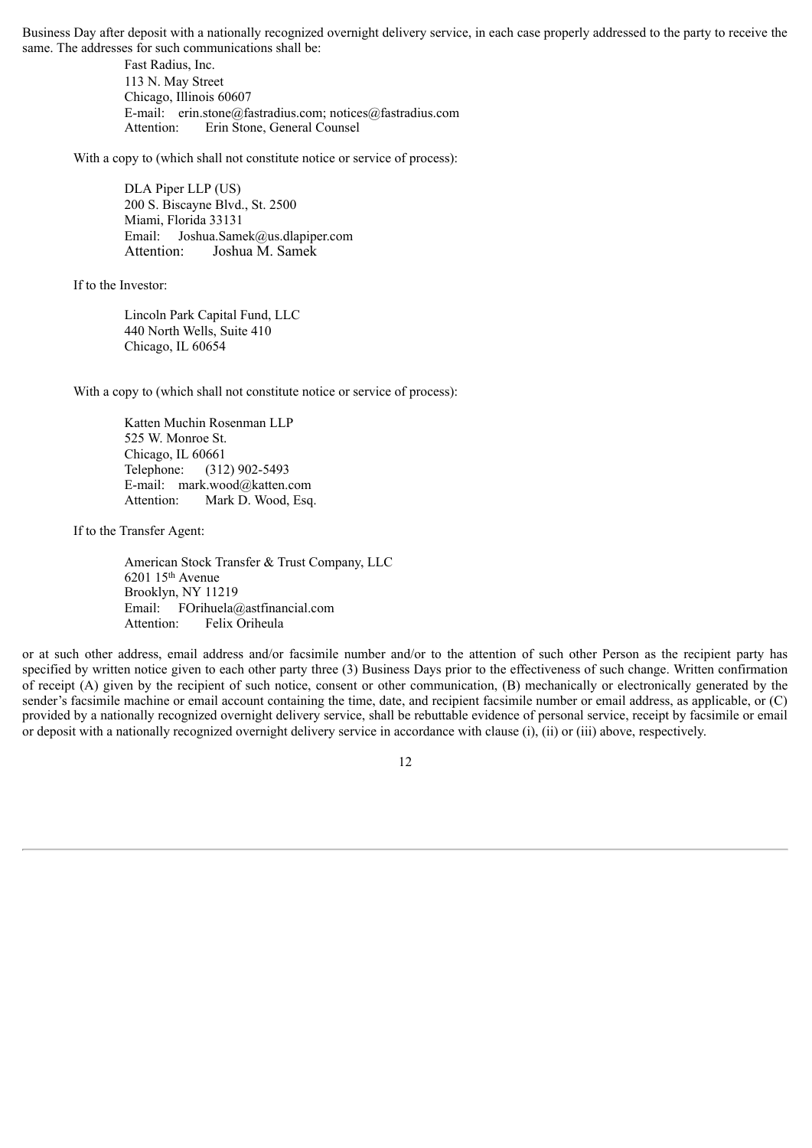Business Day after deposit with a nationally recognized overnight delivery service, in each case properly addressed to the party to receive the same. The addresses for such communications shall be:

> Fast Radius, Inc. 113 N. May Street Chicago, Illinois 60607 E-mail: erin.stone@fastradius.com; notices@fastradius.com Attention: Erin Stone, General Counsel

With a copy to (which shall not constitute notice or service of process):

DLA Piper LLP (US) 200 S. Biscayne Blvd., St. 2500 Miami, Florida 33131 Email: Joshua.Samek@us.dlapiper.com Attention: Joshua M. Samek

If to the Investor:

Lincoln Park Capital Fund, LLC 440 North Wells, Suite 410 Chicago, IL 60654

With a copy to (which shall not constitute notice or service of process):

Katten Muchin Rosenman LLP 525 W. Monroe St. Chicago, IL 60661 Telephone: (312) 902-5493 E-mail: mark.wood@katten.com Attention: Mark D. Wood, Esq.

If to the Transfer Agent:

American Stock Transfer & Trust Company, LLC 6201 15 th Avenue Brooklyn, NY 11219 Email: FOrihuela@astfinancial.com Attention: Felix Oriheula

or at such other address, email address and/or facsimile number and/or to the attention of such other Person as the recipient party has specified by written notice given to each other party three (3) Business Days prior to the effectiveness of such change. Written confirmation of receipt (A) given by the recipient of such notice, consent or other communication, (B) mechanically or electronically generated by the sender's facsimile machine or email account containing the time, date, and recipient facsimile number or email address, as applicable, or (C) provided by a nationally recognized overnight delivery service, shall be rebuttable evidence of personal service, receipt by facsimile or email or deposit with a nationally recognized overnight delivery service in accordance with clause (i), (ii) or (iii) above, respectively.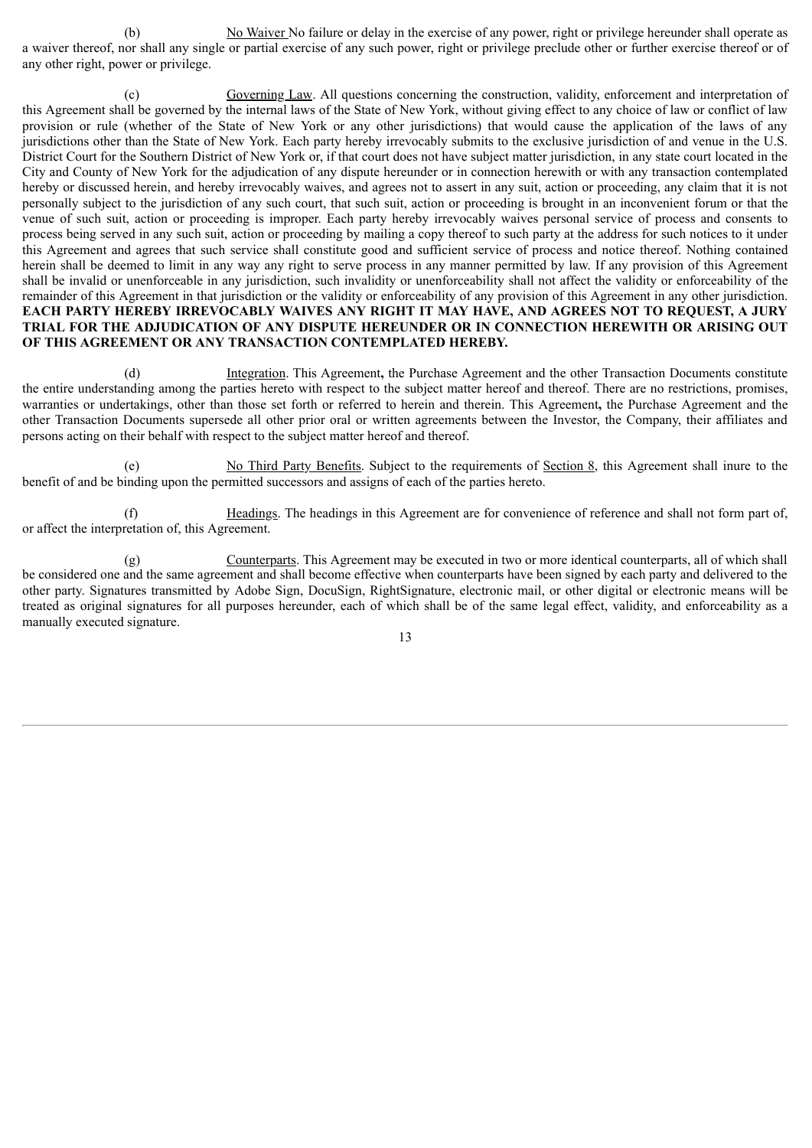(b) No Waiver No failure or delay in the exercise of any power, right or privilege hereunder shall operate as a waiver thereof, nor shall any single or partial exercise of any such power, right or privilege preclude other or further exercise thereof or of any other right, power or privilege.

(c) Governing Law. All questions concerning the construction, validity, enforcement and interpretation of this Agreement shall be governed by the internal laws of the State of New York, without giving effect to any choice of law or conflict of law provision or rule (whether of the State of New York or any other jurisdictions) that would cause the application of the laws of any jurisdictions other than the State of New York. Each party hereby irrevocably submits to the exclusive jurisdiction of and venue in the U.S. District Court for the Southern District of New York or, if that court does not have subject matter jurisdiction, in any state court located in the City and County of New York for the adjudication of any dispute hereunder or in connection herewith or with any transaction contemplated hereby or discussed herein, and hereby irrevocably waives, and agrees not to assert in any suit, action or proceeding, any claim that it is not personally subject to the jurisdiction of any such court, that such suit, action or proceeding is brought in an inconvenient forum or that the venue of such suit, action or proceeding is improper. Each party hereby irrevocably waives personal service of process and consents to process being served in any such suit, action or proceeding by mailing a copy thereof to such party at the address for such notices to it under this Agreement and agrees that such service shall constitute good and sufficient service of process and notice thereof. Nothing contained herein shall be deemed to limit in any way any right to serve process in any manner permitted by law. If any provision of this Agreement shall be invalid or unenforceable in any jurisdiction, such invalidity or unenforceability shall not affect the validity or enforceability of the remainder of this Agreement in that jurisdiction or the validity or enforceability of any provision of this Agreement in any other jurisdiction. **EACH PARTY HEREBY IRREVOCABLY WAIVES ANY RIGHT IT MAY HAVE, AND AGREES NOT TO REQUEST, A JURY TRIAL FOR THE ADJUDICATION OF ANY DISPUTE HEREUNDER OR IN CONNECTION HEREWITH OR ARISING OUT OF THIS AGREEMENT OR ANY TRANSACTION CONTEMPLATED HEREBY.**

(d) Integration. This Agreement**,** the Purchase Agreement and the other Transaction Documents constitute the entire understanding among the parties hereto with respect to the subject matter hereof and thereof. There are no restrictions, promises, warranties or undertakings, other than those set forth or referred to herein and therein. This Agreement**,** the Purchase Agreement and the other Transaction Documents supersede all other prior oral or written agreements between the Investor, the Company, their affiliates and persons acting on their behalf with respect to the subject matter hereof and thereof.

(e) No Third Party Benefits. Subject to the requirements of Section 8, this Agreement shall inure to the benefit of and be binding upon the permitted successors and assigns of each of the parties hereto.

(f) Headings. The headings in this Agreement are for convenience of reference and shall not form part of, or affect the interpretation of, this Agreement.

(g) Counterparts. This Agreement may be executed in two or more identical counterparts, all of which shall be considered one and the same agreement and shall become effective when counterparts have been signed by each party and delivered to the other party. Signatures transmitted by Adobe Sign, DocuSign, RightSignature, electronic mail, or other digital or electronic means will be treated as original signatures for all purposes hereunder, each of which shall be of the same legal effect, validity, and enforceability as a manually executed signature.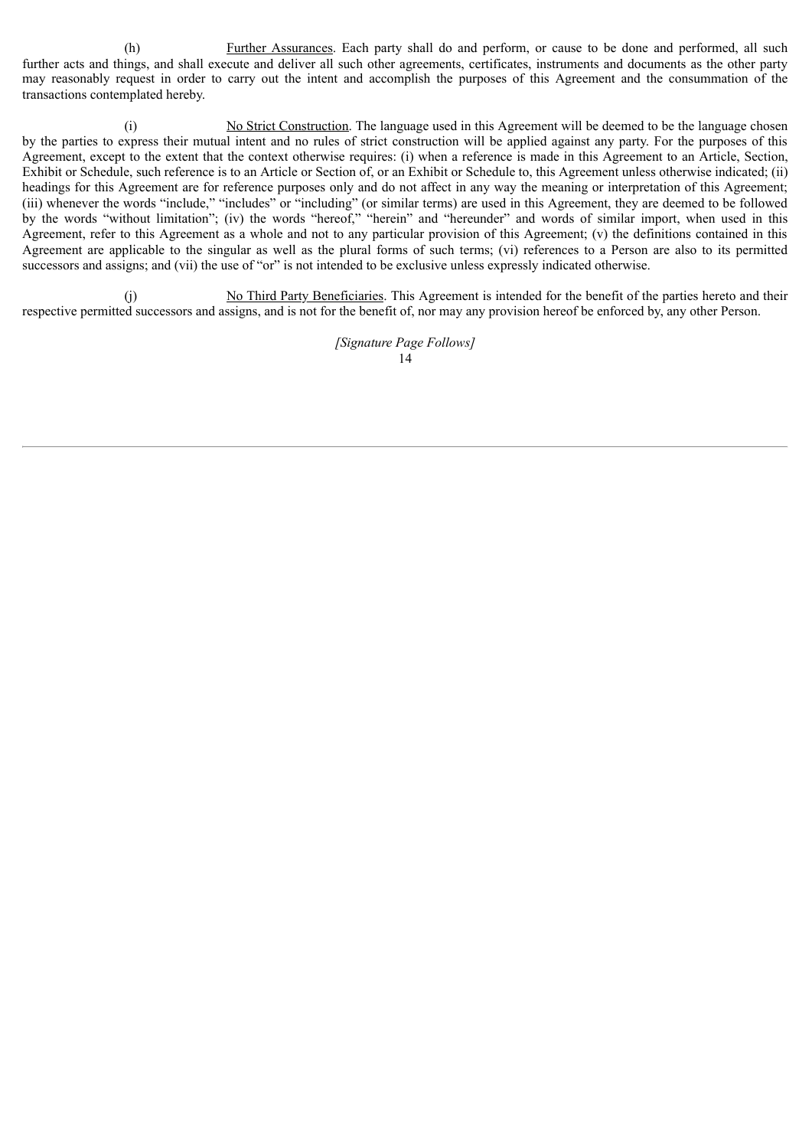(h) Further Assurances. Each party shall do and perform, or cause to be done and performed, all such further acts and things, and shall execute and deliver all such other agreements, certificates, instruments and documents as the other party may reasonably request in order to carry out the intent and accomplish the purposes of this Agreement and the consummation of the transactions contemplated hereby.

(i) No Strict Construction. The language used in this Agreement will be deemed to be the language chosen by the parties to express their mutual intent and no rules of strict construction will be applied against any party. For the purposes of this Agreement, except to the extent that the context otherwise requires: (i) when a reference is made in this Agreement to an Article, Section, Exhibit or Schedule, such reference is to an Article or Section of, or an Exhibit or Schedule to, this Agreement unless otherwise indicated; (ii) headings for this Agreement are for reference purposes only and do not affect in any way the meaning or interpretation of this Agreement; (iii) whenever the words "include," "includes" or "including" (or similar terms) are used in this Agreement, they are deemed to be followed by the words "without limitation"; (iv) the words "hereof," "herein" and "hereunder" and words of similar import, when used in this Agreement, refer to this Agreement as a whole and not to any particular provision of this Agreement; (v) the definitions contained in this Agreement are applicable to the singular as well as the plural forms of such terms; (vi) references to a Person are also to its permitted successors and assigns; and (vii) the use of "or" is not intended to be exclusive unless expressly indicated otherwise.

(j) No Third Party Beneficiaries. This Agreement is intended for the benefit of the parties hereto and their respective permitted successors and assigns, and is not for the benefit of, nor may any provision hereof be enforced by, any other Person.

> *[Signature Page Follows]* 14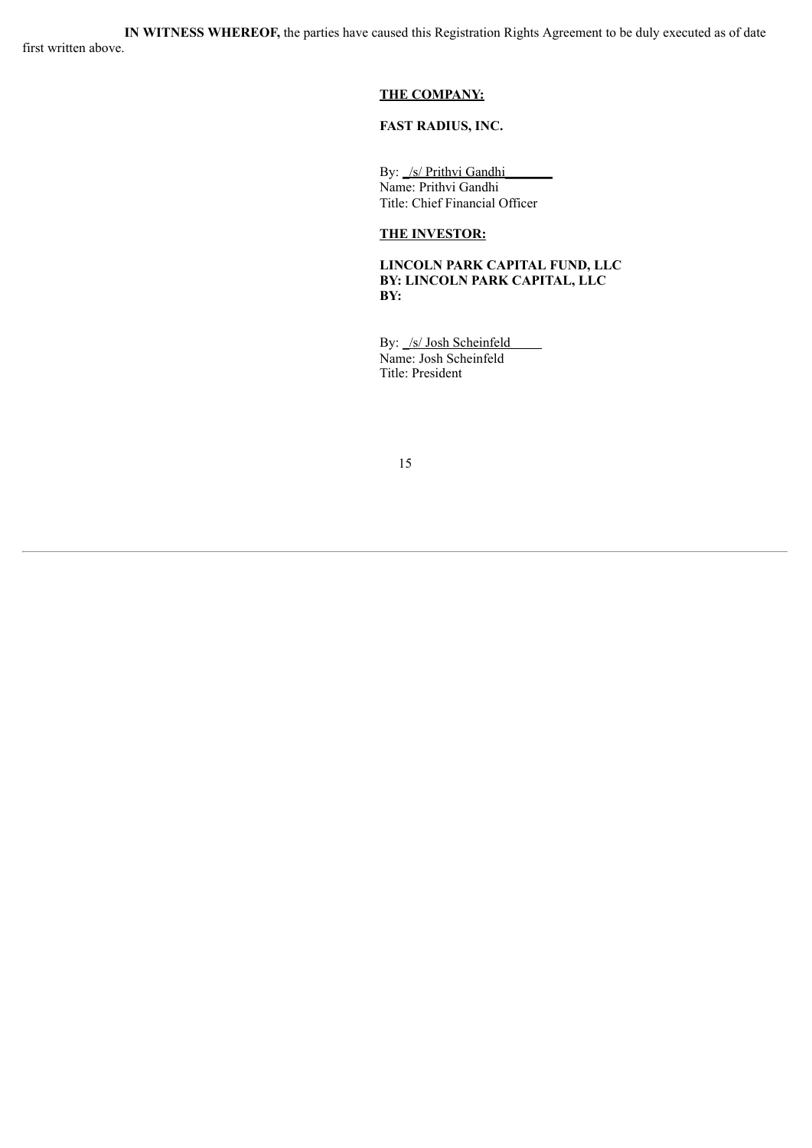**IN WITNESS WHEREOF,** the parties have caused this Registration Rights Agreement to be duly executed as of date first written above.

## **THE COMPANY:**

## **FAST RADIUS, INC.**

By:  $\sqrt{s}$  Prithvi Gandhi Name: Prithvi Gandhi Title: Chief Financial Officer

## **THE INVESTOR:**

**LINCOLN PARK CAPITAL FUND, LLC BY: LINCOLN PARK CAPITAL, LLC BY:**

 $\overline{\phantom{0}}$ 

By: \_/s/ Josh Scheinfeld Name: Josh Scheinfeld Title: President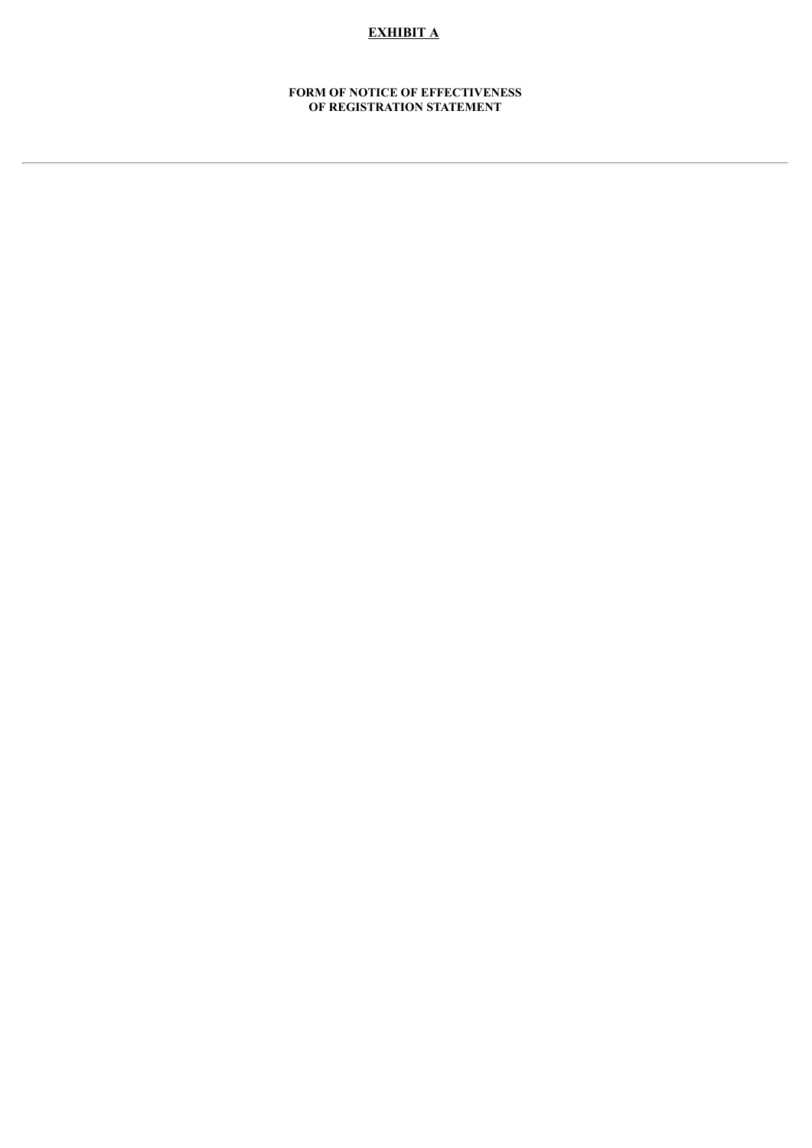## **EXHIBIT A**

#### **FORM OF NOTICE OF EFFECTIVENESS OF REGISTRATION STATEMENT**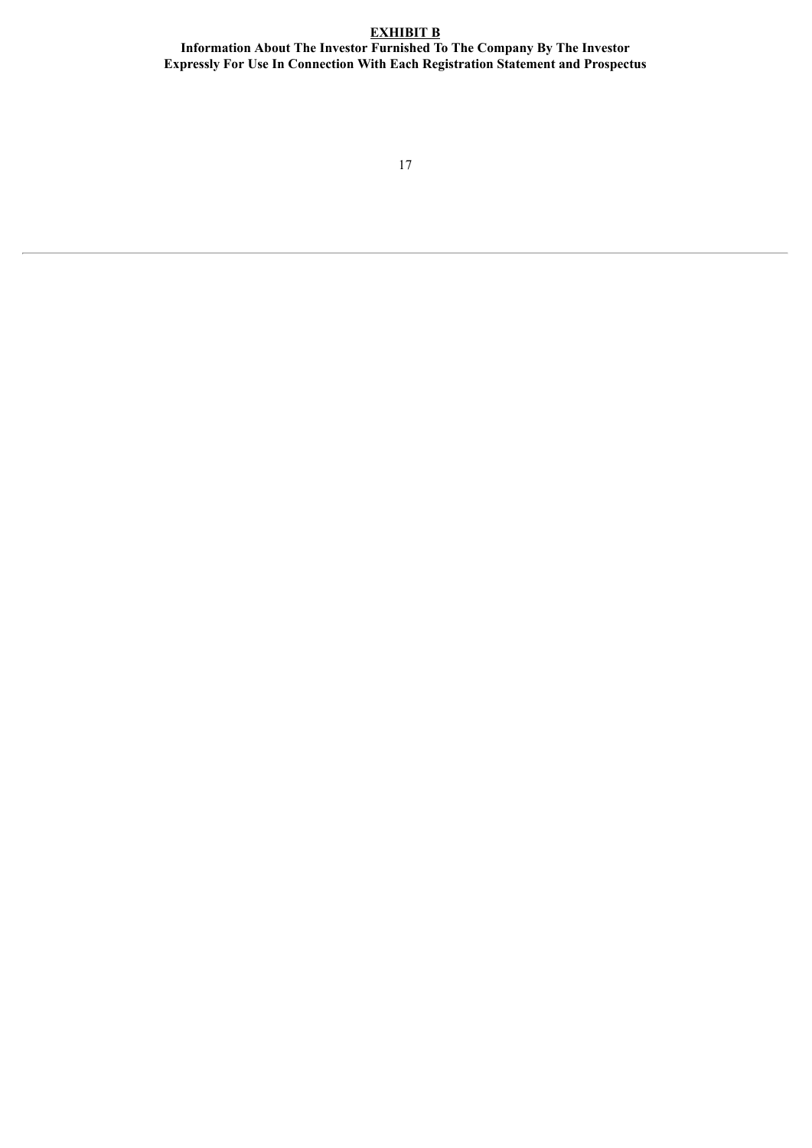### **EXHIBIT B Information About The Investor Furnished To The Company By The Investor Expressly For Use In Connection With Each Registration Statement and Prospectus**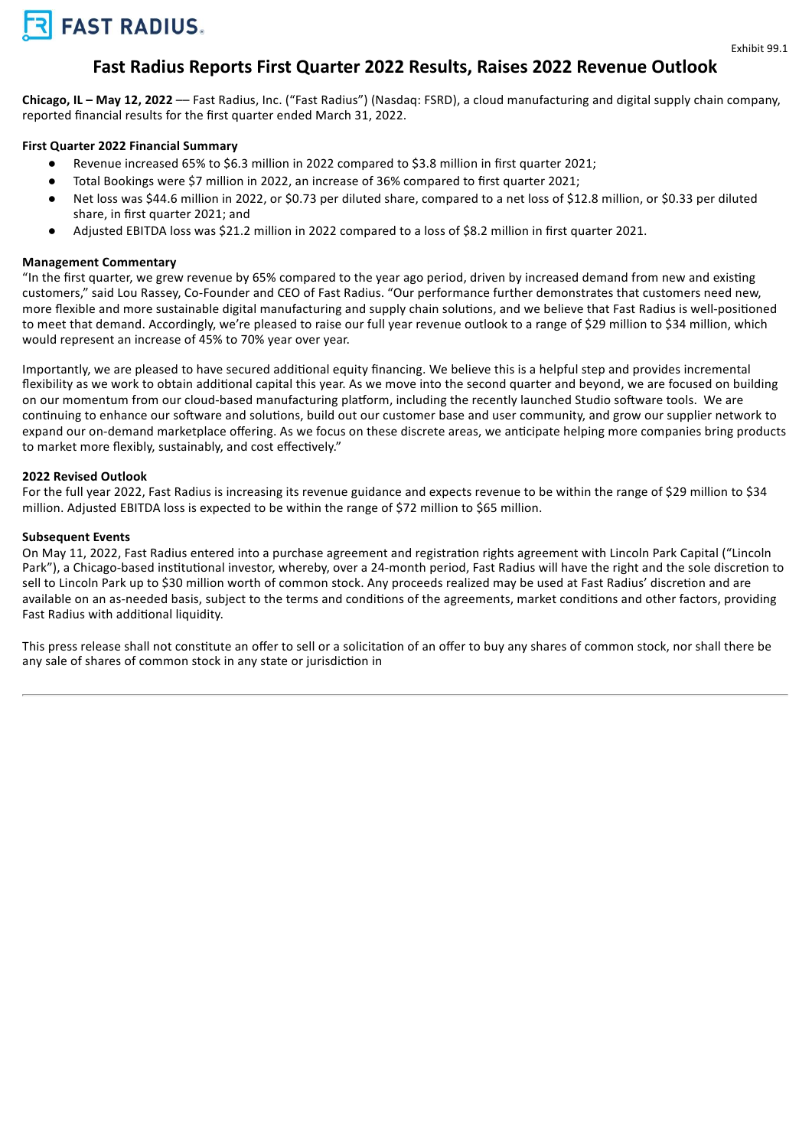<span id="page-60-0"></span>

## **Fast Radius Reports First Quarter 2022 Results, Raises 2022 Revenue Outlook**

**Chicago, IL – May 12, 2022** –– Fast Radius, Inc. ("Fast Radius") (Nasdaq: FSRD), a cloud manufacturing and digital supply chain company, reported financial results for the first quarter ended March 31, 2022.

#### **First Quarter 2022 Financial Summary**

- Revenue increased 65% to \$6.3 million in 2022 compared to \$3.8 million in first quarter 2021;
- Total Bookings were \$7 million in 2022, an increase of 36% compared to first quarter 2021;
- Net loss was \$44.6 million in 2022, or \$0.73 per diluted share, compared to a net loss of \$12.8 million, or \$0.33 per diluted share, in first quarter 2021; and
- Adjusted EBITDA loss was \$21.2 million in 2022 compared to a loss of \$8.2 million in first quarter 2021.

#### **Management Commentary**

"In the first quarter, we grew revenue by 65% compared to the year ago period, driven by increased demand from new and existing customers," said Lou Rassey, Co-Founder and CEO of Fast Radius. "Our performance further demonstrates that customers need new, more flexible and more sustainable digital manufacturing and supply chain solutions, and we believe that Fast Radius is well-positioned to meet that demand. Accordingly, we're pleased to raise our full year revenue outlook to a range of \$29 million to \$34 million, which would represent an increase of 45% to 70% year over year.

Importantly, we are pleased to have secured additional equity financing. We believe this is a helpful step and provides incremental flexibility as we work to obtain additional capital this year. As we move into the second quarter and beyond, we are focused on building on our momentum from our cloud-based manufacturing platform, including the recently launched Studio software tools. We are continuing to enhance our software and solutions, build out our customer base and user community, and grow our supplier network to expand our on-demand marketplace offering. As we focus on these discrete areas, we anticipate helping more companies bring products to market more flexibly, sustainably, and cost effectively."

#### **2022 Revised Outlook**

For the full year 2022, Fast Radius is increasing its revenue guidance and expects revenue to be within the range of \$29 million to \$34 million. Adjusted EBITDA loss is expected to be within the range of \$72 million to \$65 million.

#### **Subsequent Events**

On May 11, 2022, Fast Radius entered into a purchase agreement and registration rights agreement with Lincoln Park Capital ("Lincoln Park"), a Chicago-based institutional investor, whereby, over a 24-month period, Fast Radius will have the right and the sole discretion to sell to Lincoln Park up to \$30 million worth of common stock. Any proceeds realized may be used at Fast Radius' discretion and are available on an as-needed basis, subject to the terms and conditions of the agreements, market conditions and other factors, providing Fast Radius with additional liquidity.

This press release shall not constitute an offer to sell or a solicitation of an offer to buy any shares of common stock, nor shall there be any sale of shares of common stock in any state or jurisdiction in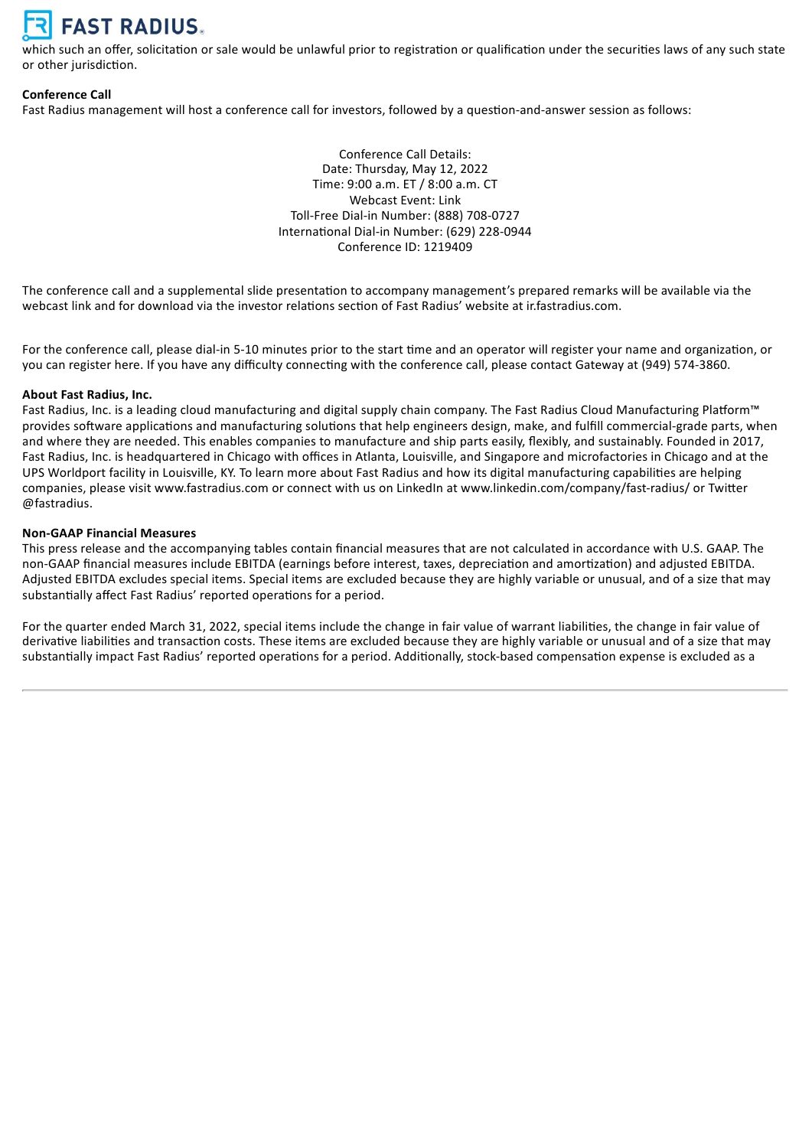# **FAST RADIUS.**

which such an offer, solicitation or sale would be unlawful prior to registration or qualification under the securities laws of any such state or other jurisdiction.

### **Conference Call**

Fast Radius management will host a conference call for investors, followed by a question-and-answer session as follows:

Conference Call Details: Date: Thursday, May 12, 2022 Time: 9:00 a.m. ET / 8:00 a.m. CT Webcast Event: Link Toll-Free Dial-in Number: (888) 708-0727 International Dial-in Number: (629) 228-0944 Conference ID: 1219409

The conference call and a supplemental slide presentation to accompany management's prepared remarks will be available via the webcast link and for download via the investor relations section of Fast Radius' website at ir.fastradius.com.

For the conference call, please dial-in 5-10 minutes prior to the start time and an operator will register your name and organization, or you can register here. If you have any difficulty connecting with the conference call, please contact Gateway at (949) 574-3860.

#### **About Fast Radius, Inc.**

Fast Radius, Inc. is a leading cloud manufacturing and digital supply chain company. The Fast Radius Cloud Manufacturing Platform™ provides software applications and manufacturing solutions that help engineers design, make, and fulfill commercial-grade parts, when and where they are needed. This enables companies to manufacture and ship parts easily, flexibly, and sustainably. Founded in 2017, Fast Radius, Inc. is headquartered in Chicago with offices in Atlanta, Louisville, and Singapore and microfactories in Chicago and at the UPS Worldport facility in Louisville, KY. To learn more about Fast Radius and how its digital manufacturing capabilities are helping companies, please visit www.fastradius.com or connect with us on LinkedIn at www.linkedin.com/company/fast-radius/ or Twitter @fastradius.

#### **Non-GAAP Financial Measures**

This press release and the accompanying tables contain financial measures that are not calculated in accordance with U.S. GAAP. The non-GAAP financial measures include EBITDA (earnings before interest, taxes, depreciation and amortization) and adjusted EBITDA. Adjusted EBITDA excludes special items. Special items are excluded because they are highly variable or unusual, and of a size that may substantially affect Fast Radius' reported operations for a period.

For the quarter ended March 31, 2022, special items include the change in fair value of warrant liabilities, the change in fair value of derivative liabilities and transaction costs. These items are excluded because they are highly variable or unusual and of a size that may substantially impact Fast Radius' reported operations for a period. Additionally, stock-based compensation expense is excluded as a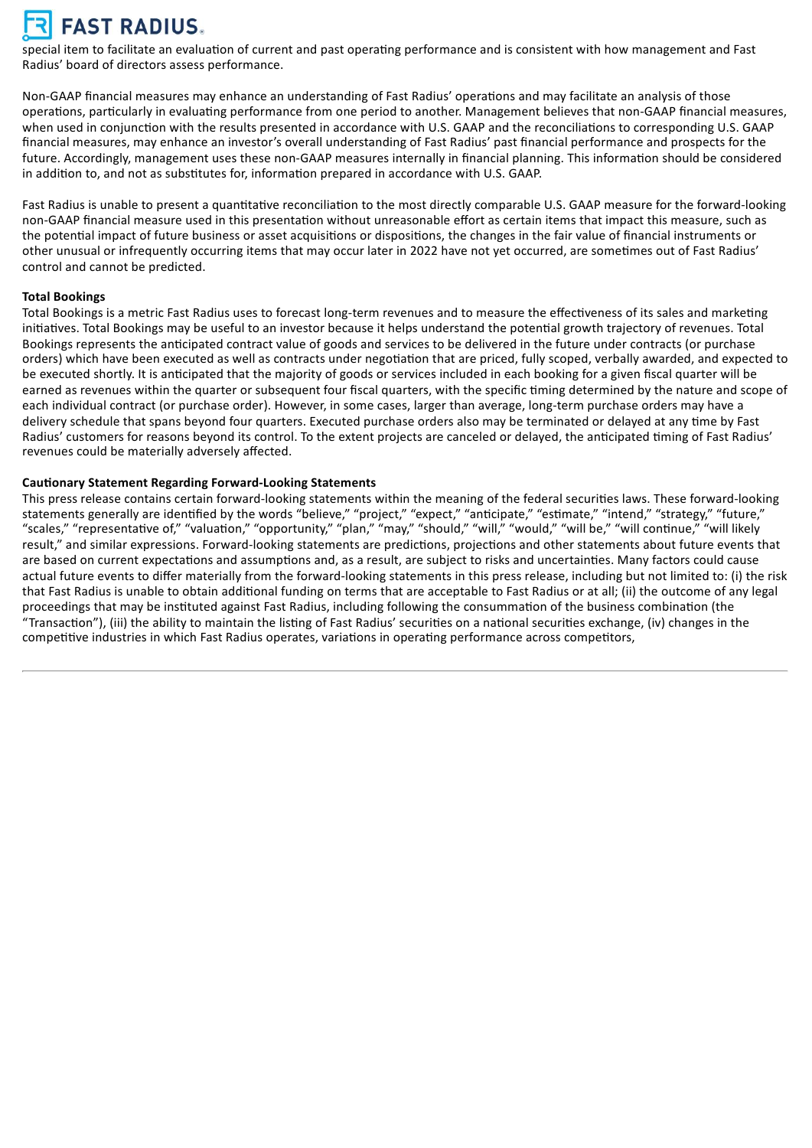## **FAST RADIUS.**

special item to facilitate an evaluation of current and past operating performance and is consistent with how management and Fast Radius' board of directors assess performance.

Non-GAAP financial measures may enhance an understanding of Fast Radius' operations and may facilitate an analysis of those operations, particularly in evaluating performance from one period to another. Management believes that non-GAAP financial measures, when used in conjunction with the results presented in accordance with U.S. GAAP and the reconciliations to corresponding U.S. GAAP financial measures, may enhance an investor's overall understanding of Fast Radius' past financial performance and prospects for the future. Accordingly, management uses these non-GAAP measures internally in financial planning. This information should be considered in addition to, and not as substitutes for, information prepared in accordance with U.S. GAAP.

Fast Radius is unable to present a quantitative reconciliation to the most directly comparable U.S. GAAP measure for the forward-looking non-GAAP financial measure used in this presentation without unreasonable effort as certain items that impact this measure, such as the potential impact of future business or asset acquisitions or dispositions, the changes in the fair value of financial instruments or other unusual or infrequently occurring items that may occur later in 2022 have not yet occurred, are sometimes out of Fast Radius' control and cannot be predicted.

### **Total Bookings**

Total Bookings is a metric Fast Radius uses to forecast long-term revenues and to measure the effectiveness of its sales and marketing initiatives. Total Bookings may be useful to an investor because it helps understand the potential growth trajectory of revenues. Total Bookings represents the anticipated contract value of goods and services to be delivered in the future under contracts (or purchase orders) which have been executed as well as contracts under negotiation that are priced, fully scoped, verbally awarded, and expected to be executed shortly. It is anticipated that the majority of goods or services included in each booking for a given fiscal quarter will be earned as revenues within the quarter or subsequent four fiscal quarters, with the specific timing determined by the nature and scope of each individual contract (or purchase order). However, in some cases, larger than average, long-term purchase orders may have a delivery schedule that spans beyond four quarters. Executed purchase orders also may be terminated or delayed at any time by Fast Radius' customers for reasons beyond its control. To the extent projects are canceled or delayed, the anticipated timing of Fast Radius' revenues could be materially adversely affected.

### **Cautionary Statement Regarding Forward-Looking Statements**

This press release contains certain forward-looking statements within the meaning of the federal securities laws. These forward-looking statements generally are identified by the words "believe," "project," "expect," "anticipate," "estimate," "intend," "strategy," "future," "scales," "representative of," "valuation," "opportunity," "plan," "may," "should," "will," "would," "will be," "will continue," "will likely result," and similar expressions. Forward-looking statements are predictions, projections and other statements about future events that are based on current expectations and assumptions and, as a result, are subject to risks and uncertainties. Many factors could cause actual future events to differ materially from the forward-looking statements in this press release, including but not limited to: (i) the risk that Fast Radius is unable to obtain additional funding on terms that are acceptable to Fast Radius or at all; (ii) the outcome of any legal proceedings that may be instituted against Fast Radius, including following the consummation of the business combination (the "Transaction"), (iii) the ability to maintain the listing of Fast Radius' securities on a national securities exchange, (iv) changes in the competitive industries in which Fast Radius operates, variations in operating performance across competitors,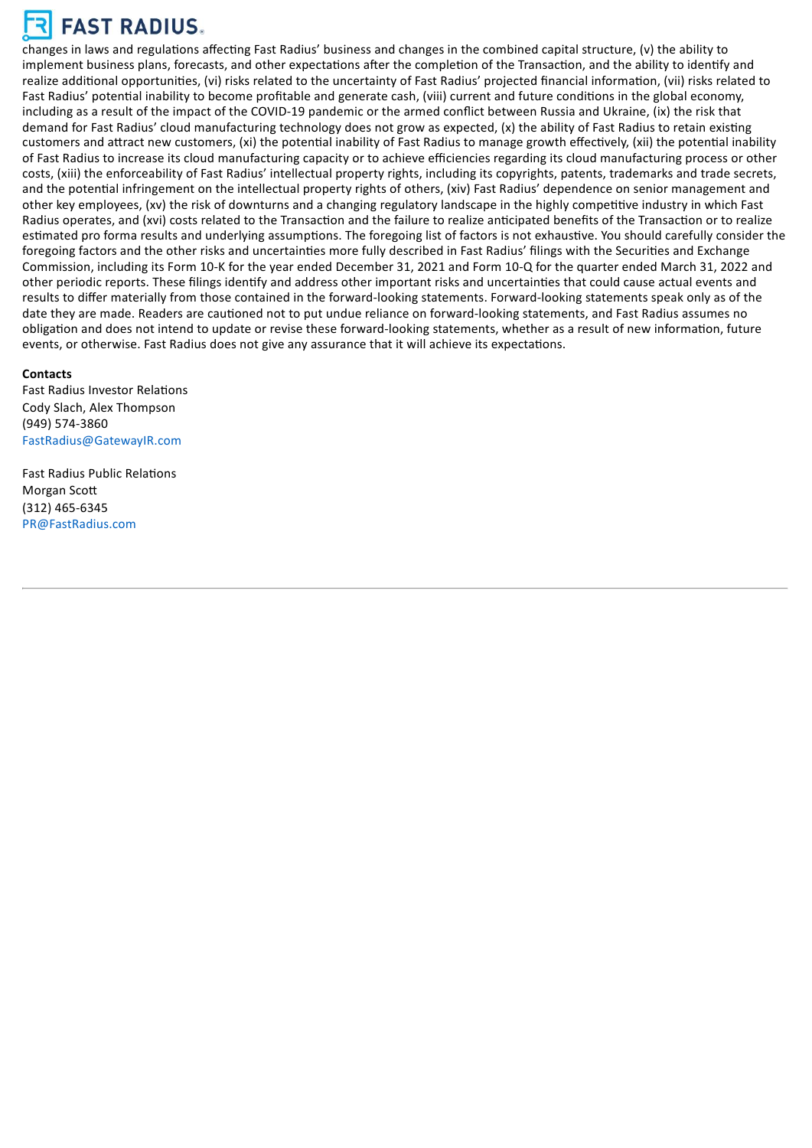## **FAST RADIUS.**

changes in laws and regulations affecting Fast Radius' business and changes in the combined capital structure, (v) the ability to implement business plans, forecasts, and other expectations after the completion of the Transaction, and the ability to identify and realize additional opportunities, (vi) risks related to the uncertainty of Fast Radius' projected financial information, (vii) risks related to Fast Radius' potential inability to become profitable and generate cash, (viii) current and future conditions in the global economy, including as a result of the impact of the COVID-19 pandemic or the armed conflict between Russia and Ukraine, (ix) the risk that demand for Fast Radius' cloud manufacturing technology does not grow as expected, (x) the ability of Fast Radius to retain existing customers and attract new customers, (xi) the potential inability of Fast Radius to manage growth effectively, (xii) the potential inability of Fast Radius to increase its cloud manufacturing capacity or to achieve efficiencies regarding its cloud manufacturing process or other costs, (xiii) the enforceability of Fast Radius' intellectual property rights, including its copyrights, patents, trademarks and trade secrets, and the potential infringement on the intellectual property rights of others, (xiv) Fast Radius' dependence on senior management and other key employees, (xv) the risk of downturns and a changing regulatory landscape in the highly competitive industry in which Fast Radius operates, and (xvi) costs related to the Transaction and the failure to realize anticipated benefits of the Transaction or to realize estimated pro forma results and underlying assumptions. The foregoing list of factors is not exhaustive. You should carefully consider the foregoing factors and the other risks and uncertainties more fully described in Fast Radius' filings with the Securities and Exchange Commission, including its Form 10-K for the year ended December 31, 2021 and Form 10-Q for the quarter ended March 31, 2022 and other periodic reports. These filings identify and address other important risks and uncertainties that could cause actual events and results to differ materially from those contained in the forward-looking statements. Forward-looking statements speak only as of the date they are made. Readers are cautioned not to put undue reliance on forward-looking statements, and Fast Radius assumes no obligation and does not intend to update or revise these forward-looking statements, whether as a result of new information, future events, or otherwise. Fast Radius does not give any assurance that it will achieve its expectations.

### **Contacts**

Fast Radius Investor Relations Cody Slach, Alex Thompson (949) 574-3860 FastRadius@GatewayIR.com

Fast Radius Public Relations Morgan Scott (312) 465-6345 PR@FastRadius.com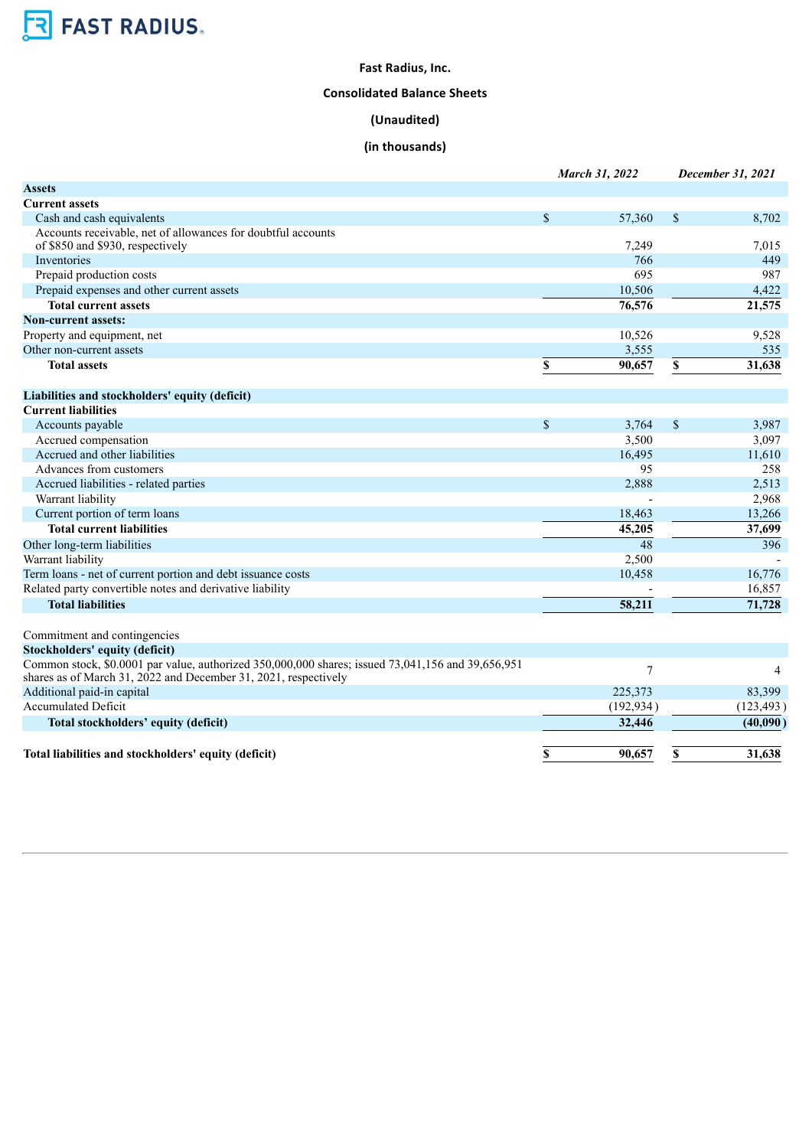

## **Fast Radius, Inc.**

## **Consolidated Balance Sheets**

## **(Unaudited)**

## **(in thousands)**

|                                                                                                                                                                        |    | March 31, 2022   |              | December 31, 2021 |  |
|------------------------------------------------------------------------------------------------------------------------------------------------------------------------|----|------------------|--------------|-------------------|--|
| <b>Assets</b>                                                                                                                                                          |    |                  |              |                   |  |
| <b>Current assets</b>                                                                                                                                                  |    |                  |              |                   |  |
| Cash and cash equivalents                                                                                                                                              | \$ | 57,360           | $\mathbb{S}$ | 8,702             |  |
| Accounts receivable, net of allowances for doubtful accounts                                                                                                           |    |                  |              |                   |  |
| of \$850 and \$930, respectively                                                                                                                                       |    | 7,249            |              | 7,015             |  |
| Inventories                                                                                                                                                            |    | 766              |              | 449               |  |
| Prepaid production costs                                                                                                                                               |    | 695              |              | 987               |  |
| Prepaid expenses and other current assets                                                                                                                              |    | 10,506           |              | 4,422             |  |
| <b>Total current assets</b>                                                                                                                                            |    | 76,576           |              | 21,575            |  |
| <b>Non-current assets:</b>                                                                                                                                             |    |                  |              |                   |  |
| Property and equipment, net                                                                                                                                            |    | 10,526           |              | 9,528             |  |
| Other non-current assets                                                                                                                                               |    | 3,555            |              | 535               |  |
| <b>Total assets</b>                                                                                                                                                    | \$ | 90,657           | \$           | 31,638            |  |
| Liabilities and stockholders' equity (deficit)                                                                                                                         |    |                  |              |                   |  |
| <b>Current liabilities</b>                                                                                                                                             |    |                  |              |                   |  |
| Accounts payable                                                                                                                                                       | \$ | 3,764            | $\mathbb{S}$ | 3,987             |  |
| Accrued compensation                                                                                                                                                   |    | 3,500            |              | 3,097             |  |
| Accrued and other liabilities                                                                                                                                          |    | 16,495           |              | 11,610            |  |
| Advances from customers                                                                                                                                                |    | 95               |              | 258               |  |
| Accrued liabilities - related parties                                                                                                                                  |    | 2,888            |              | 2,513             |  |
| Warrant liability                                                                                                                                                      |    |                  |              | 2,968             |  |
| Current portion of term loans                                                                                                                                          |    | 18,463           |              | 13,266            |  |
| <b>Total current liabilities</b>                                                                                                                                       |    | 45,205           |              | 37,699            |  |
| Other long-term liabilities                                                                                                                                            |    | 48               |              | 396               |  |
| Warrant liability                                                                                                                                                      |    | 2,500            |              |                   |  |
| Term loans - net of current portion and debt issuance costs                                                                                                            |    | 10,458           |              | 16,776            |  |
| Related party convertible notes and derivative liability                                                                                                               |    |                  |              | 16,857            |  |
| <b>Total liabilities</b>                                                                                                                                               |    | 58,211           |              | 71,728            |  |
| Commitment and contingencies                                                                                                                                           |    |                  |              |                   |  |
| Stockholders' equity (deficit)                                                                                                                                         |    |                  |              |                   |  |
| Common stock, \$0.0001 par value, authorized 350,000,000 shares; issued 73,041,156 and 39,656,951<br>shares as of March 31, $2022$ and December 31, 2021, respectively |    | $\boldsymbol{7}$ |              | 4                 |  |
| Additional paid-in capital                                                                                                                                             |    | 225,373          |              | 83,399            |  |
| <b>Accumulated Deficit</b>                                                                                                                                             |    | (192, 934)       |              | (123, 493)        |  |
| Total stockholders' equity (deficit)                                                                                                                                   |    | 32,446           |              | (40,090)          |  |
|                                                                                                                                                                        |    |                  |              |                   |  |
| Total liabilities and stockholders' equity (deficit)                                                                                                                   | \$ | 90,657           | \$           | 31,638            |  |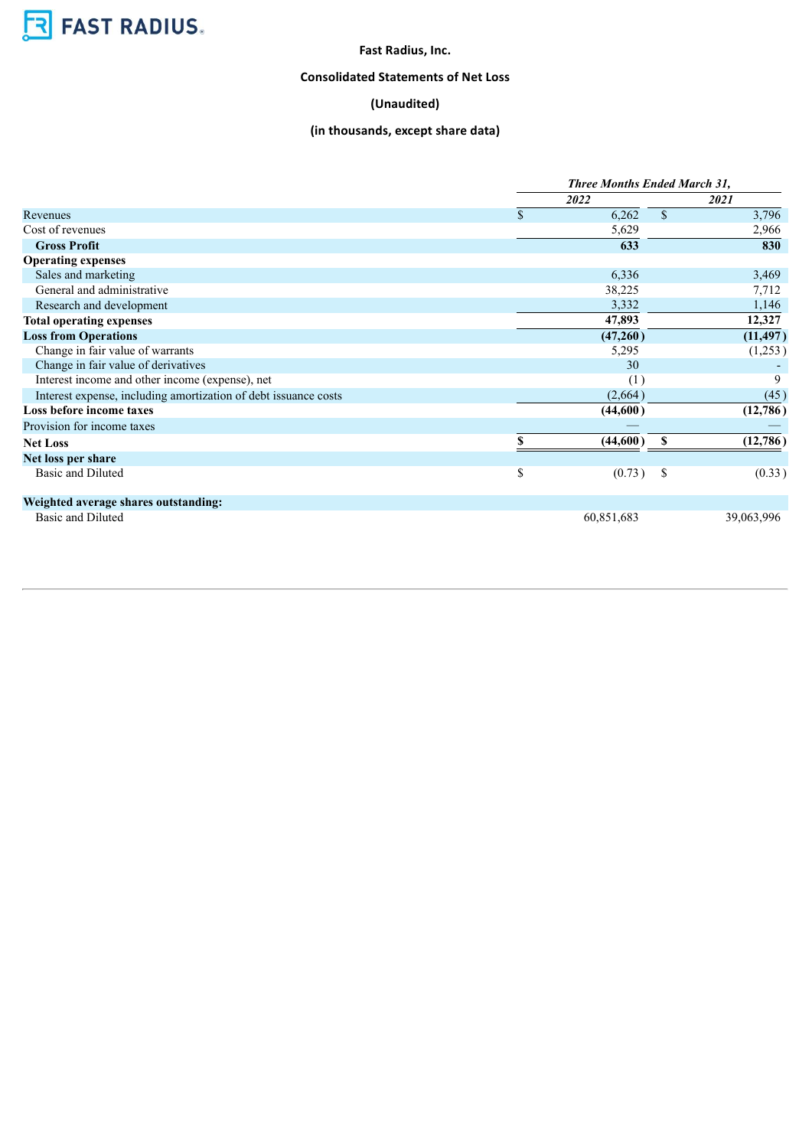

## **Fast Radius, Inc.**

## **Consolidated Statements of Net Loss**

## **(Unaudited)**

## **(in thousands, except share data)**

|                                                                 |              | <b>Three Months Ended March 31,</b> |             |            |  |
|-----------------------------------------------------------------|--------------|-------------------------------------|-------------|------------|--|
|                                                                 |              | 2022                                |             |            |  |
| Revenues                                                        | $\mathbf{s}$ | 6,262                               | $\mathbf S$ | 3,796      |  |
| Cost of revenues                                                |              | 5,629                               |             | 2,966      |  |
| <b>Gross Profit</b>                                             |              | 633                                 |             | 830        |  |
| <b>Operating expenses</b>                                       |              |                                     |             |            |  |
| Sales and marketing                                             |              | 6,336                               |             | 3,469      |  |
| General and administrative                                      |              | 38,225                              |             | 7,712      |  |
| Research and development                                        |              | 3,332                               |             | 1,146      |  |
| <b>Total operating expenses</b>                                 |              | 47,893                              |             | 12,327     |  |
| <b>Loss from Operations</b>                                     |              | (47,260)                            |             | (11, 497)  |  |
| Change in fair value of warrants                                |              | 5,295                               |             | (1,253)    |  |
| Change in fair value of derivatives                             |              | 30                                  |             |            |  |
| Interest income and other income (expense), net                 |              | (1)                                 |             | 9          |  |
| Interest expense, including amortization of debt issuance costs |              | (2,664)                             |             | (45)       |  |
| Loss before income taxes                                        |              | (44,600)                            |             | (12,786)   |  |
| Provision for income taxes                                      |              |                                     |             |            |  |
| <b>Net Loss</b>                                                 | S            | (44,600)                            | -S          | (12,786)   |  |
| Net loss per share                                              |              |                                     |             |            |  |
| <b>Basic and Diluted</b>                                        | \$           | (0.73)                              | -S          | (0.33)     |  |
| Weighted average shares outstanding:                            |              |                                     |             |            |  |
| <b>Basic and Diluted</b>                                        |              | 60,851,683                          |             | 39,063,996 |  |